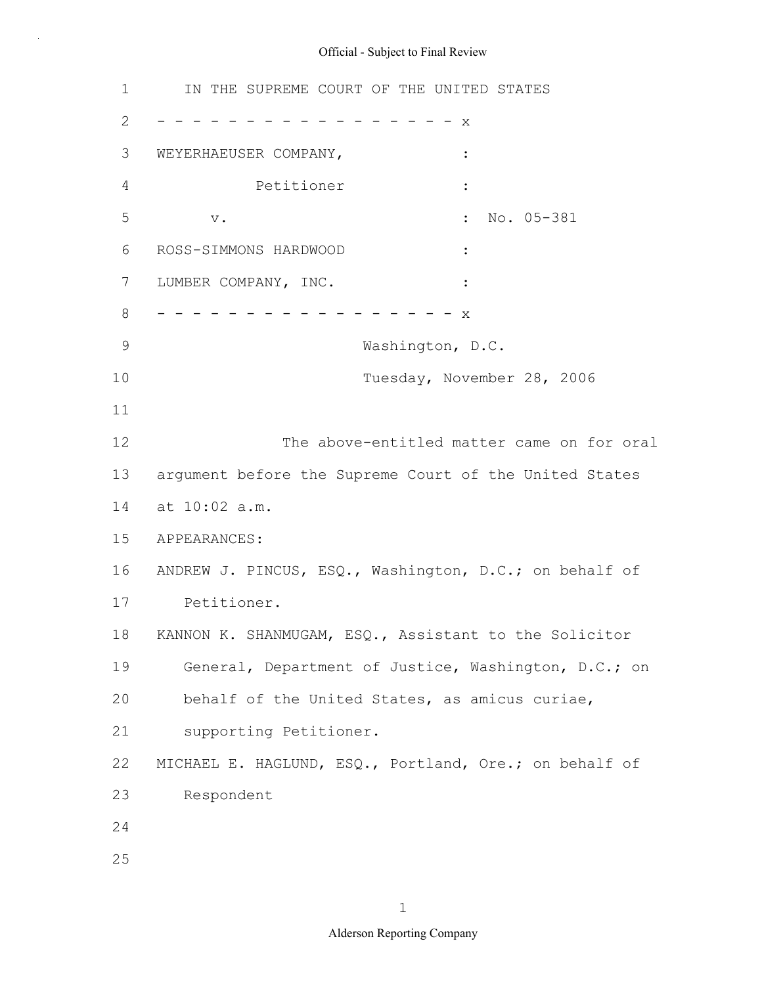1 2 3 4 5 6 7 LUMBER COMPANY, INC. 8 9 10 11 12 13 14 at 10:02 a.m. 15 APPEARANCES: 16 ANDREW J. PINCUS, ESQ., Washington, D.C.; on behalf of 17 18 19 20 21 22 23 24 25 IN THE SUPREME COURT OF THE UNITED STATES - - - - - - - - - - - - - - - - - x WEYERHAEUSER COMPANY, Petitioner : v. : No. 05-381 ROSS-SIMMONS HARDWOOD : - - - - - - - - - - - - - - - - x Washington, D.C. Tuesday, November 28, 2006 The above-entitled matter came on for oral argument before the Supreme Court of the United States Petitioner. KANNON K. SHANMUGAM, ESQ., Assistant to the Solicitor General, Department of Justice, Washington, D.C.; on behalf of the United States, as amicus curiae, supporting Petitioner. MICHAEL E. HAGLUND, ESQ., Portland, Ore.; on behalf of Respondent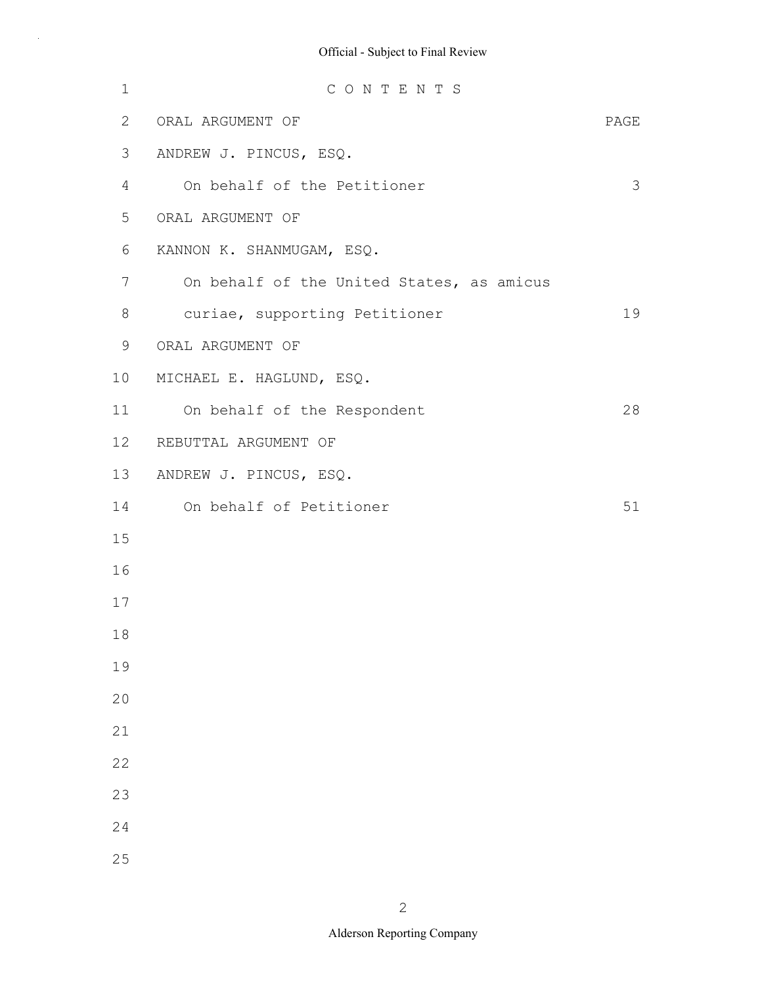| $1\,$          | CONTENTS                                  |      |
|----------------|-------------------------------------------|------|
| 2              | ORAL ARGUMENT OF                          | PAGE |
| 3              | ANDREW J. PINCUS, ESQ.                    |      |
| 4              | On behalf of the Petitioner               | 3    |
| 5              | ORAL ARGUMENT OF                          |      |
| 6              | KANNON K. SHANMUGAM, ESQ.                 |      |
| $\overline{7}$ | On behalf of the United States, as amicus |      |
| 8              | curiae, supporting Petitioner             | 19   |
| 9              | ORAL ARGUMENT OF                          |      |
| 10             | MICHAEL E. HAGLUND, ESQ.                  |      |
| 11             | On behalf of the Respondent               | 28   |
| 12             | REBUTTAL ARGUMENT OF                      |      |
| 13             | ANDREW J. PINCUS, ESQ.                    |      |
| 14             | On behalf of Petitioner                   | 51   |
| 15             |                                           |      |
| 16             |                                           |      |
| 17             |                                           |      |
| 18             |                                           |      |
| 19             |                                           |      |
| 20             |                                           |      |
| 21             |                                           |      |
| 22             |                                           |      |
| 23             |                                           |      |
| 24             |                                           |      |
| 25             |                                           |      |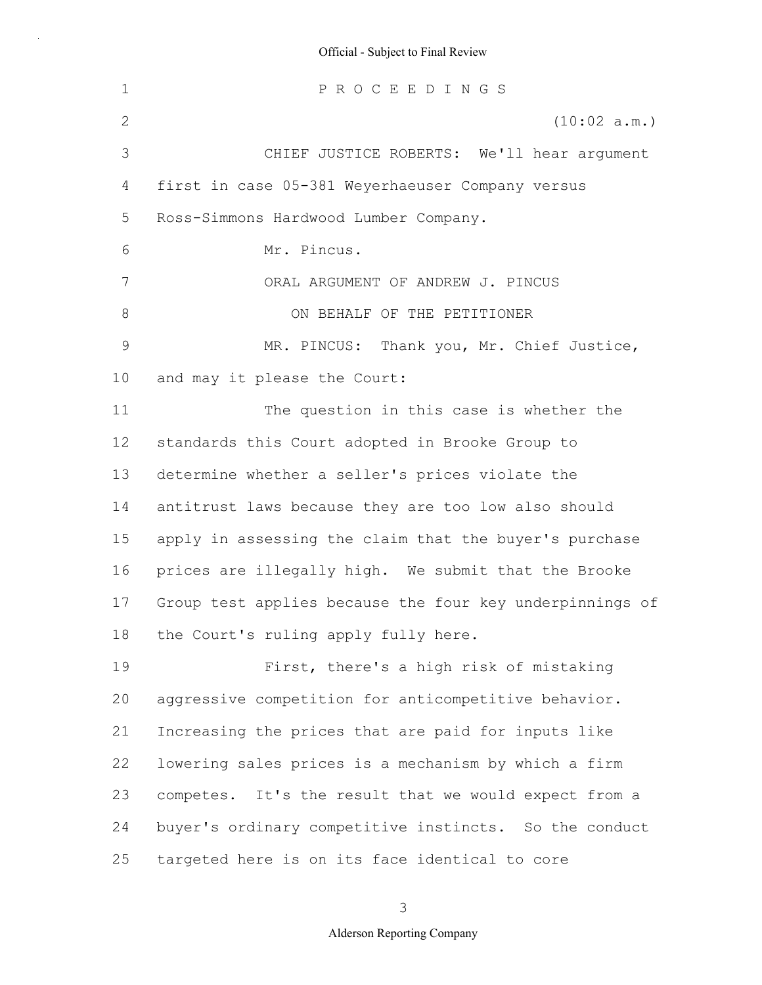1 2 3 4 5 6 7 8 9 10 11 12 13 14 15 16 17 18 19 20 21 22 23 24 25 P R O C E E D I N G S (10:02 a.m.) CHIEF JUSTICE ROBERTS: We'll hear argument first in case 05-381 Weyerhaeuser Company versus Ross-Simmons Hardwood Lumber Company. Mr. Pincus. ORAL ARGUMENT OF ANDREW J. PINCUS ON BEHALF OF THE PETITIONER MR. PINCUS: Thank you, Mr. Chief Justice, and may it please the Court: The question in this case is whether the standards this Court adopted in Brooke Group to determine whether a seller's prices violate the antitrust laws because they are too low also should apply in assessing the claim that the buyer's purchase prices are illegally high. We submit that the Brooke Group test applies because the four key underpinnings of the Court's ruling apply fully here. First, there's a high risk of mistaking aggressive competition for anticompetitive behavior. Increasing the prices that are paid for inputs like lowering sales prices is a mechanism by which a firm competes. It's the result that we would expect from a buyer's ordinary competitive instincts. So the conduct targeted here is on its face identical to core

3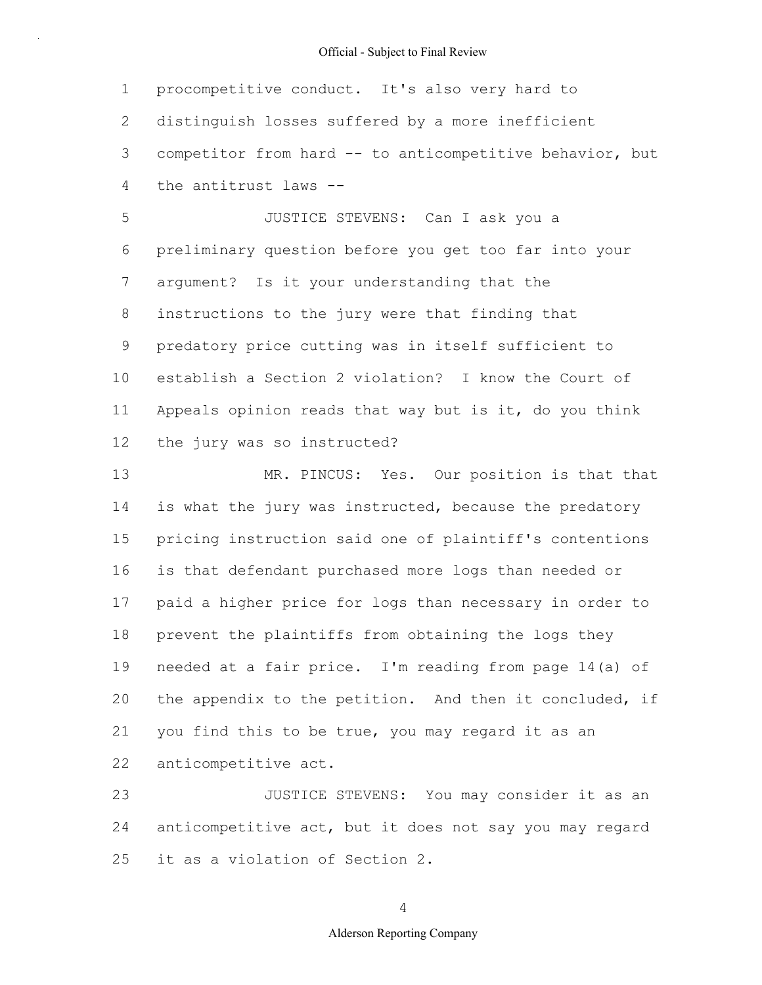1 2 3 4 procompetitive conduct. It's also very hard to distinguish losses suffered by a more inefficient competitor from hard -- to anticompetitive behavior, but the antitrust laws --

5 6 7 8 9 10 11 12 JUSTICE STEVENS: Can I ask you a preliminary question before you get too far into your argument? Is it your understanding that the instructions to the jury were that finding that predatory price cutting was in itself sufficient to establish a Section 2 violation? I know the Court of Appeals opinion reads that way but is it, do you think the jury was so instructed?

13 14 15 16 17 18 19 20 21 22 MR. PINCUS: Yes. Our position is that that is what the jury was instructed, because the predatory pricing instruction said one of plaintiff's contentions is that defendant purchased more logs than needed or paid a higher price for logs than necessary in order to prevent the plaintiffs from obtaining the logs they needed at a fair price. I'm reading from page 14(a) of the appendix to the petition. And then it concluded, if you find this to be true, you may regard it as an anticompetitive act.

23 24 25 JUSTICE STEVENS: You may consider it as an anticompetitive act, but it does not say you may regard it as a violation of Section 2.

4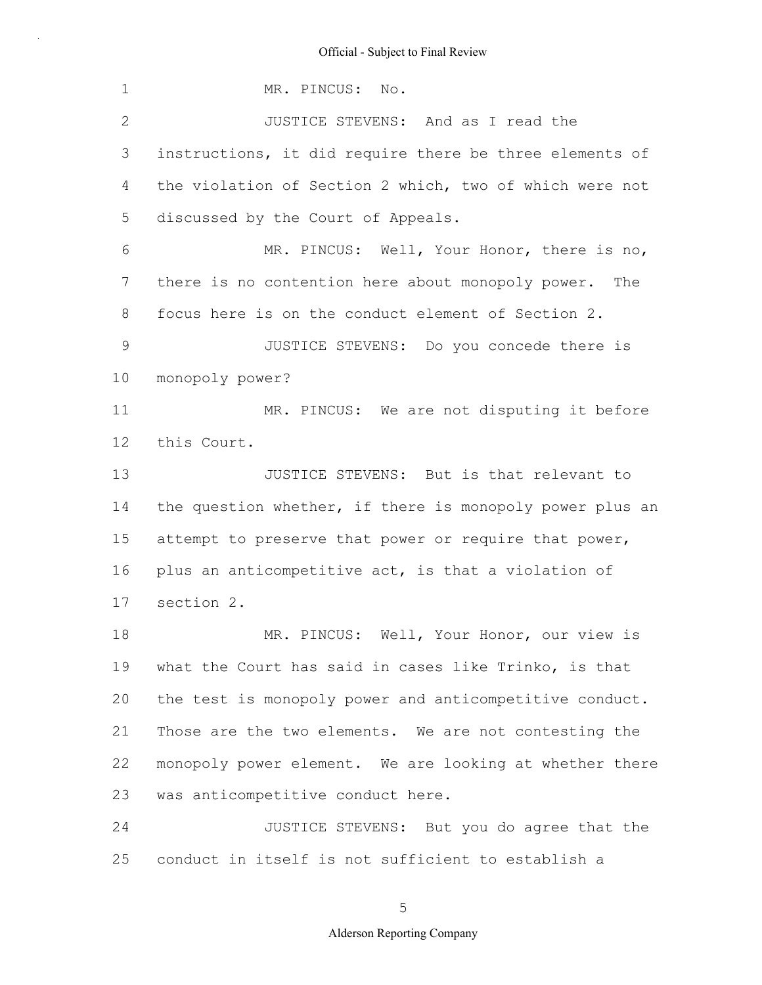1 2 3 4 5 6 7 8 9 10 11 12 13 14 15 16 17 18 19 20 21 22 23 24 25 MR. PINCUS: No. JUSTICE STEVENS: And as I read the instructions, it did require there be three elements of the violation of Section 2 which, two of which were not discussed by the Court of Appeals. MR. PINCUS: Well, Your Honor, there is no, there is no contention here about monopoly power. The focus here is on the conduct element of Section 2. JUSTICE STEVENS: Do you concede there is monopoly power? MR. PINCUS: We are not disputing it before this Court. JUSTICE STEVENS: But is that relevant to the question whether, if there is monopoly power plus an attempt to preserve that power or require that power, plus an anticompetitive act, is that a violation of section 2. MR. PINCUS: Well, Your Honor, our view is what the Court has said in cases like Trinko, is that the test is monopoly power and anticompetitive conduct. Those are the two elements. We are not contesting the monopoly power element. We are looking at whether there was anticompetitive conduct here. JUSTICE STEVENS: But you do agree that the conduct in itself is not sufficient to establish a

5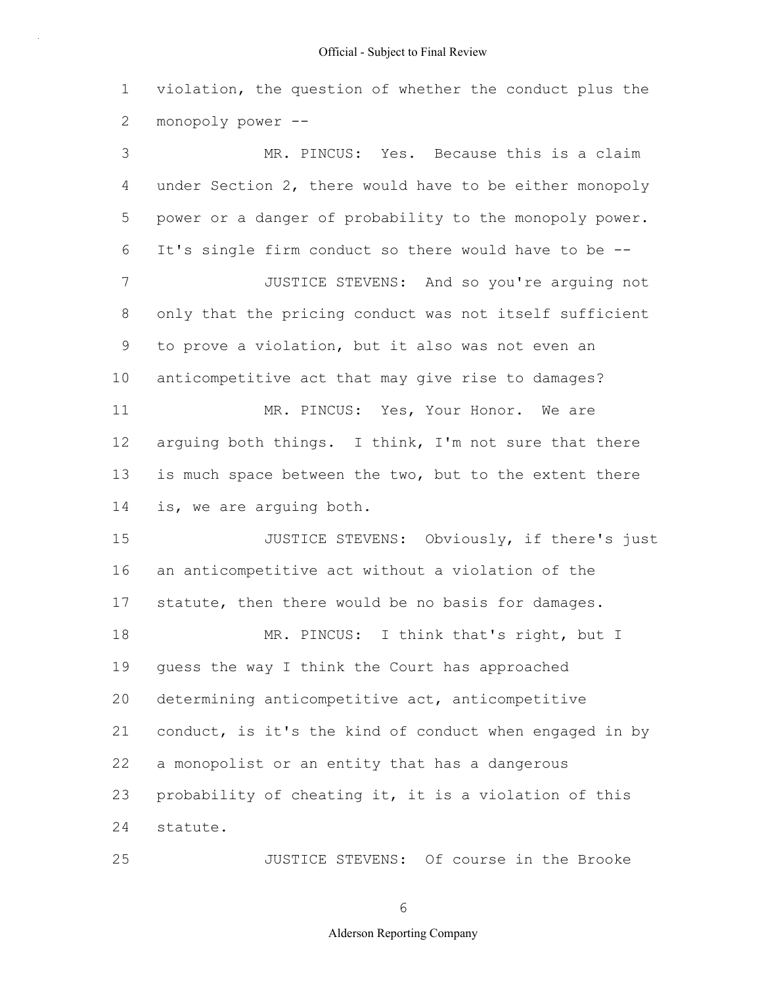1 2 violation, the question of whether the conduct plus the monopoly power --

3 4 5 6 7 8 9 10 11 12 13 14 15 16 17 18 19 20 21 22 23 24 MR. PINCUS: Yes. Because this is a claim under Section 2, there would have to be either monopoly power or a danger of probability to the monopoly power. It's single firm conduct so there would have to be -- JUSTICE STEVENS: And so you're arguing not only that the pricing conduct was not itself sufficient to prove a violation, but it also was not even an anticompetitive act that may give rise to damages? MR. PINCUS: Yes, Your Honor. We are arguing both things. I think, I'm not sure that there is much space between the two, but to the extent there is, we are arguing both. JUSTICE STEVENS: Obviously, if there's just an anticompetitive act without a violation of the statute, then there would be no basis for damages. MR. PINCUS: I think that's right, but I guess the way I think the Court has approached determining anticompetitive act, anticompetitive conduct, is it's the kind of conduct when engaged in by a monopolist or an entity that has a dangerous probability of cheating it, it is a violation of this statute.

JUSTICE STEVENS: Of course in the Brooke

6

25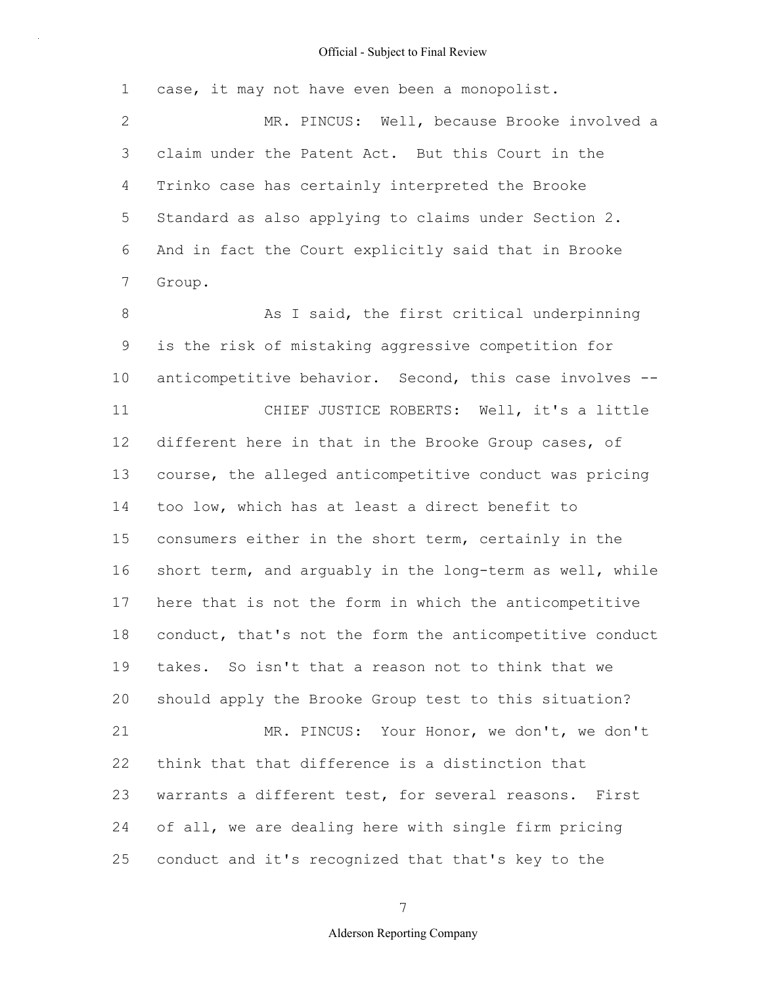1 2 3 4 5 6 7 8 9 10 11 12 13 14 15 16 17 18 19 20 21 22 23 24 25 case, it may not have even been a monopolist. MR. PINCUS: Well, because Brooke involved a claim under the Patent Act. But this Court in the Trinko case has certainly interpreted the Brooke Standard as also applying to claims under Section 2. And in fact the Court explicitly said that in Brooke Group. As I said, the first critical underpinning is the risk of mistaking aggressive competition for anticompetitive behavior. Second, this case involves -- CHIEF JUSTICE ROBERTS: Well, it's a little different here in that in the Brooke Group cases, of course, the alleged anticompetitive conduct was pricing too low, which has at least a direct benefit to consumers either in the short term, certainly in the short term, and arguably in the long-term as well, while here that is not the form in which the anticompetitive conduct, that's not the form the anticompetitive conduct takes. So isn't that a reason not to think that we should apply the Brooke Group test to this situation? MR. PINCUS: Your Honor, we don't, we don't think that that difference is a distinction that warrants a different test, for several reasons. First of all, we are dealing here with single firm pricing conduct and it's recognized that that's key to the

7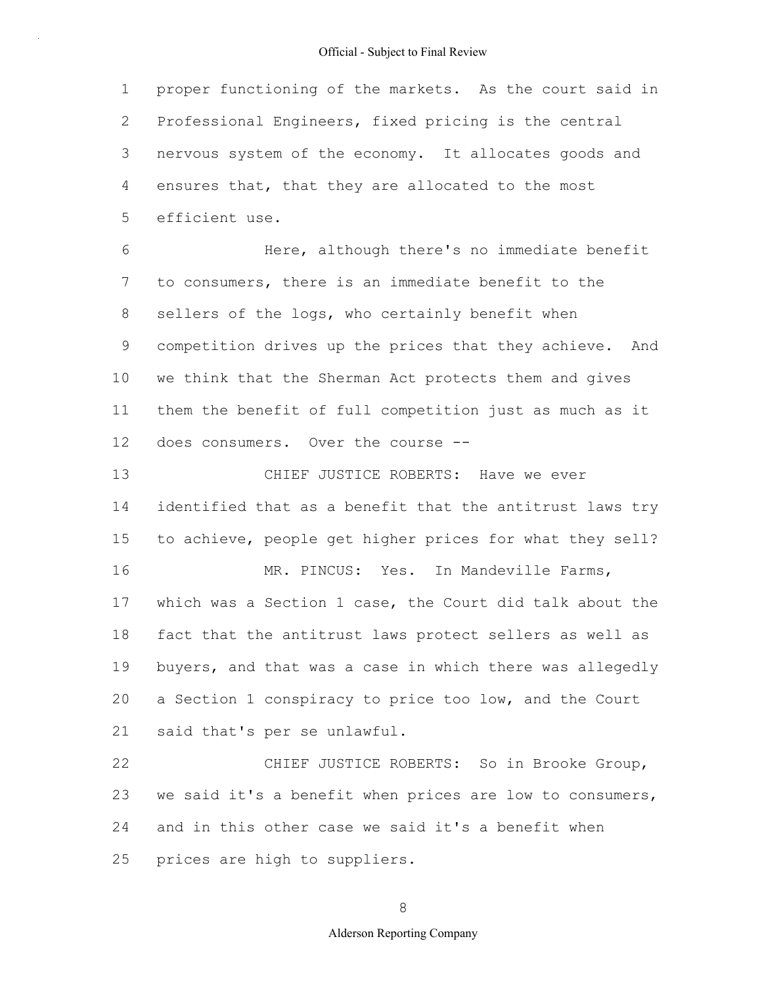1 2 3 4 5 proper functioning of the markets. As the court said in Professional Engineers, fixed pricing is the central nervous system of the economy. It allocates goods and ensures that, that they are allocated to the most efficient use.

6 7 8 9 10 11 12 Here, although there's no immediate benefit to consumers, there is an immediate benefit to the sellers of the logs, who certainly benefit when competition drives up the prices that they achieve. And we think that the Sherman Act protects them and gives them the benefit of full competition just as much as it does consumers. Over the course --

13 14 15 16 17 18 19 20 21 CHIEF JUSTICE ROBERTS: Have we ever identified that as a benefit that the antitrust laws try to achieve, people get higher prices for what they sell? MR. PINCUS: Yes. In Mandeville Farms, which was a Section 1 case, the Court did talk about the fact that the antitrust laws protect sellers as well as buyers, and that was a case in which there was allegedly a Section 1 conspiracy to price too low, and the Court said that's per se unlawful.

22 23 24 25 CHIEF JUSTICE ROBERTS: So in Brooke Group, we said it's a benefit when prices are low to consumers, and in this other case we said it's a benefit when prices are high to suppliers.

8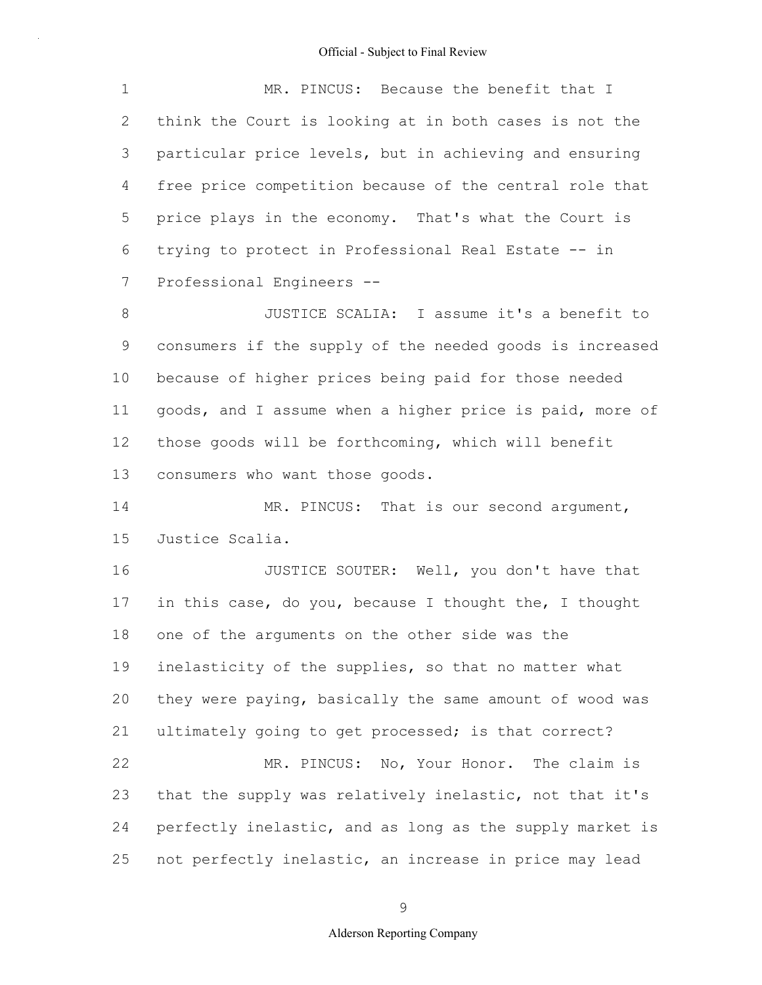1 2 3 4 5 6 7 MR. PINCUS: Because the benefit that I think the Court is looking at in both cases is not the particular price levels, but in achieving and ensuring free price competition because of the central role that price plays in the economy. That's what the Court is trying to protect in Professional Real Estate -- in Professional Engineers --

8 9 10 11 12 13 JUSTICE SCALIA: I assume it's a benefit to consumers if the supply of the needed goods is increased because of higher prices being paid for those needed goods, and I assume when a higher price is paid, more of those goods will be forthcoming, which will benefit consumers who want those goods.

14 15 MR. PINCUS: That is our second argument, Justice Scalia.

16 17 18 19 20 21 22 23 24 25 JUSTICE SOUTER: Well, you don't have that in this case, do you, because I thought the, I thought one of the arguments on the other side was the inelasticity of the supplies, so that no matter what they were paying, basically the same amount of wood was ultimately going to get processed; is that correct? MR. PINCUS: No, Your Honor. The claim is that the supply was relatively inelastic, not that it's perfectly inelastic, and as long as the supply market is not perfectly inelastic, an increase in price may lead

9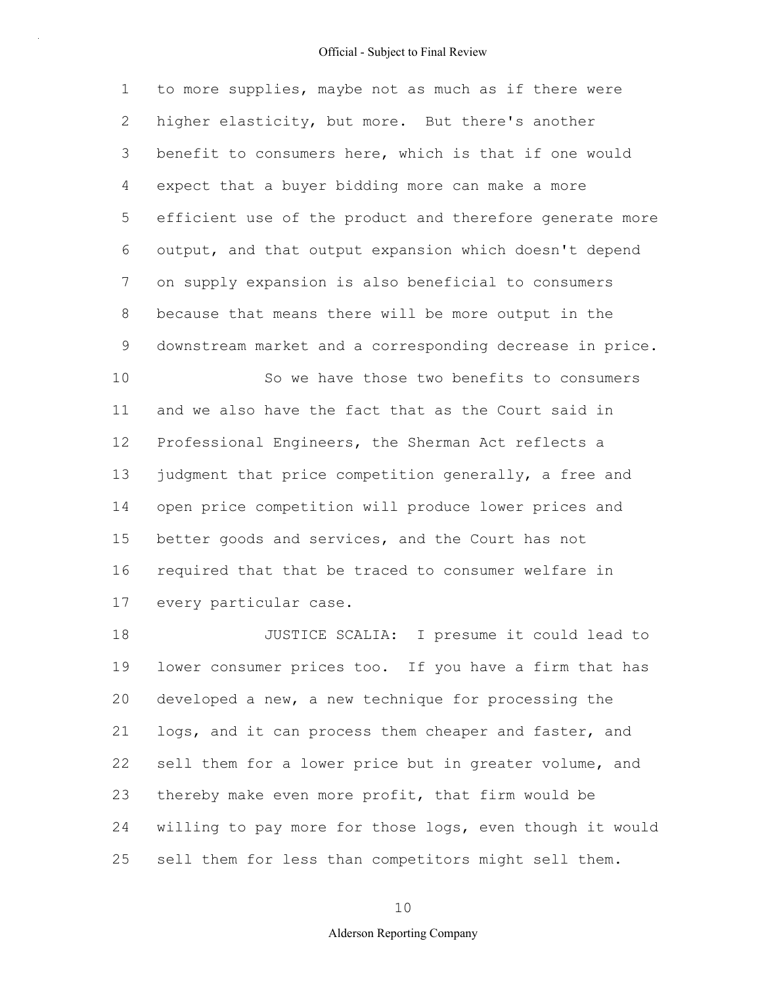1 2 3 4 5 6 7 8 9 10 to more supplies, maybe not as much as if there were higher elasticity, but more. But there's another benefit to consumers here, which is that if one would expect that a buyer bidding more can make a more efficient use of the product and therefore generate more output, and that output expansion which doesn't depend on supply expansion is also beneficial to consumers because that means there will be more output in the downstream market and a corresponding decrease in price. So we have those two benefits to consumers

11 12 13 14 15 16 17 and we also have the fact that as the Court said in Professional Engineers, the Sherman Act reflects a judgment that price competition generally, a free and open price competition will produce lower prices and better goods and services, and the Court has not required that that be traced to consumer welfare in every particular case.

18 19 20 21 22 23 24 25 JUSTICE SCALIA: I presume it could lead to lower consumer prices too. If you have a firm that has developed a new, a new technique for processing the logs, and it can process them cheaper and faster, and sell them for a lower price but in greater volume, and thereby make even more profit, that firm would be willing to pay more for those logs, even though it would sell them for less than competitors might sell them.

10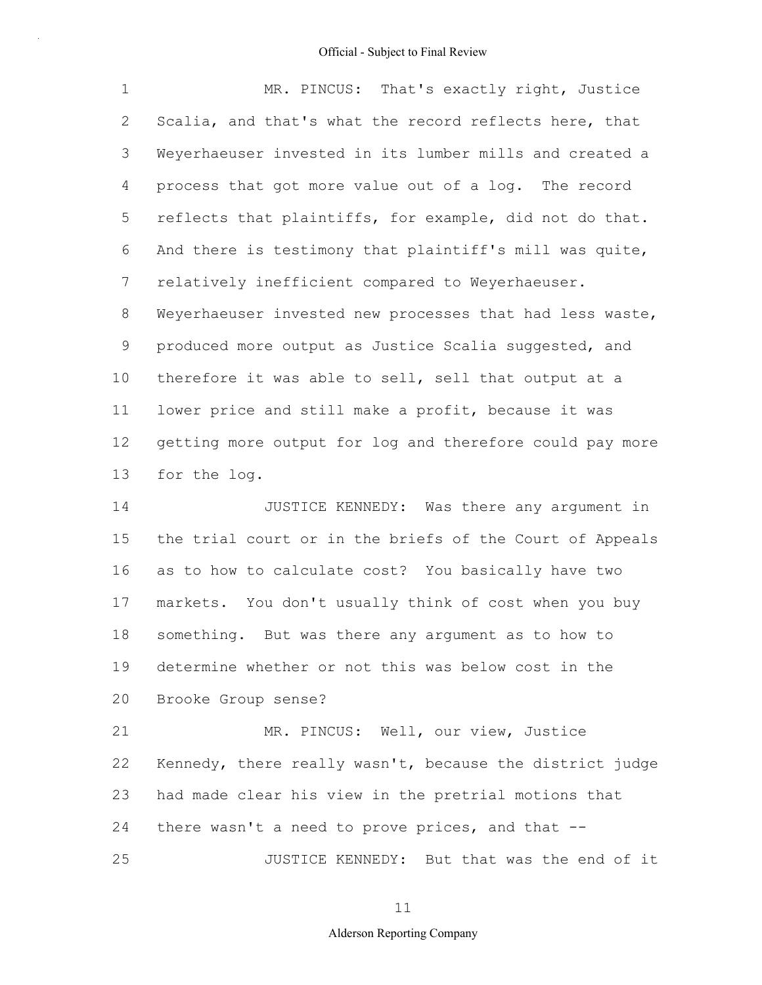| $\mathbf 1$     | MR. PINCUS: That's exactly right, Justice                |
|-----------------|----------------------------------------------------------|
| 2               | Scalia, and that's what the record reflects here, that   |
| 3               | Weyerhaeuser invested in its lumber mills and created a  |
| 4               | process that got more value out of a log. The record     |
| 5               | reflects that plaintiffs, for example, did not do that.  |
| 6               | And there is testimony that plaintiff's mill was quite,  |
| $7\phantom{.0}$ | relatively inefficient compared to Weyerhaeuser.         |
| 8               | Weyerhaeuser invested new processes that had less waste, |
| 9               | produced more output as Justice Scalia suggested, and    |
| 10              | therefore it was able to sell, sell that output at a     |
| 11              | lower price and still make a profit, because it was      |
| 12              | getting more output for log and therefore could pay more |
| 13              | for the log.                                             |
| 14              | JUSTICE KENNEDY:<br>Was there any argument in            |

15 16 17 18 19 20 the trial court or in the briefs of the Court of Appeals as to how to calculate cost? You basically have two markets. You don't usually think of cost when you buy something. But was there any argument as to how to determine whether or not this was below cost in the Brooke Group sense?

21 22 23 24 25 MR. PINCUS: Well, our view, Justice Kennedy, there really wasn't, because the district judge had made clear his view in the pretrial motions that there wasn't a need to prove prices, and that -- JUSTICE KENNEDY: But that was the end of it

11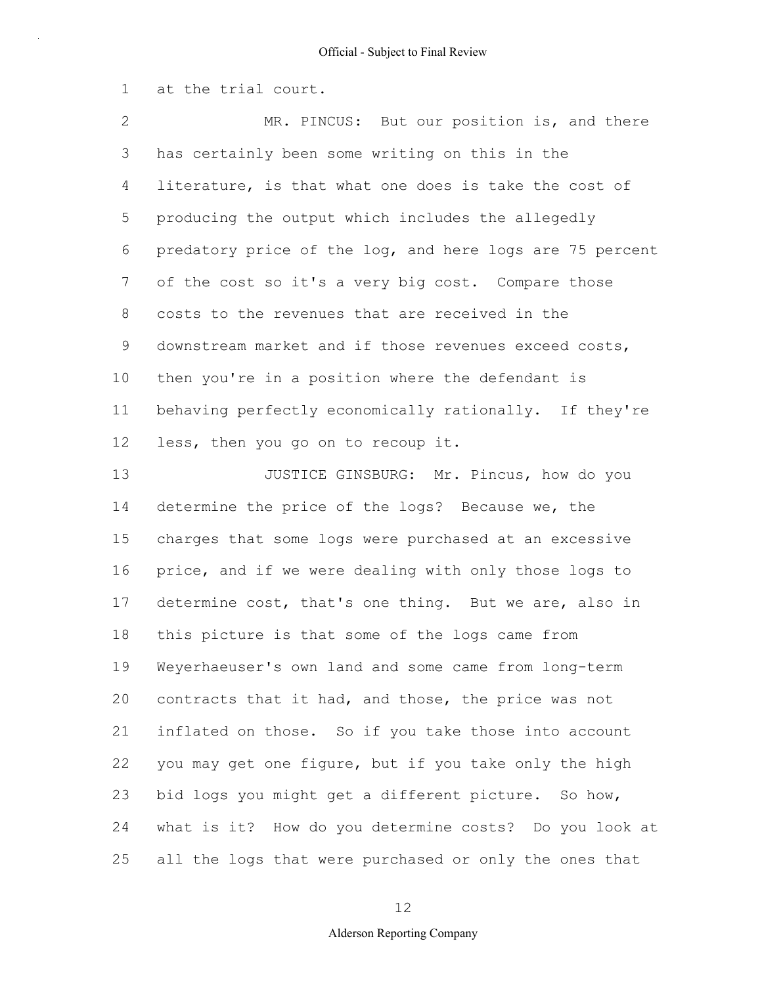1 at the trial court.

2 3 4 5 6 7 8 9 10 11 12 MR. PINCUS: But our position is, and there has certainly been some writing on this in the literature, is that what one does is take the cost of producing the output which includes the allegedly predatory price of the log, and here logs are 75 percent of the cost so it's a very big cost. Compare those costs to the revenues that are received in the downstream market and if those revenues exceed costs, then you're in a position where the defendant is behaving perfectly economically rationally. If they're less, then you go on to recoup it.

13 14 15 16 17 18 19 20 21 22 23 24 25 JUSTICE GINSBURG: Mr. Pincus, how do you determine the price of the logs? Because we, the charges that some logs were purchased at an excessive price, and if we were dealing with only those logs to determine cost, that's one thing. But we are, also in this picture is that some of the logs came from Weyerhaeuser's own land and some came from long-term contracts that it had, and those, the price was not inflated on those. So if you take those into account you may get one figure, but if you take only the high bid logs you might get a different picture. So how, what is it? How do you determine costs? Do you look at all the logs that were purchased or only the ones that

12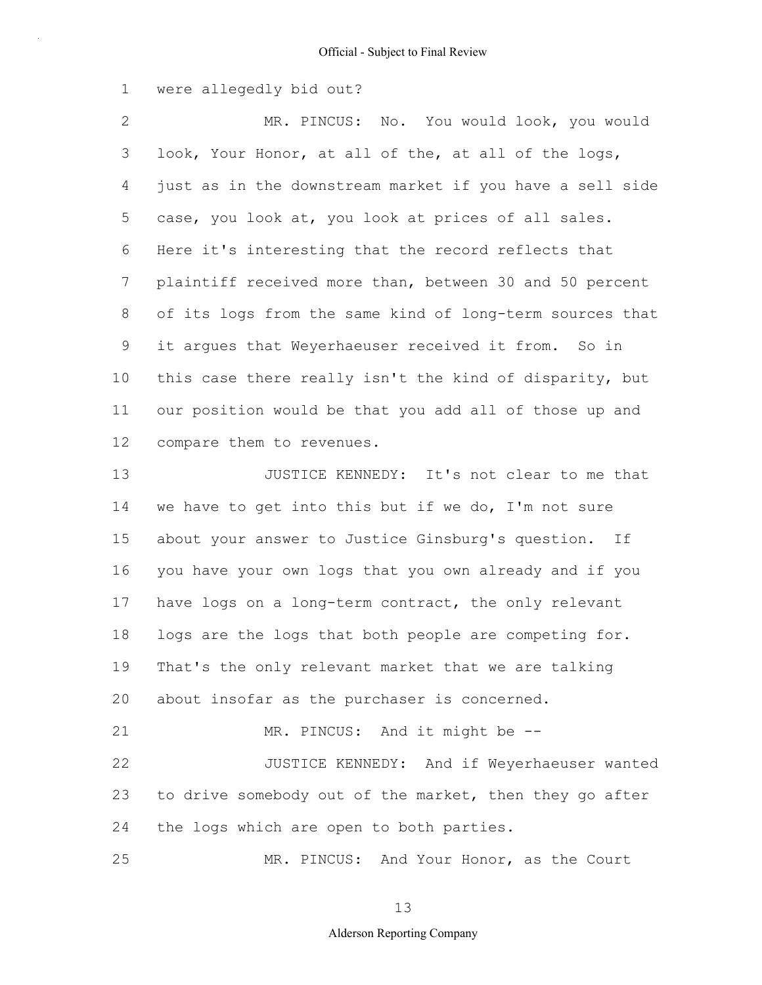1 were allegedly bid out?

2 3 4 5 6 7 8 9 10 11 12 MR. PINCUS: No. You would look, you would look, Your Honor, at all of the, at all of the logs, just as in the downstream market if you have a sell side case, you look at, you look at prices of all sales. Here it's interesting that the record reflects that plaintiff received more than, between 30 and 50 percent of its logs from the same kind of long-term sources that it argues that Weyerhaeuser received it from. So in this case there really isn't the kind of disparity, but our position would be that you add all of those up and compare them to revenues.

13 14 15 16 17 18 19 20 21 22 23 24 JUSTICE KENNEDY: It's not clear to me that we have to get into this but if we do, I'm not sure about your answer to Justice Ginsburg's question. If you have your own logs that you own already and if you have logs on a long-term contract, the only relevant logs are the logs that both people are competing for. That's the only relevant market that we are talking about insofar as the purchaser is concerned. MR. PINCUS: And it might be -- JUSTICE KENNEDY: And if Weyerhaeuser wanted to drive somebody out of the market, then they go after the logs which are open to both parties.

MR. PINCUS: And Your Honor, as the Court

25

13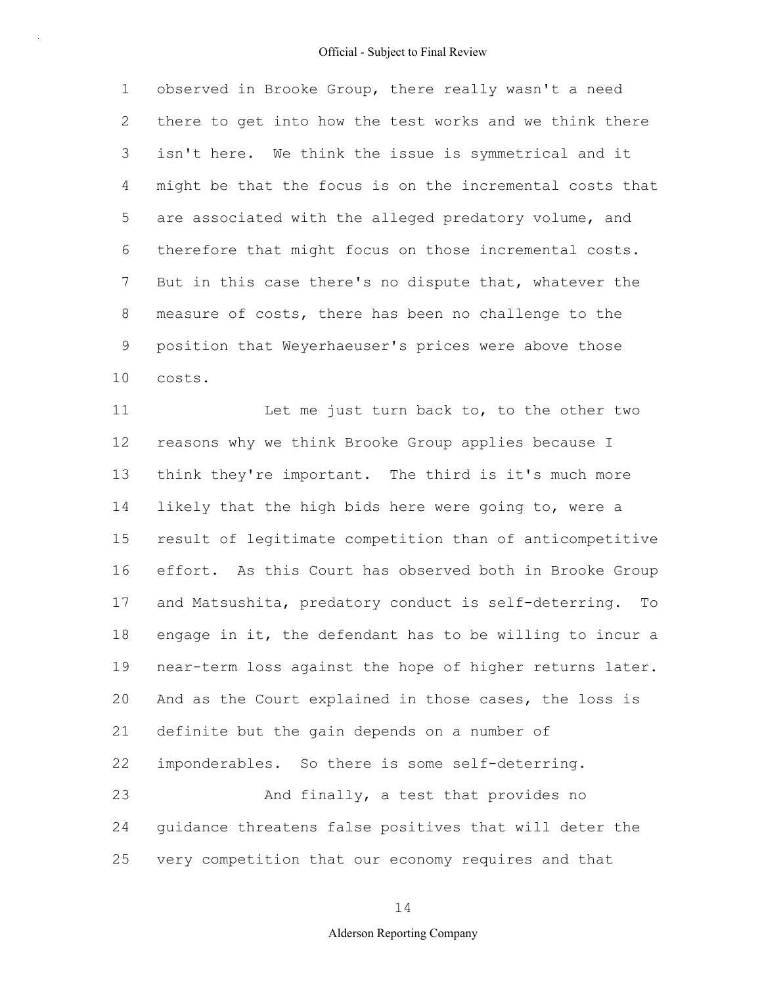1 2 3 4 5 6 7 8 9 10 observed in Brooke Group, there really wasn't a need there to get into how the test works and we think there isn't here. We think the issue is symmetrical and it might be that the focus is on the incremental costs that are associated with the alleged predatory volume, and therefore that might focus on those incremental costs. But in this case there's no dispute that, whatever the measure of costs, there has been no challenge to the position that Weyerhaeuser's prices were above those costs.

11 12 13 14 15 16 17 18 19 20 21 22 23 24 25 Let me just turn back to, to the other two reasons why we think Brooke Group applies because I think they're important. The third is it's much more likely that the high bids here were going to, were a result of legitimate competition than of anticompetitive effort. As this Court has observed both in Brooke Group and Matsushita, predatory conduct is self-deterring. To engage in it, the defendant has to be willing to incur a near-term loss against the hope of higher returns later. And as the Court explained in those cases, the loss is definite but the gain depends on a number of imponderables. So there is some self-deterring. And finally, a test that provides no guidance threatens false positives that will deter the very competition that our economy requires and that

14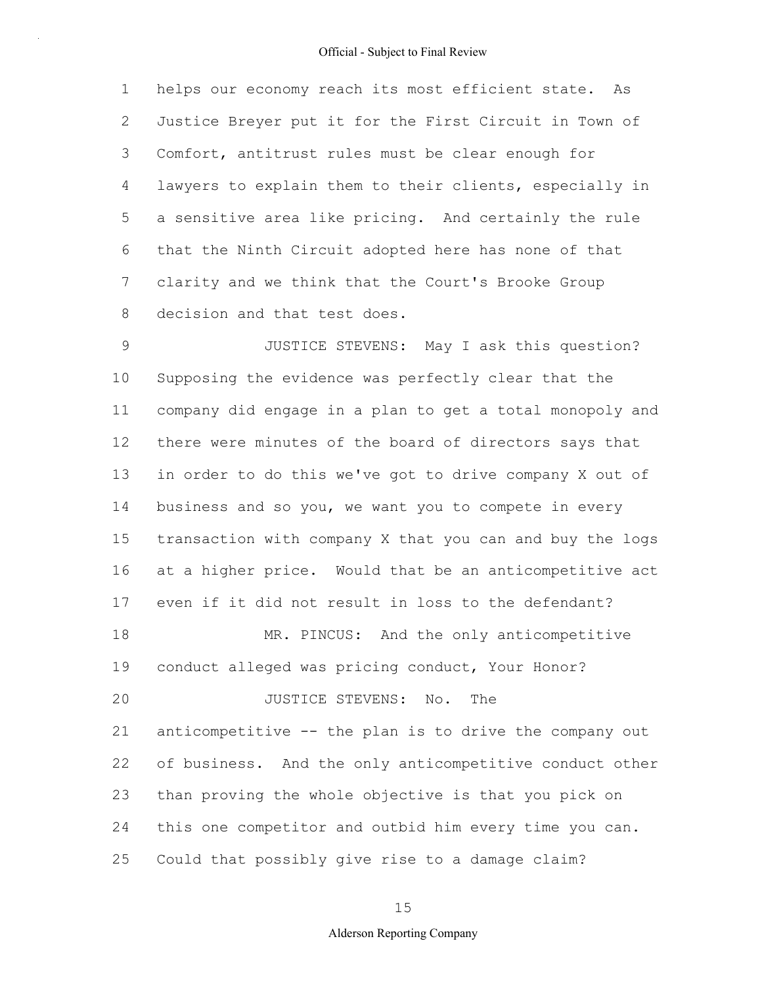1 2 3 4 5 6 7 8 helps our economy reach its most efficient state. As Justice Breyer put it for the First Circuit in Town of Comfort, antitrust rules must be clear enough for lawyers to explain them to their clients, especially in a sensitive area like pricing. And certainly the rule that the Ninth Circuit adopted here has none of that clarity and we think that the Court's Brooke Group decision and that test does.

9 10 11 12 13 14 15 16 17 18 19 20 21 22 23 24 25 JUSTICE STEVENS: May I ask this question? Supposing the evidence was perfectly clear that the company did engage in a plan to get a total monopoly and there were minutes of the board of directors says that in order to do this we've got to drive company X out of business and so you, we want you to compete in every transaction with company X that you can and buy the logs at a higher price. Would that be an anticompetitive act even if it did not result in loss to the defendant? MR. PINCUS: And the only anticompetitive conduct alleged was pricing conduct, Your Honor? JUSTICE STEVENS: No. The anticompetitive -- the plan is to drive the company out of business. And the only anticompetitive conduct other than proving the whole objective is that you pick on this one competitor and outbid him every time you can. Could that possibly give rise to a damage claim?

15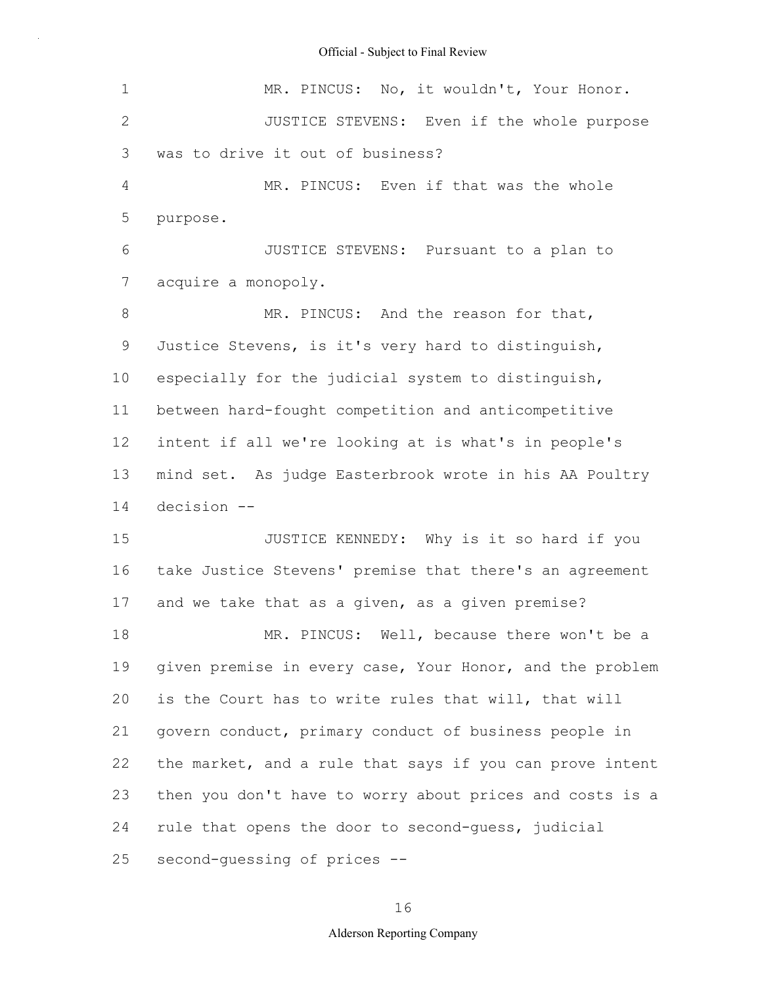| 1              | MR. PINCUS: No, it wouldn't, Your Honor.                 |
|----------------|----------------------------------------------------------|
| $\mathbf{2}$   | JUSTICE STEVENS: Even if the whole purpose               |
| 3              | was to drive it out of business?                         |
| 4              | MR. PINCUS: Even if that was the whole                   |
| 5              | purpose.                                                 |
| 6              | JUSTICE STEVENS: Pursuant to a plan to                   |
| $\overline{7}$ | acquire a monopoly.                                      |
| 8              | MR. PINCUS: And the reason for that,                     |
| 9              | Justice Stevens, is it's very hard to distinguish,       |
| 10             | especially for the judicial system to distinguish,       |
| 11             | between hard-fought competition and anticompetitive      |
| 12             | intent if all we're looking at is what's in people's     |
| 13             | mind set. As judge Easterbrook wrote in his AA Poultry   |
| 14             | decision --                                              |
| 15             | JUSTICE KENNEDY: Why is it so hard if you                |
| 16             | take Justice Stevens' premise that there's an agreement  |
| 17             | and we take that as a given, as a given premise?         |
| 18             | MR. PINCUS: Well, because there won't be a               |
| 19             | given premise in every case, Your Honor, and the problem |
| 20             | is the Court has to write rules that will, that will     |
| 21             | govern conduct, primary conduct of business people in    |
| 22             | the market, and a rule that says if you can prove intent |
| 23             | then you don't have to worry about prices and costs is a |
| 24             | rule that opens the door to second-guess, judicial       |
| 25             | second-guessing of prices --                             |

# 16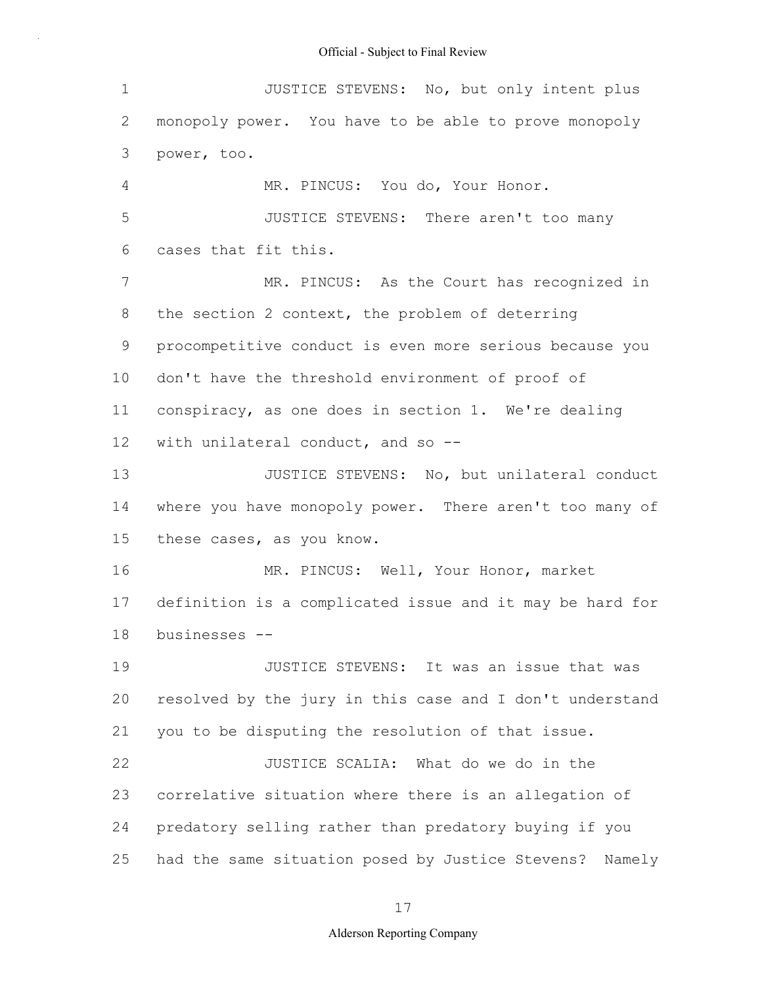| 1              | JUSTICE STEVENS: No, but only intent plus                |
|----------------|----------------------------------------------------------|
| 2              | monopoly power. You have to be able to prove monopoly    |
| 3              | power, too.                                              |
| $\overline{4}$ | MR. PINCUS: You do, Your Honor.                          |
| 5              | JUSTICE STEVENS: There aren't too many                   |
| 6              | cases that fit this.                                     |
| 7              | MR. PINCUS: As the Court has recognized in               |
| 8              | the section 2 context, the problem of deterring          |
| 9              | procompetitive conduct is even more serious because you  |
| 10             | don't have the threshold environment of proof of         |
| 11             | conspiracy, as one does in section 1. We're dealing      |
| $12 \,$        | with unilateral conduct, and so --                       |
| 13             | JUSTICE STEVENS: No, but unilateral conduct              |
| 14             | where you have monopoly power. There aren't too many of  |
| 15             | these cases, as you know.                                |
| 16             | MR. PINCUS: Well, Your Honor, market                     |
| 17             | definition is a complicated issue and it may be hard for |
| 18             | businesses --                                            |
| 19             | JUSTICE STEVENS: It was an issue that was                |
| 20             | resolved by the jury in this case and I don't understand |
| 21             | you to be disputing the resolution of that issue.        |
| 22             | JUSTICE SCALIA: What do we do in the                     |
| 23             | correlative situation where there is an allegation of    |
| 24             | predatory selling rather than predatory buying if you    |
| 25             | had the same situation posed by Justice Stevens? Namely  |

17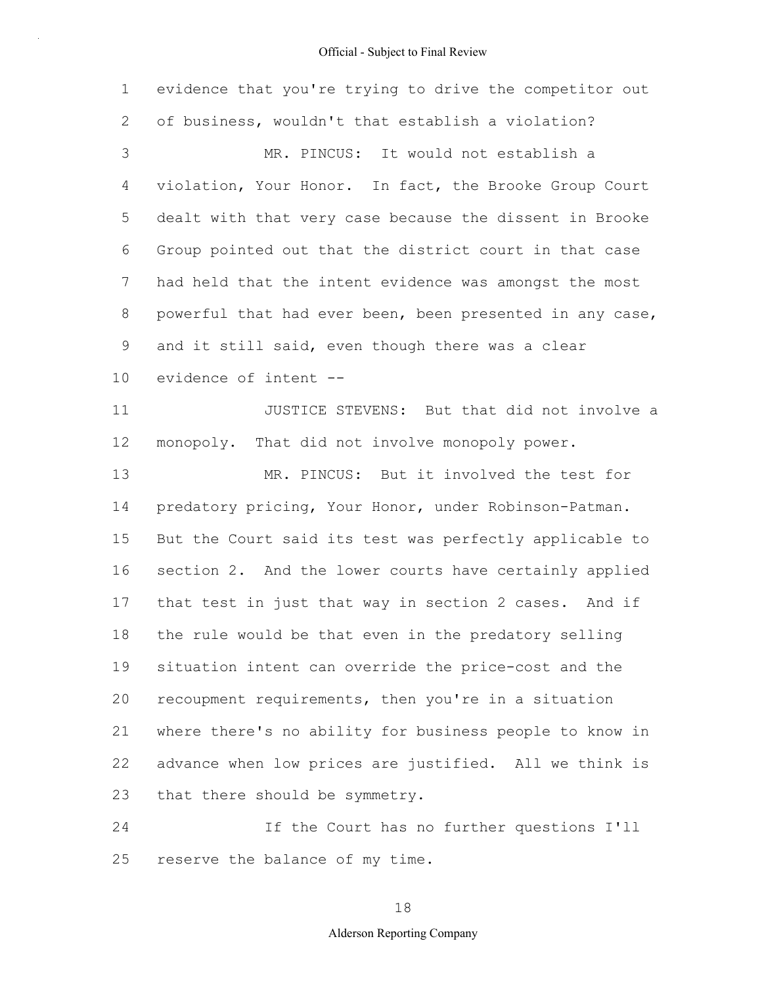1 2 3 4 5 6 7 8 9 10 11 12 13 14 15 16 17 18 19 20 21 22 23 24 evidence that you're trying to drive the competitor out of business, wouldn't that establish a violation? MR. PINCUS: It would not establish a violation, Your Honor. In fact, the Brooke Group Court dealt with that very case because the dissent in Brooke Group pointed out that the district court in that case had held that the intent evidence was amongst the most powerful that had ever been, been presented in any case, and it still said, even though there was a clear evidence of intent -- JUSTICE STEVENS: But that did not involve a monopoly. That did not involve monopoly power. MR. PINCUS: But it involved the test for predatory pricing, Your Honor, under Robinson-Patman. But the Court said its test was perfectly applicable to section 2. And the lower courts have certainly applied that test in just that way in section 2 cases. And if the rule would be that even in the predatory selling situation intent can override the price-cost and the recoupment requirements, then you're in a situation where there's no ability for business people to know in advance when low prices are justified. All we think is that there should be symmetry. If the Court has no further questions I'll

reserve the balance of my time.

25

# 18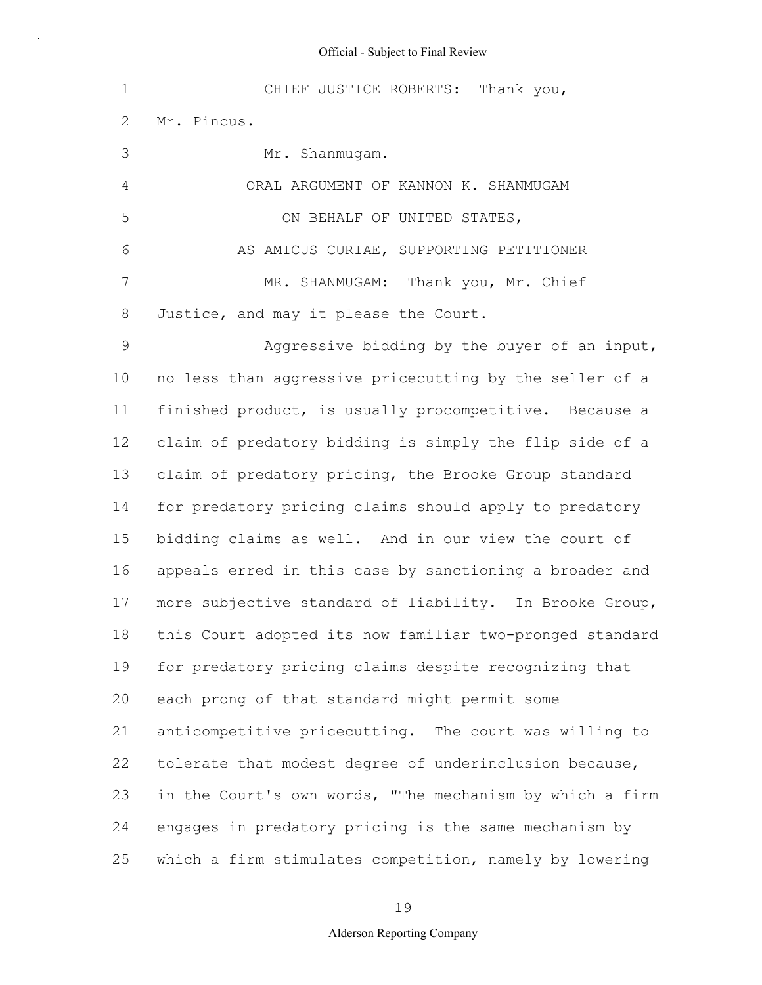| $\mathbf 1$    | CHIEF JUSTICE ROBERTS: Thank you,                        |
|----------------|----------------------------------------------------------|
| $\mathbf{2}$   | Mr. Pincus.                                              |
| 3              | Mr. Shanmugam.                                           |
| $\overline{4}$ | ORAL ARGUMENT OF KANNON K. SHANMUGAM                     |
| 5              | ON BEHALF OF UNITED STATES,                              |
| 6              | AS AMICUS CURIAE, SUPPORTING PETITIONER                  |
| $\overline{7}$ | MR. SHANMUGAM: Thank you, Mr. Chief                      |
| 8              | Justice, and may it please the Court.                    |
| $\mathcal{G}$  | Aggressive bidding by the buyer of an input,             |
| 10             | no less than aggressive pricecutting by the seller of a  |
| 11             | finished product, is usually procompetitive. Because a   |
| 12             | claim of predatory bidding is simply the flip side of a  |
| 13             | claim of predatory pricing, the Brooke Group standard    |
| 14             | for predatory pricing claims should apply to predatory   |
| 15             | bidding claims as well. And in our view the court of     |
| 16             | appeals erred in this case by sanctioning a broader and  |
| 17             | more subjective standard of liability. In Brooke Group,  |
| 18             | this Court adopted its now familiar two-pronged standard |
| 19             | for predatory pricing claims despite recognizing that    |
| 20             | each prong of that standard might permit some            |
| 21             | anticompetitive pricecutting. The court was willing to   |
| 22             | tolerate that modest degree of underinclusion because,   |
| 23             | in the Court's own words, "The mechanism by which a firm |
| 24             | engages in predatory pricing is the same mechanism by    |
| 25             | which a firm stimulates competition, namely by lowering  |

19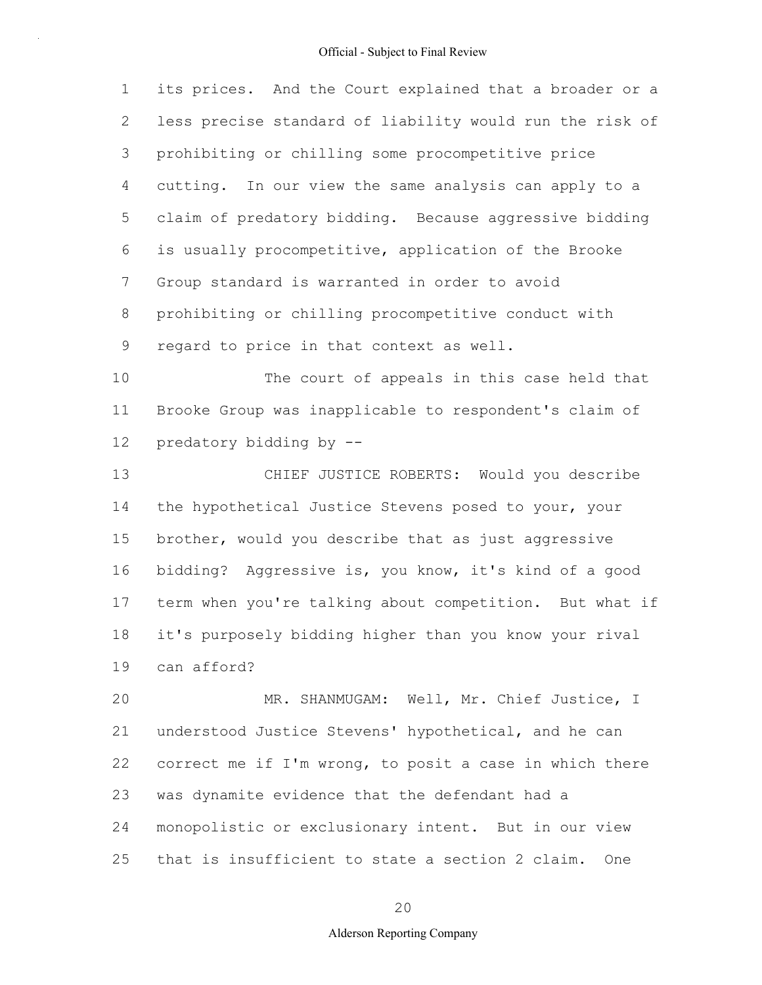1 2 3 4 5 6 7 8 9 its prices. And the Court explained that a broader or a less precise standard of liability would run the risk of prohibiting or chilling some procompetitive price cutting. In our view the same analysis can apply to a claim of predatory bidding. Because aggressive bidding is usually procompetitive, application of the Brooke Group standard is warranted in order to avoid prohibiting or chilling procompetitive conduct with regard to price in that context as well.

10 11 12 The court of appeals in this case held that Brooke Group was inapplicable to respondent's claim of predatory bidding by --

13 14 15 16 17 18 19 CHIEF JUSTICE ROBERTS: Would you describe the hypothetical Justice Stevens posed to your, your brother, would you describe that as just aggressive bidding? Aggressive is, you know, it's kind of a good term when you're talking about competition. But what if it's purposely bidding higher than you know your rival can afford?

20 21 22 23 24 25 MR. SHANMUGAM: Well, Mr. Chief Justice, I understood Justice Stevens' hypothetical, and he can correct me if I'm wrong, to posit a case in which there was dynamite evidence that the defendant had a monopolistic or exclusionary intent. But in our view that is insufficient to state a section 2 claim. One

20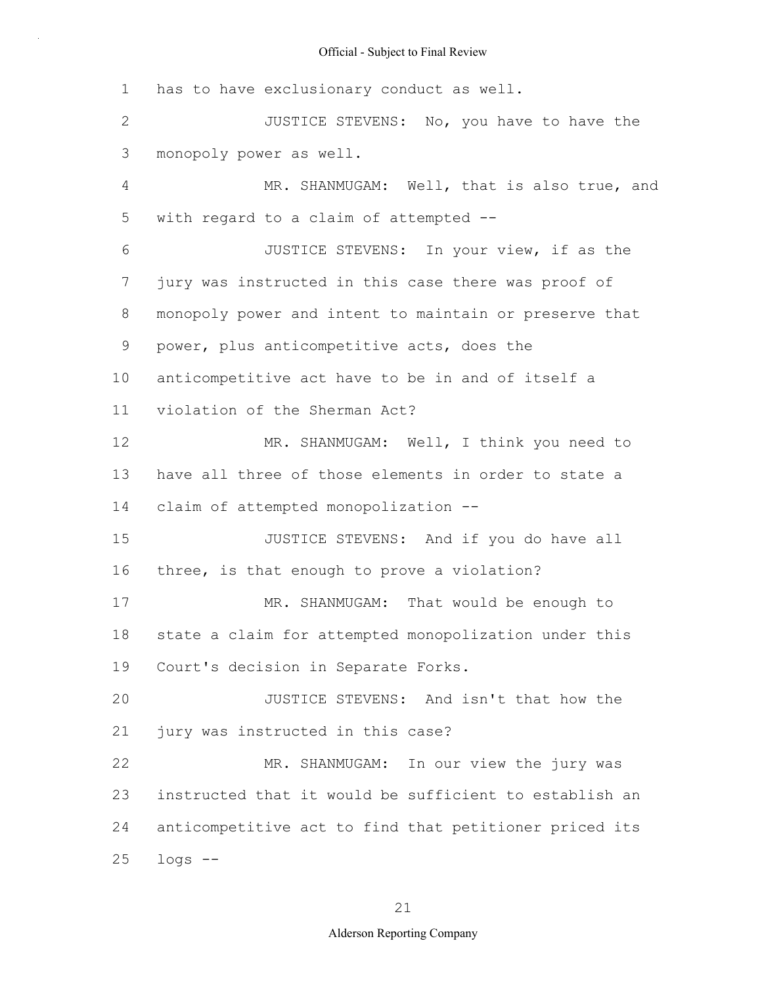1 2 3 4 5 6 7 8 9 10 11 12 13 14 15 16 17 18 19 20 21 22 23 24 25 has to have exclusionary conduct as well. JUSTICE STEVENS: No, you have to have the monopoly power as well. MR. SHANMUGAM: Well, that is also true, and with regard to a claim of attempted -- JUSTICE STEVENS: In your view, if as the jury was instructed in this case there was proof of monopoly power and intent to maintain or preserve that power, plus anticompetitive acts, does the anticompetitive act have to be in and of itself a violation of the Sherman Act? MR. SHANMUGAM: Well, I think you need to have all three of those elements in order to state a claim of attempted monopolization -- JUSTICE STEVENS: And if you do have all three, is that enough to prove a violation? MR. SHANMUGAM: That would be enough to state a claim for attempted monopolization under this Court's decision in Separate Forks. JUSTICE STEVENS: And isn't that how the jury was instructed in this case? MR. SHANMUGAM: In our view the jury was instructed that it would be sufficient to establish an anticompetitive act to find that petitioner priced its logs --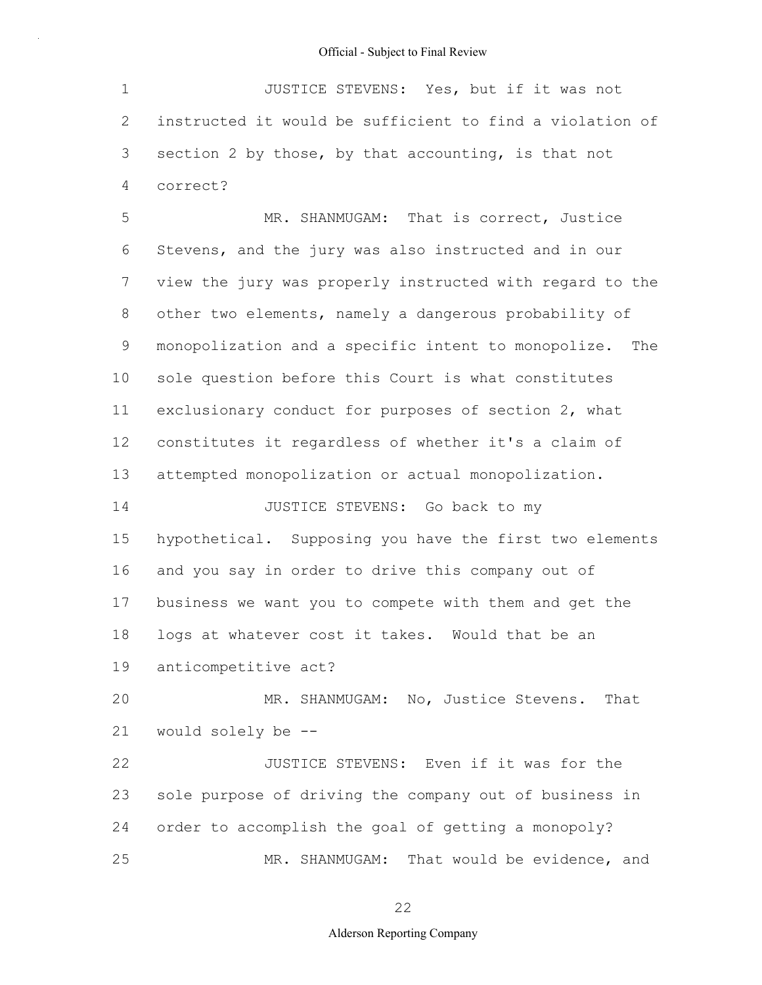1 2 3 4 JUSTICE STEVENS: Yes, but if it was not instructed it would be sufficient to find a violation of section 2 by those, by that accounting, is that not correct?

5 6 7 8 9 10 11 12 13 14 15 MR. SHANMUGAM: That is correct, Justice Stevens, and the jury was also instructed and in our view the jury was properly instructed with regard to the other two elements, namely a dangerous probability of monopolization and a specific intent to monopolize. The sole question before this Court is what constitutes exclusionary conduct for purposes of section 2, what constitutes it regardless of whether it's a claim of attempted monopolization or actual monopolization. JUSTICE STEVENS: Go back to my hypothetical. Supposing you have the first two elements

16 17 18 and you say in order to drive this company out of business we want you to compete with them and get the logs at whatever cost it takes. Would that be an

19 anticompetitive act?

20 21 MR. SHANMUGAM: No, Justice Stevens. That would solely be --

22 23 24 25 JUSTICE STEVENS: Even if it was for the sole purpose of driving the company out of business in order to accomplish the goal of getting a monopoly? MR. SHANMUGAM: That would be evidence, and

22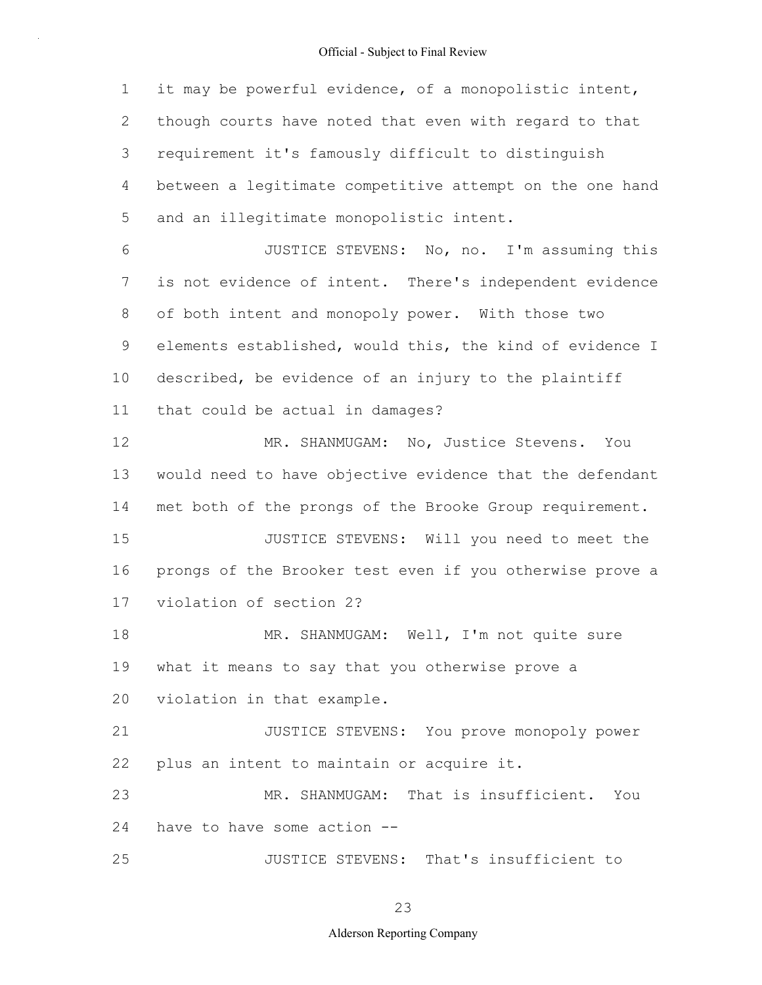1 2 3 4 5 6 7 8 9 10 11 12 13 14 15 16 17 18 19 20 21 22 23 24 25 it may be powerful evidence, of a monopolistic intent, though courts have noted that even with regard to that requirement it's famously difficult to distinguish between a legitimate competitive attempt on the one hand and an illegitimate monopolistic intent. JUSTICE STEVENS: No, no. I'm assuming this is not evidence of intent. There's independent evidence of both intent and monopoly power. With those two elements established, would this, the kind of evidence I described, be evidence of an injury to the plaintiff that could be actual in damages? MR. SHANMUGAM: No, Justice Stevens. You would need to have objective evidence that the defendant met both of the prongs of the Brooke Group requirement. JUSTICE STEVENS: Will you need to meet the prongs of the Brooker test even if you otherwise prove a violation of section 2? MR. SHANMUGAM: Well, I'm not quite sure what it means to say that you otherwise prove a violation in that example. JUSTICE STEVENS: You prove monopoly power plus an intent to maintain or acquire it. MR. SHANMUGAM: That is insufficient. You have to have some action -- JUSTICE STEVENS: That's insufficient to

23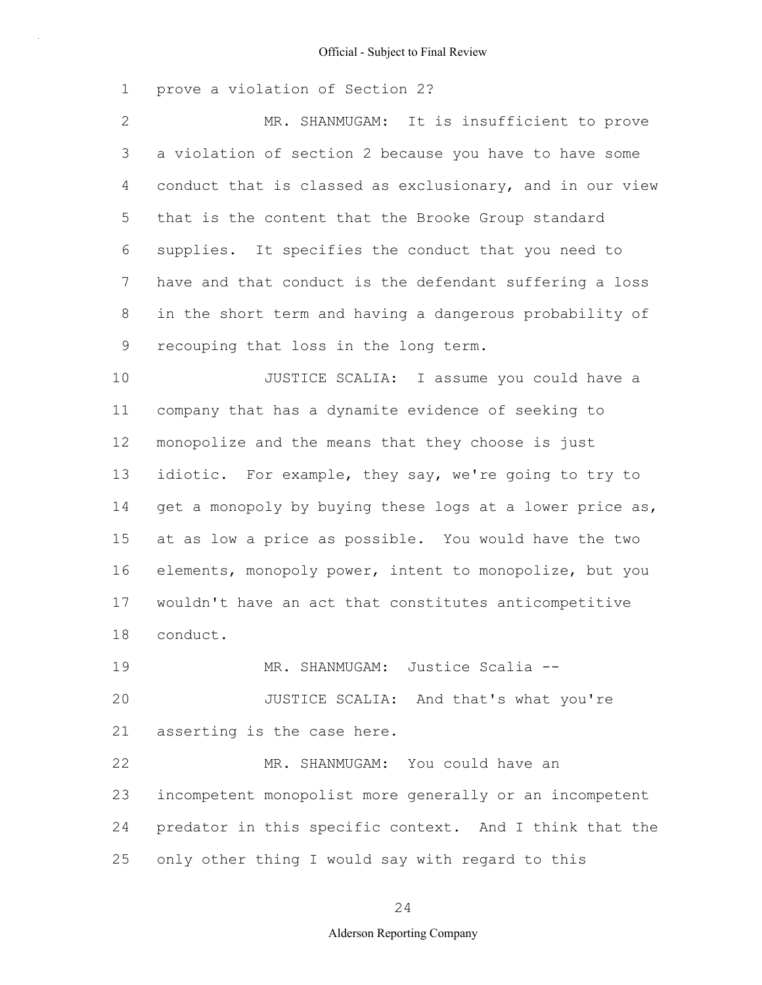1 prove a violation of Section 2?

2 3 4 5 6 7 8 9 MR. SHANMUGAM: It is insufficient to prove a violation of section 2 because you have to have some conduct that is classed as exclusionary, and in our view that is the content that the Brooke Group standard supplies. It specifies the conduct that you need to have and that conduct is the defendant suffering a loss in the short term and having a dangerous probability of recouping that loss in the long term.

10 11 12 13 14 15 16 17 18 JUSTICE SCALIA: I assume you could have a company that has a dynamite evidence of seeking to monopolize and the means that they choose is just idiotic. For example, they say, we're going to try to get a monopoly by buying these logs at a lower price as, at as low a price as possible. You would have the two elements, monopoly power, intent to monopolize, but you wouldn't have an act that constitutes anticompetitive conduct.

19 20 21 MR. SHANMUGAM: Justice Scalia -- JUSTICE SCALIA: And that's what you're asserting is the case here.

22 23 24 25 MR. SHANMUGAM: You could have an incompetent monopolist more generally or an incompetent predator in this specific context. And I think that the only other thing I would say with regard to this

24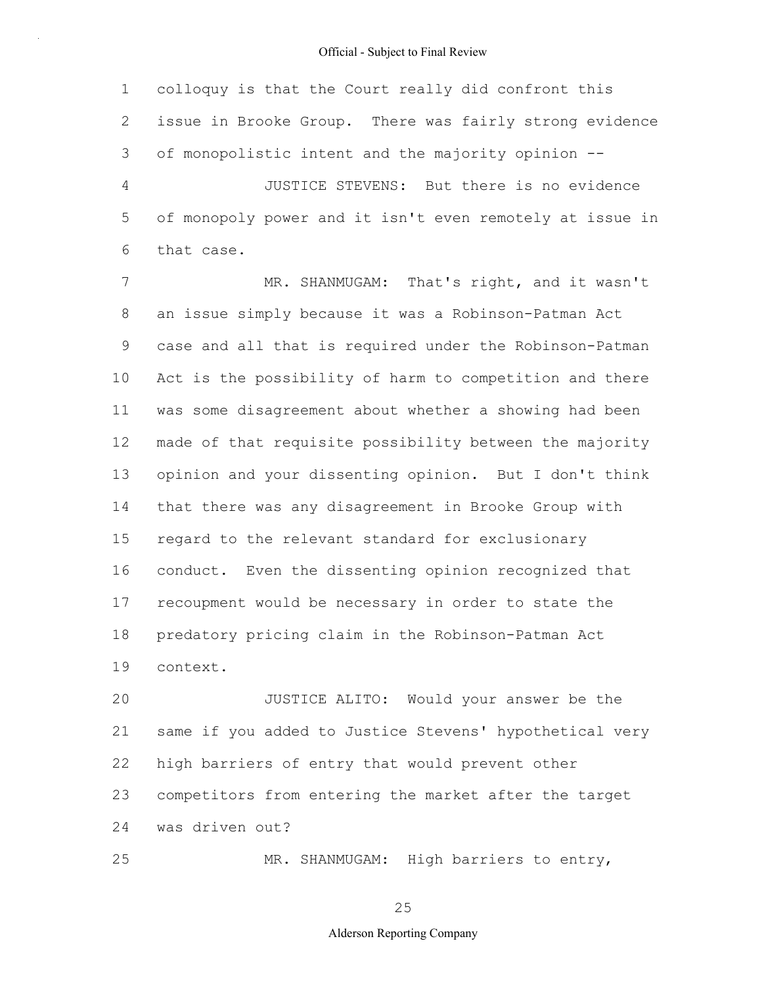1 2 3 4 5 6 colloquy is that the Court really did confront this issue in Brooke Group. There was fairly strong evidence of monopolistic intent and the majority opinion -- JUSTICE STEVENS: But there is no evidence of monopoly power and it isn't even remotely at issue in that case.

7 8 9 10 11 12 13 14 15 16 17 18 19 MR. SHANMUGAM: That's right, and it wasn't an issue simply because it was a Robinson-Patman Act case and all that is required under the Robinson-Patman Act is the possibility of harm to competition and there was some disagreement about whether a showing had been made of that requisite possibility between the majority opinion and your dissenting opinion. But I don't think that there was any disagreement in Brooke Group with regard to the relevant standard for exclusionary conduct. Even the dissenting opinion recognized that recoupment would be necessary in order to state the predatory pricing claim in the Robinson-Patman Act context.

20 21 22 23 24 JUSTICE ALITO: Would your answer be the same if you added to Justice Stevens' hypothetical very high barriers of entry that would prevent other competitors from entering the market after the target was driven out?

MR. SHANMUGAM: High barriers to entry,

25

25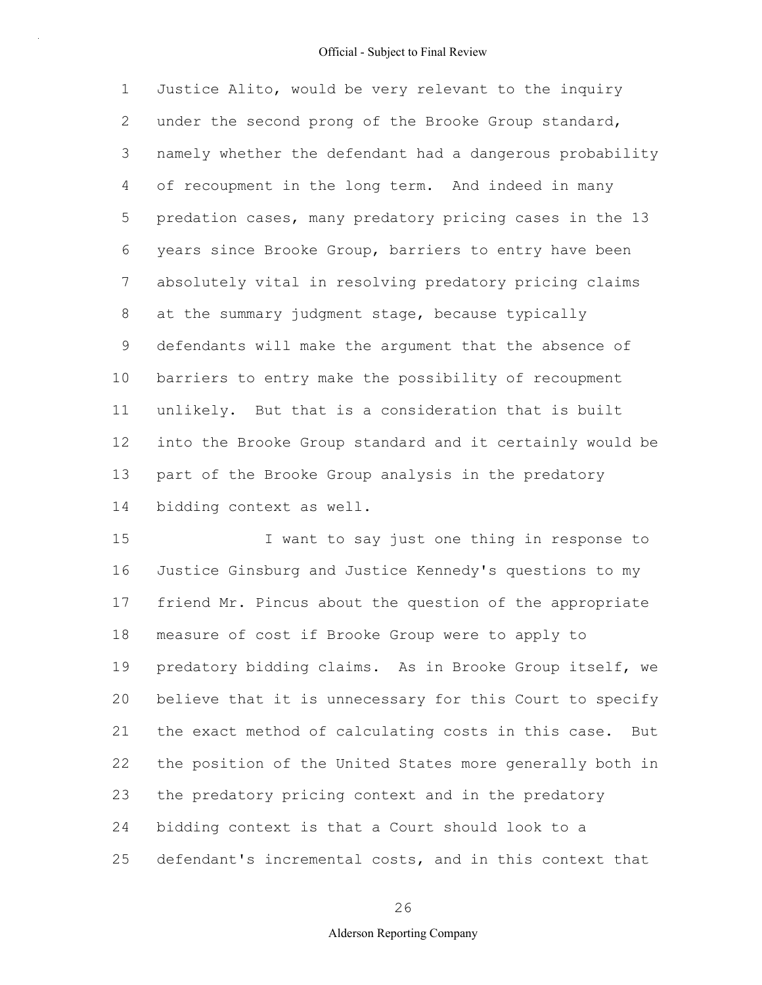1 2 3 4 5 6 7 8 9 10 11 12 13 14 Justice Alito, would be very relevant to the inquiry under the second prong of the Brooke Group standard, namely whether the defendant had a dangerous probability of recoupment in the long term. And indeed in many predation cases, many predatory pricing cases in the 13 years since Brooke Group, barriers to entry have been absolutely vital in resolving predatory pricing claims at the summary judgment stage, because typically defendants will make the argument that the absence of barriers to entry make the possibility of recoupment unlikely. But that is a consideration that is built into the Brooke Group standard and it certainly would be part of the Brooke Group analysis in the predatory bidding context as well.

15 16 17 18 19 20 21 22 23 24 25 I want to say just one thing in response to Justice Ginsburg and Justice Kennedy's questions to my friend Mr. Pincus about the question of the appropriate measure of cost if Brooke Group were to apply to predatory bidding claims. As in Brooke Group itself, we believe that it is unnecessary for this Court to specify the exact method of calculating costs in this case. But the position of the United States more generally both in the predatory pricing context and in the predatory bidding context is that a Court should look to a defendant's incremental costs, and in this context that

26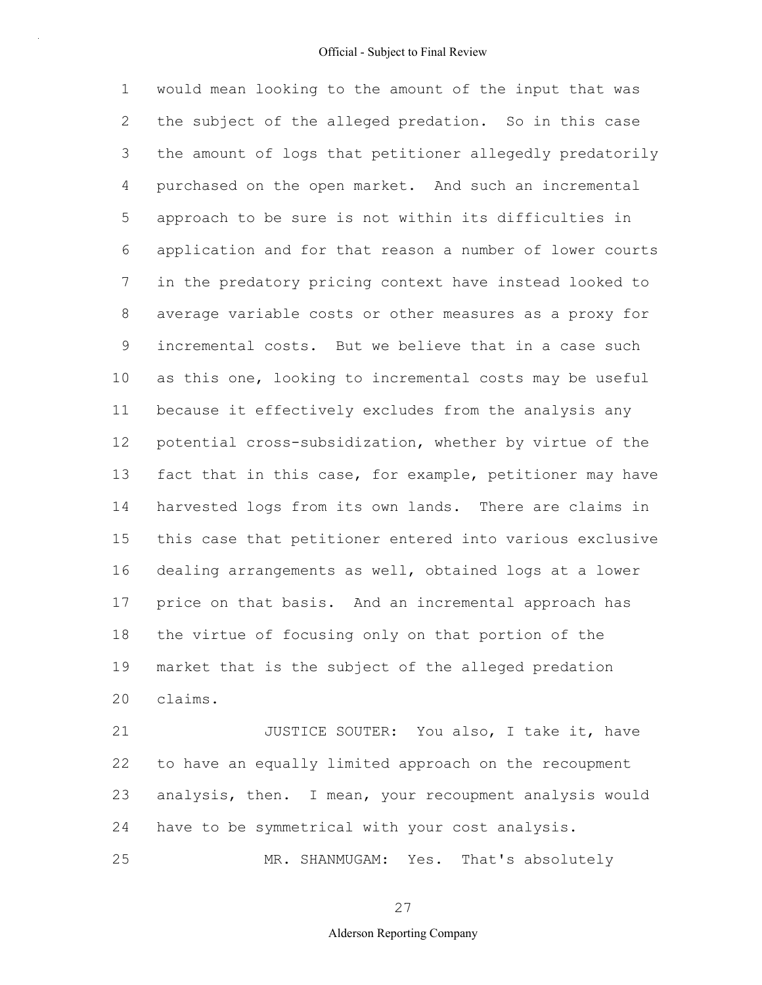1 2 3 4 5 6 7 8 9 10 11 12 13 14 15 16 17 18 19 20 would mean looking to the amount of the input that was the subject of the alleged predation. So in this case the amount of logs that petitioner allegedly predatorily purchased on the open market. And such an incremental approach to be sure is not within its difficulties in application and for that reason a number of lower courts in the predatory pricing context have instead looked to average variable costs or other measures as a proxy for incremental costs. But we believe that in a case such as this one, looking to incremental costs may be useful because it effectively excludes from the analysis any potential cross-subsidization, whether by virtue of the fact that in this case, for example, petitioner may have harvested logs from its own lands. There are claims in this case that petitioner entered into various exclusive dealing arrangements as well, obtained logs at a lower price on that basis. And an incremental approach has the virtue of focusing only on that portion of the market that is the subject of the alleged predation claims.

21 22 23 24 25 JUSTICE SOUTER: You also, I take it, have to have an equally limited approach on the recoupment analysis, then. I mean, your recoupment analysis would have to be symmetrical with your cost analysis. MR. SHANMUGAM: Yes. That's absolutely

27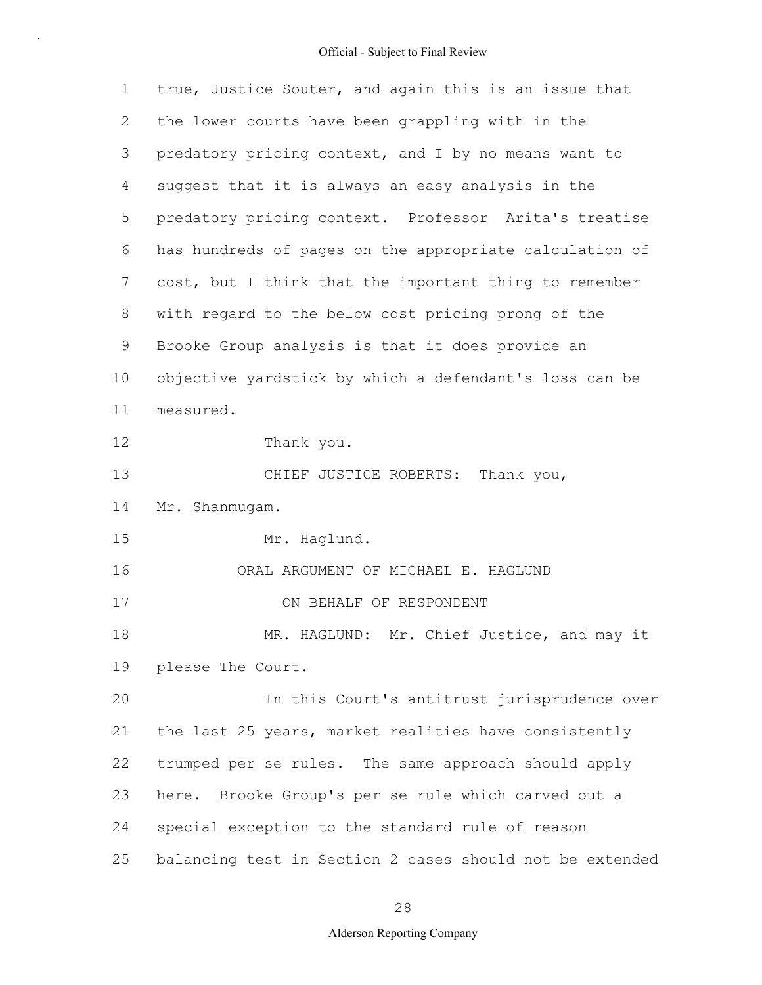| $\mathbf 1$ | true, Justice Souter, and again this is an issue that    |
|-------------|----------------------------------------------------------|
| 2           | the lower courts have been grappling with in the         |
| 3           | predatory pricing context, and I by no means want to     |
| 4           | suggest that it is always an easy analysis in the        |
| 5           | predatory pricing context. Professor Arita's treatise    |
| 6           | has hundreds of pages on the appropriate calculation of  |
| 7           | cost, but I think that the important thing to remember   |
| 8           | with regard to the below cost pricing prong of the       |
| 9           | Brooke Group analysis is that it does provide an         |
| 10          | objective yardstick by which a defendant's loss can be   |
| 11          | measured.                                                |
| 12          | Thank you.                                               |
| 13          | CHIEF JUSTICE ROBERTS: Thank you,                        |
| 14          | Mr. Shanmugam.                                           |
| 15          | Mr. Haglund.                                             |
| 16          | ORAL ARGUMENT OF MICHAEL E. HAGLUND                      |
| 17          | ON BEHALF OF RESPONDENT                                  |
| 18          | MR. HAGLUND: Mr. Chief Justice, and may it               |
| 19          | please The Court.                                        |
| 20          | In this Court's antitrust jurisprudence over             |
| 21          | the last 25 years, market realities have consistently    |
| 22          | trumped per se rules. The same approach should apply     |
| 23          | here. Brooke Group's per se rule which carved out a      |
| 24          | special exception to the standard rule of reason         |
| 25          | balancing test in Section 2 cases should not be extended |

28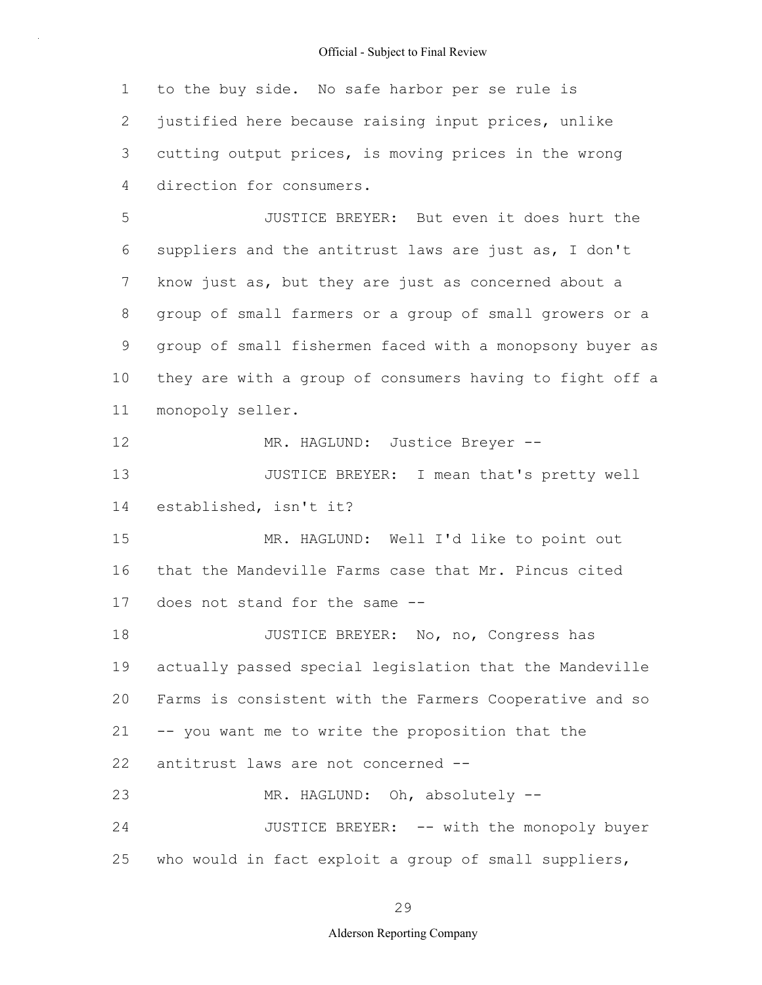1 2 3 4 to the buy side. No safe harbor per se rule is justified here because raising input prices, unlike cutting output prices, is moving prices in the wrong direction for consumers.

5 6 7 8 9 10 11 JUSTICE BREYER: But even it does hurt the suppliers and the antitrust laws are just as, I don't know just as, but they are just as concerned about a group of small farmers or a group of small growers or a group of small fishermen faced with a monopsony buyer as they are with a group of consumers having to fight off a monopoly seller.

12 MR. HAGLUND: Justice Breyer --

13 14 JUSTICE BREYER: I mean that's pretty well established, isn't it?

15 16 17 MR. HAGLUND: Well I'd like to point out that the Mandeville Farms case that Mr. Pincus cited does not stand for the same --

18 19 20 21 22 23 JUSTICE BREYER: No, no, Congress has actually passed special legislation that the Mandeville Farms is consistent with the Farmers Cooperative and so -- you want me to write the proposition that the antitrust laws are not concerned -- MR. HAGLUND: Oh, absolutely --

24 25 JUSTICE BREYER: -- with the monopoly buyer who would in fact exploit a group of small suppliers,

29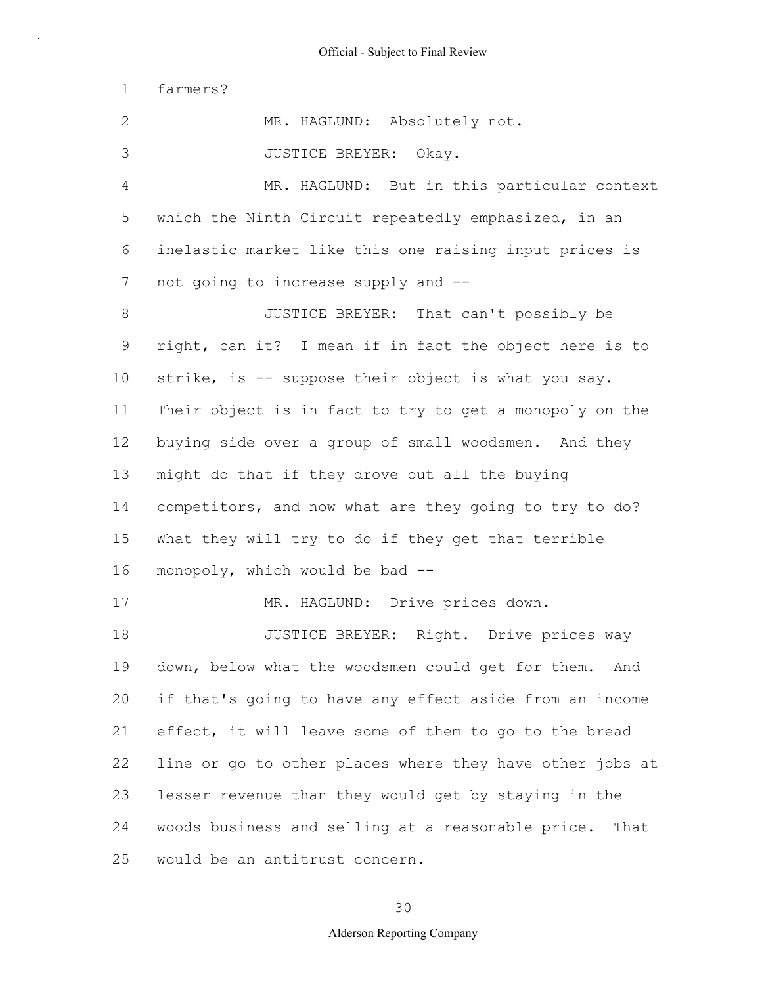1 farmers?

2 3 4 5 6 7 8 9 10 11 12 13 14 15 16 17 18 19 20 21 22 23 24 25 MR. HAGLUND: Absolutely not. JUSTICE BREYER: Okay. MR. HAGLUND: But in this particular context which the Ninth Circuit repeatedly emphasized, in an inelastic market like this one raising input prices is not going to increase supply and -- JUSTICE BREYER: That can't possibly be right, can it? I mean if in fact the object here is to strike, is -- suppose their object is what you say. Their object is in fact to try to get a monopoly on the buying side over a group of small woodsmen. And they might do that if they drove out all the buying competitors, and now what are they going to try to do? What they will try to do if they get that terrible monopoly, which would be bad -- MR. HAGLUND: Drive prices down. JUSTICE BREYER: Right. Drive prices way down, below what the woodsmen could get for them. And if that's going to have any effect aside from an income effect, it will leave some of them to go to the bread line or go to other places where they have other jobs at lesser revenue than they would get by staying in the woods business and selling at a reasonable price. That would be an antitrust concern.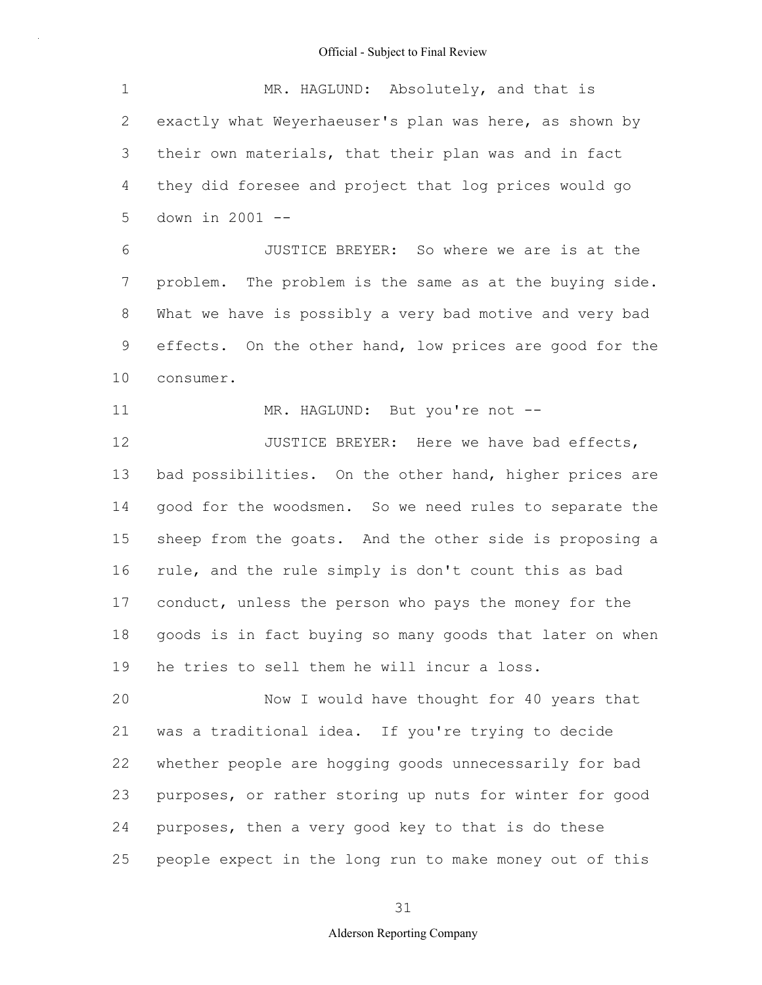1 2 3 4 5 MR. HAGLUND: Absolutely, and that is exactly what Weyerhaeuser's plan was here, as shown by their own materials, that their plan was and in fact they did foresee and project that log prices would go down in 2001 --

6 7 8 9 10 JUSTICE BREYER: So where we are is at the problem. The problem is the same as at the buying side. What we have is possibly a very bad motive and very bad effects. On the other hand, low prices are good for the consumer.

11 MR. HAGLUND: But you're not --

12 13 14 15 16 17 18 19 JUSTICE BREYER: Here we have bad effects, bad possibilities. On the other hand, higher prices are good for the woodsmen. So we need rules to separate the sheep from the goats. And the other side is proposing a rule, and the rule simply is don't count this as bad conduct, unless the person who pays the money for the goods is in fact buying so many goods that later on when he tries to sell them he will incur a loss.

20 21 22 23 24 25 Now I would have thought for 40 years that was a traditional idea. If you're trying to decide whether people are hogging goods unnecessarily for bad purposes, or rather storing up nuts for winter for good purposes, then a very good key to that is do these people expect in the long run to make money out of this

31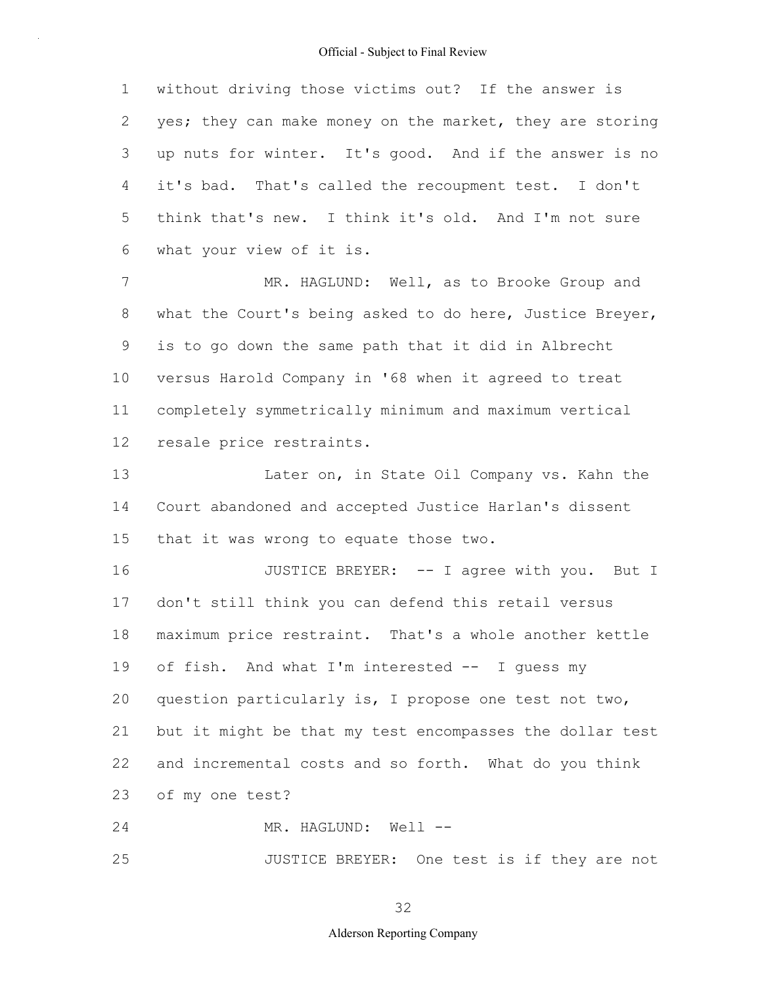1 2 3 4 5 6 without driving those victims out? If the answer is yes; they can make money on the market, they are storing up nuts for winter. It's good. And if the answer is no it's bad. That's called the recoupment test. I don't think that's new. I think it's old. And I'm not sure what your view of it is.

7 8 9 10 11 12 MR. HAGLUND: Well, as to Brooke Group and what the Court's being asked to do here, Justice Breyer, is to go down the same path that it did in Albrecht versus Harold Company in '68 when it agreed to treat completely symmetrically minimum and maximum vertical resale price restraints.

13 14 15 Later on, in State Oil Company vs. Kahn the Court abandoned and accepted Justice Harlan's dissent that it was wrong to equate those two.

16 17 18 19 20 21 22 23 JUSTICE BREYER: -- I agree with you. But I don't still think you can defend this retail versus maximum price restraint. That's a whole another kettle of fish. And what I'm interested -- I guess my question particularly is, I propose one test not two, but it might be that my test encompasses the dollar test and incremental costs and so forth. What do you think of my one test?

24 MR. HAGLUND: Well --

25 JUSTICE BREYER: One test is if they are not

32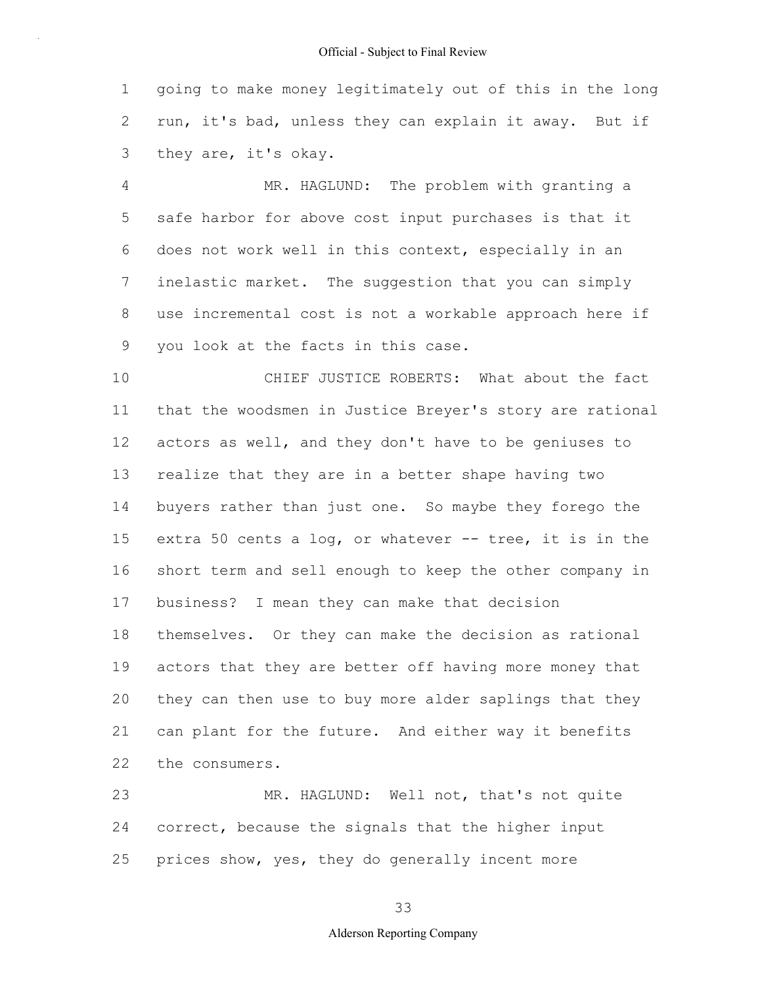1 2 3 going to make money legitimately out of this in the long run, it's bad, unless they can explain it away. But if they are, it's okay.

4 5 6 7 8 9 MR. HAGLUND: The problem with granting a safe harbor for above cost input purchases is that it does not work well in this context, especially in an inelastic market. The suggestion that you can simply use incremental cost is not a workable approach here if you look at the facts in this case.

10 11 12 13 14 15 16 17 18 19 20 21 22 CHIEF JUSTICE ROBERTS: What about the fact that the woodsmen in Justice Breyer's story are rational actors as well, and they don't have to be geniuses to realize that they are in a better shape having two buyers rather than just one. So maybe they forego the extra 50 cents a log, or whatever -- tree, it is in the short term and sell enough to keep the other company in business? I mean they can make that decision themselves. Or they can make the decision as rational actors that they are better off having more money that they can then use to buy more alder saplings that they can plant for the future. And either way it benefits the consumers.

23 24 25 MR. HAGLUND: Well not, that's not quite correct, because the signals that the higher input prices show, yes, they do generally incent more

33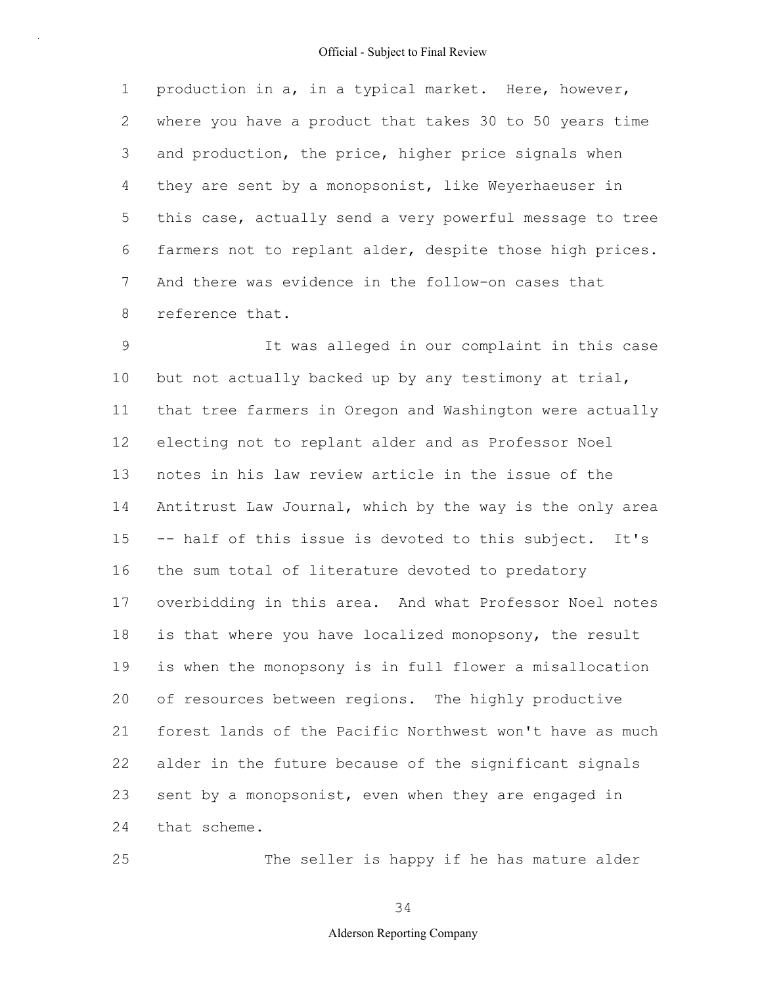1 2 3 4 5 6 7 8 production in a, in a typical market. Here, however, where you have a product that takes 30 to 50 years time and production, the price, higher price signals when they are sent by a monopsonist, like Weyerhaeuser in this case, actually send a very powerful message to tree farmers not to replant alder, despite those high prices. And there was evidence in the follow-on cases that reference that.

9 10 11 12 13 14 15 16 17 18 19 20 21 22 23 24 It was alleged in our complaint in this case but not actually backed up by any testimony at trial, that tree farmers in Oregon and Washington were actually electing not to replant alder and as Professor Noel notes in his law review article in the issue of the Antitrust Law Journal, which by the way is the only area -- half of this issue is devoted to this subject. It's the sum total of literature devoted to predatory overbidding in this area. And what Professor Noel notes is that where you have localized monopsony, the result is when the monopsony is in full flower a misallocation of resources between regions. The highly productive forest lands of the Pacific Northwest won't have as much alder in the future because of the significant signals sent by a monopsonist, even when they are engaged in that scheme.

The seller is happy if he has mature alder

34

25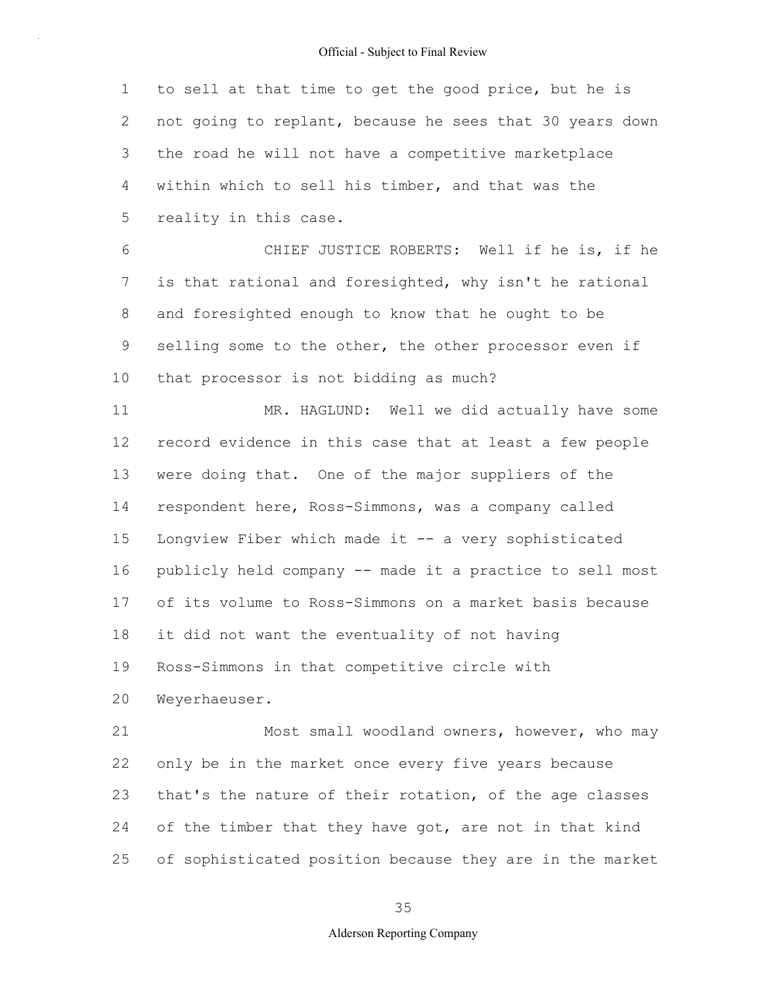1 2 3 4 5 to sell at that time to get the good price, but he is not going to replant, because he sees that 30 years down the road he will not have a competitive marketplace within which to sell his timber, and that was the reality in this case.

6 7 8 9 10 CHIEF JUSTICE ROBERTS: Well if he is, if he is that rational and foresighted, why isn't he rational and foresighted enough to know that he ought to be selling some to the other, the other processor even if that processor is not bidding as much?

11 12 13 14 15 16 17 18 19 20 MR. HAGLUND: Well we did actually have some record evidence in this case that at least a few people were doing that. One of the major suppliers of the respondent here, Ross-Simmons, was a company called Longview Fiber which made it -- a very sophisticated publicly held company -- made it a practice to sell most of its volume to Ross-Simmons on a market basis because it did not want the eventuality of not having Ross-Simmons in that competitive circle with Weyerhaeuser.

21 22 23 24 25 Most small woodland owners, however, who may only be in the market once every five years because that's the nature of their rotation, of the age classes of the timber that they have got, are not in that kind of sophisticated position because they are in the market

35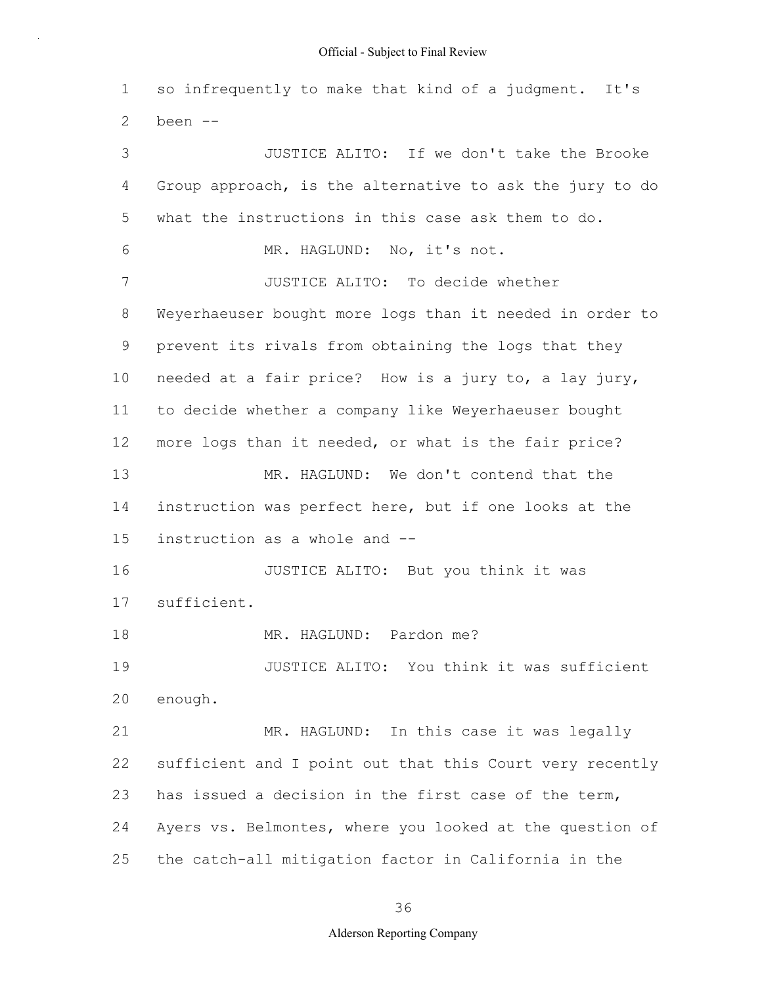1 2 3 4 5 6 7 8 9 10 11 12 13 14 15 16 17 18 19 20 21 22 23 24 25 so infrequently to make that kind of a judgment. It's been -- JUSTICE ALITO: If we don't take the Brooke Group approach, is the alternative to ask the jury to do what the instructions in this case ask them to do. MR. HAGLUND: No, it's not. JUSTICE ALITO: To decide whether Weyerhaeuser bought more logs than it needed in order to prevent its rivals from obtaining the logs that they needed at a fair price? How is a jury to, a lay jury, to decide whether a company like Weyerhaeuser bought more logs than it needed, or what is the fair price? MR. HAGLUND: We don't contend that the instruction was perfect here, but if one looks at the instruction as a whole and -- JUSTICE ALITO: But you think it was sufficient. MR. HAGLUND: Pardon me? JUSTICE ALITO: You think it was sufficient enough. MR. HAGLUND: In this case it was legally sufficient and I point out that this Court very recently has issued a decision in the first case of the term, Ayers vs. Belmontes, where you looked at the question of the catch-all mitigation factor in California in the

36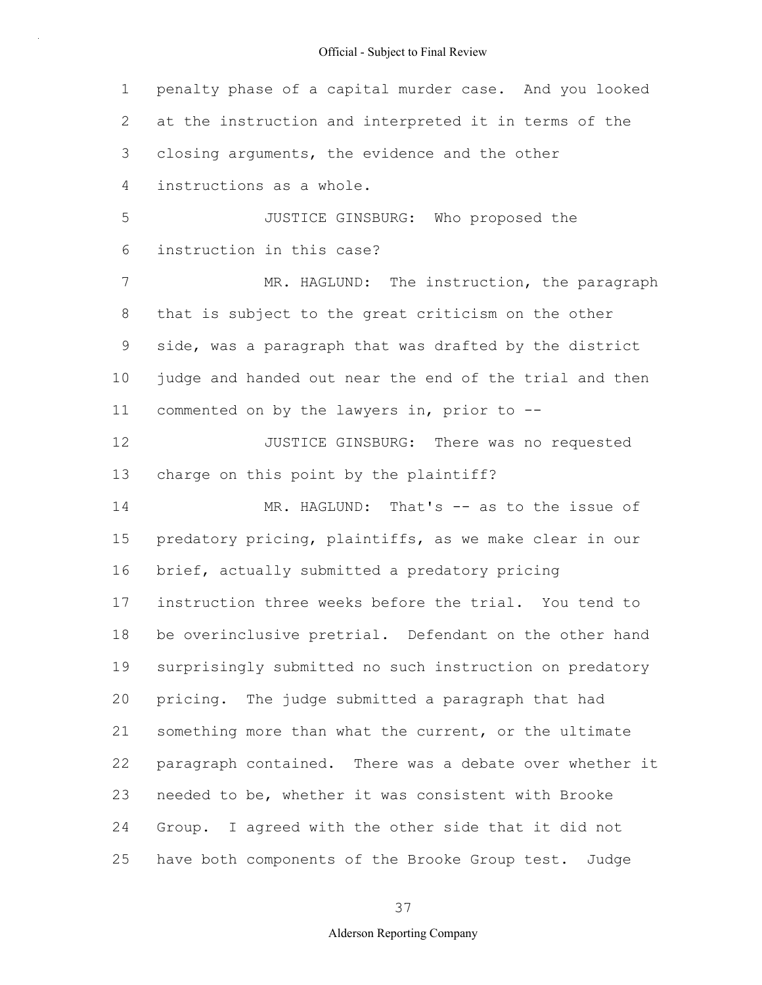1 2 3 4 5 6 7 8 9 10 11 12 13 14 15 16 17 18 19 20 21 22 23 24 25 penalty phase of a capital murder case. And you looked at the instruction and interpreted it in terms of the closing arguments, the evidence and the other instructions as a whole. JUSTICE GINSBURG: Who proposed the instruction in this case? MR. HAGLUND: The instruction, the paragraph that is subject to the great criticism on the other side, was a paragraph that was drafted by the district judge and handed out near the end of the trial and then commented on by the lawyers in, prior to -- JUSTICE GINSBURG: There was no requested charge on this point by the plaintiff? MR. HAGLUND: That's -- as to the issue of predatory pricing, plaintiffs, as we make clear in our brief, actually submitted a predatory pricing instruction three weeks before the trial. You tend to be overinclusive pretrial. Defendant on the other hand surprisingly submitted no such instruction on predatory pricing. The judge submitted a paragraph that had something more than what the current, or the ultimate paragraph contained. There was a debate over whether it needed to be, whether it was consistent with Brooke Group. I agreed with the other side that it did not have both components of the Brooke Group test. Judge

#### 37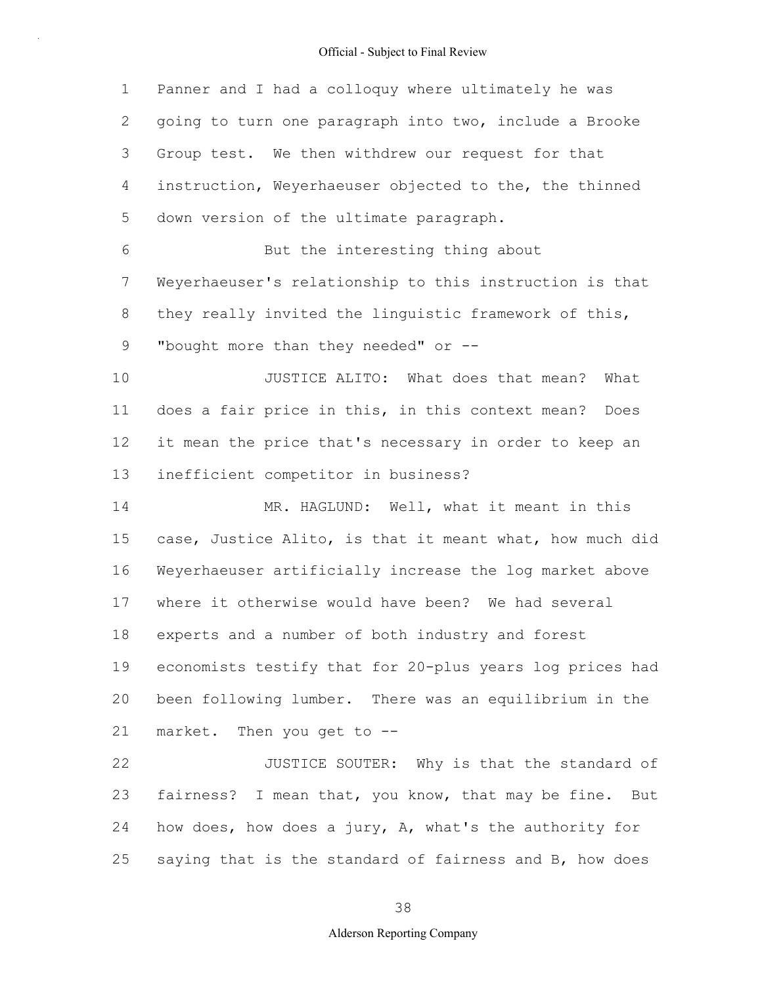1 2 3 4 5 6 7 8 9 10 11 12 13 14 15 16 17 18 19 20 21 22 23 24 25 Panner and I had a colloquy where ultimately he was going to turn one paragraph into two, include a Brooke Group test. We then withdrew our request for that instruction, Weyerhaeuser objected to the, the thinned down version of the ultimate paragraph. But the interesting thing about Weyerhaeuser's relationship to this instruction is that they really invited the linguistic framework of this, "bought more than they needed" or --JUSTICE ALITO: What does that mean? What does a fair price in this, in this context mean? Does it mean the price that's necessary in order to keep an inefficient competitor in business? MR. HAGLUND: Well, what it meant in this case, Justice Alito, is that it meant what, how much did Weyerhaeuser artificially increase the log market above where it otherwise would have been? We had several experts and a number of both industry and forest economists testify that for 20-plus years log prices had been following lumber. There was an equilibrium in the market. Then you get to -- JUSTICE SOUTER: Why is that the standard of fairness? I mean that, you know, that may be fine. But how does, how does a jury, A, what's the authority for saying that is the standard of fairness and B, how does

# 38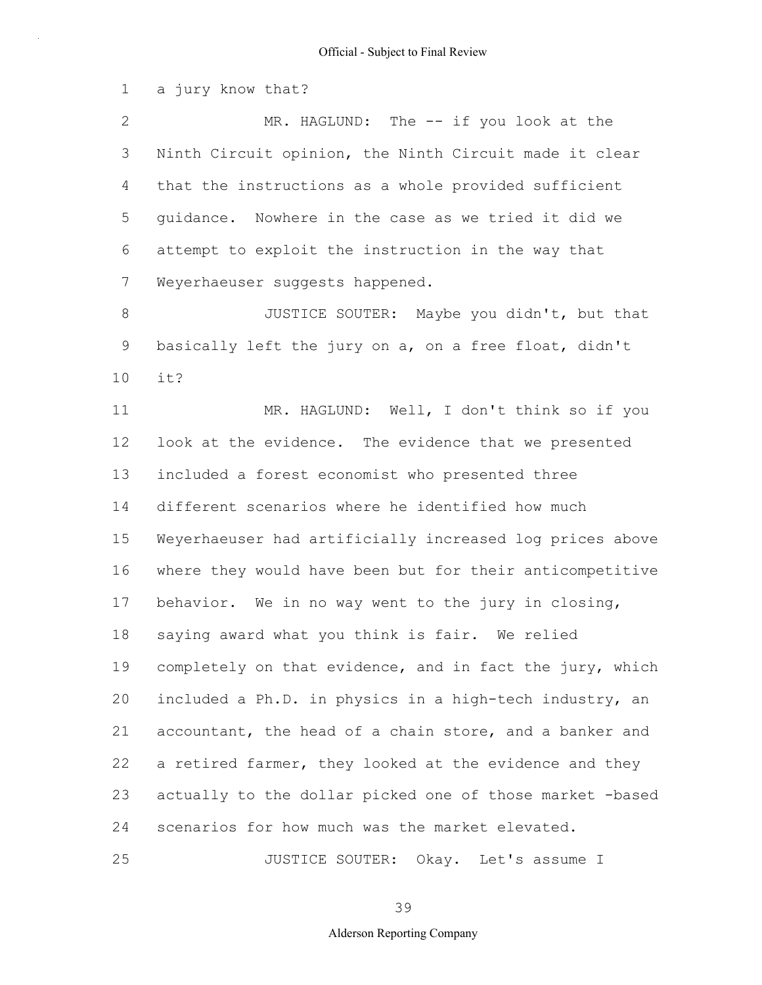1 a jury know that?

2 3 4 5 6 7 MR. HAGLUND: The -- if you look at the Ninth Circuit opinion, the Ninth Circuit made it clear that the instructions as a whole provided sufficient guidance. Nowhere in the case as we tried it did we attempt to exploit the instruction in the way that Weyerhaeuser suggests happened.

8 9 10 JUSTICE SOUTER: Maybe you didn't, but that basically left the jury on a, on a free float, didn't it?

11 12 13 14 15 16 17 18 19 20 21 22 23 24 25 MR. HAGLUND: Well, I don't think so if you look at the evidence. The evidence that we presented included a forest economist who presented three different scenarios where he identified how much Weyerhaeuser had artificially increased log prices above where they would have been but for their anticompetitive behavior. We in no way went to the jury in closing, saying award what you think is fair. We relied completely on that evidence, and in fact the jury, which included a Ph.D. in physics in a high-tech industry, an accountant, the head of a chain store, and a banker and a retired farmer, they looked at the evidence and they actually to the dollar picked one of those market -based scenarios for how much was the market elevated.

JUSTICE SOUTER: Okay. Let's assume I

39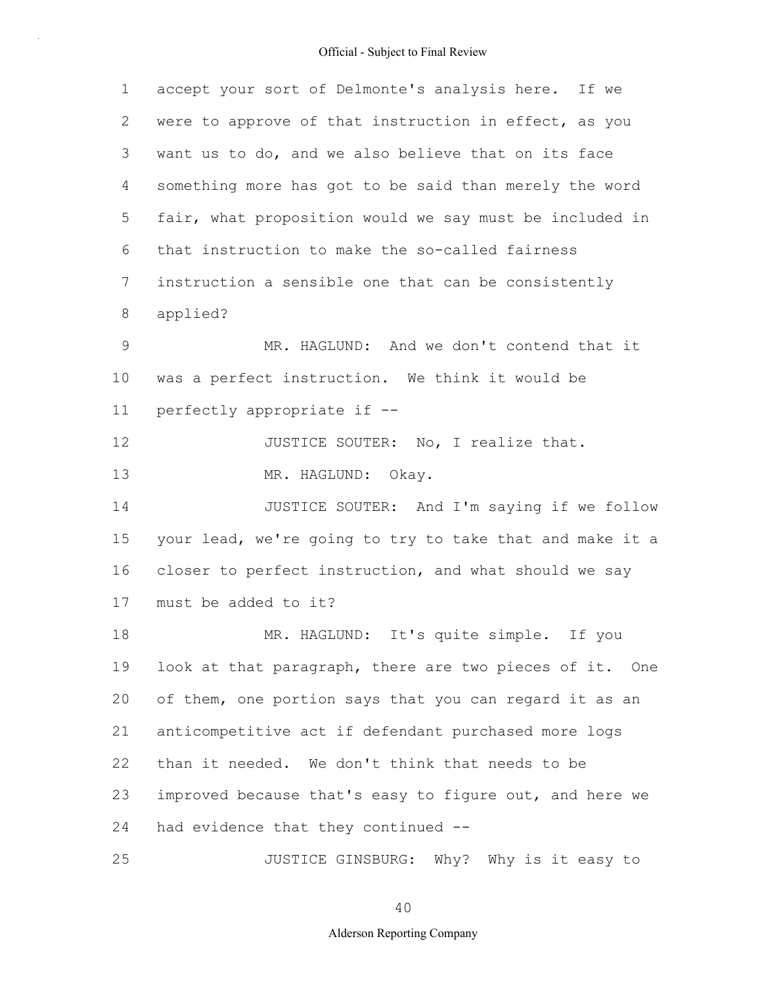| $\mathbf 1$    | accept your sort of Delmonte's analysis here. If we      |
|----------------|----------------------------------------------------------|
| 2              | were to approve of that instruction in effect, as you    |
| 3              | want us to do, and we also believe that on its face      |
| 4              | something more has got to be said than merely the word   |
| 5              | fair, what proposition would we say must be included in  |
| 6              | that instruction to make the so-called fairness          |
| $7\phantom{.}$ | instruction a sensible one that can be consistently      |
| 8              | applied?                                                 |
| $\mathcal{G}$  | MR. HAGLUND: And we don't contend that it                |
| $10 \,$        | was a perfect instruction. We think it would be          |
| 11             | perfectly appropriate if --                              |
| 12             | JUSTICE SOUTER: No, I realize that.                      |
| 13             | MR. HAGLUND: Okay.                                       |
| 14             | JUSTICE SOUTER: And I'm saying if we follow              |
| 15             | your lead, we're going to try to take that and make it a |
| 16             | closer to perfect instruction, and what should we say    |
| 17             | must be added to it?                                     |
| 18             | MR. HAGLUND: It's quite simple. If you                   |
| 19             | look at that paragraph, there are two pieces of it. One  |
| 20             | of them, one portion says that you can regard it as an   |
| 21             | anticompetitive act if defendant purchased more logs     |
| 22             | than it needed. We don't think that needs to be          |
| 23             | improved because that's easy to figure out, and here we  |
| 24             | had evidence that they continued --                      |
| 25             | JUSTICE GINSBURG: Why? Why is it easy to                 |

40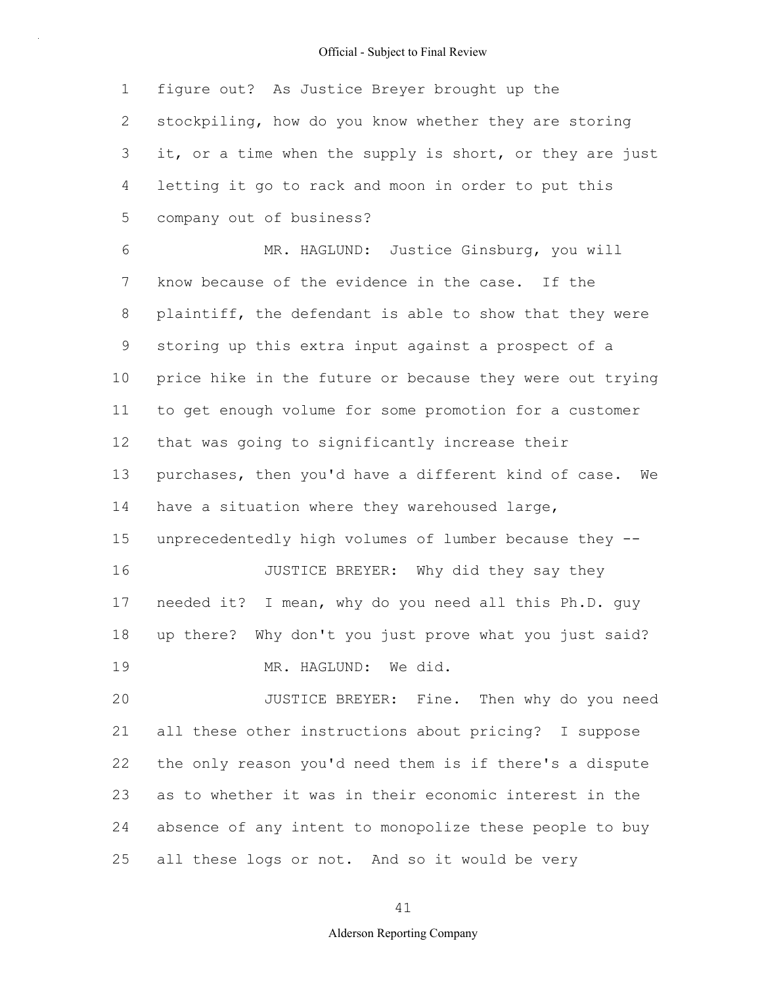1 2 3 4 5 figure out? As Justice Breyer brought up the stockpiling, how do you know whether they are storing it, or a time when the supply is short, or they are just letting it go to rack and moon in order to put this company out of business?

6 7 8 9 10 11 12 13 14 15 16 17 18 19 20 21 MR. HAGLUND: Justice Ginsburg, you will know because of the evidence in the case. If the plaintiff, the defendant is able to show that they were storing up this extra input against a prospect of a price hike in the future or because they were out trying to get enough volume for some promotion for a customer that was going to significantly increase their purchases, then you'd have a different kind of case. We have a situation where they warehoused large, unprecedentedly high volumes of lumber because they -- JUSTICE BREYER: Why did they say they needed it? I mean, why do you need all this Ph.D. guy up there? Why don't you just prove what you just said? MR. HAGLUND: We did. JUSTICE BREYER: Fine. Then why do you need all these other instructions about pricing? I suppose

22 23 24 25 the only reason you'd need them is if there's a dispute as to whether it was in their economic interest in the absence of any intent to monopolize these people to buy all these logs or not. And so it would be very

41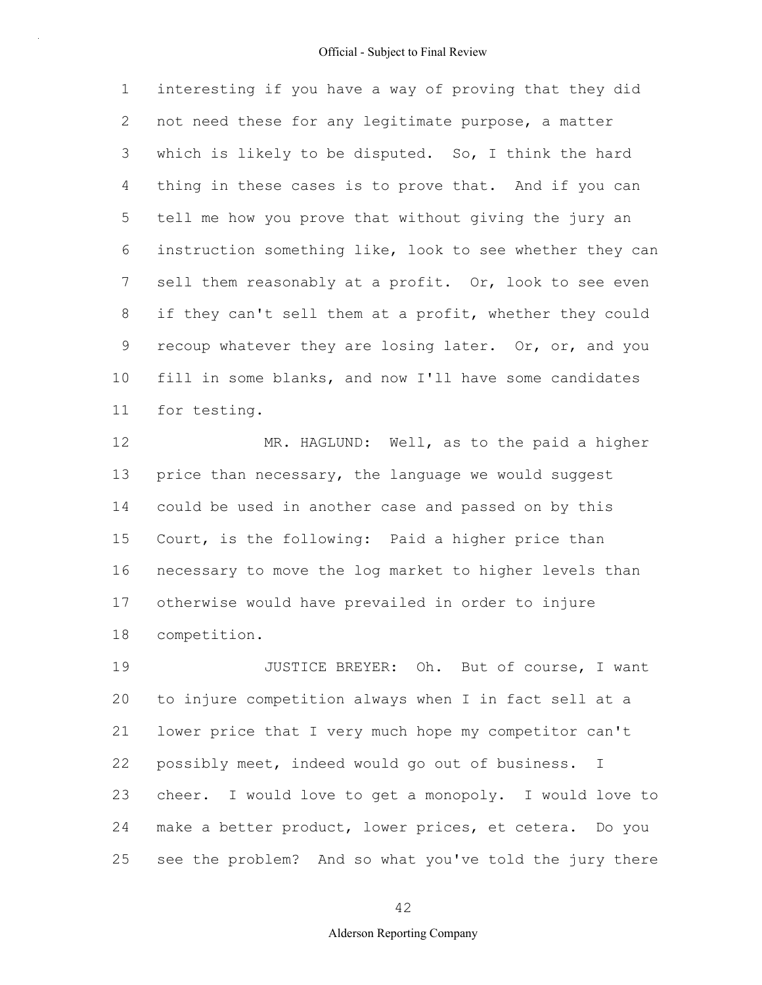1 2 3 4 5 6 7 8 9 10 11 interesting if you have a way of proving that they did not need these for any legitimate purpose, a matter which is likely to be disputed. So, I think the hard thing in these cases is to prove that. And if you can tell me how you prove that without giving the jury an instruction something like, look to see whether they can sell them reasonably at a profit. Or, look to see even if they can't sell them at a profit, whether they could recoup whatever they are losing later. Or, or, and you fill in some blanks, and now I'll have some candidates for testing.

12 13 14 15 16 17 18 MR. HAGLUND: Well, as to the paid a higher price than necessary, the language we would suggest could be used in another case and passed on by this Court, is the following: Paid a higher price than necessary to move the log market to higher levels than otherwise would have prevailed in order to injure competition.

19 20 21 22 23 24 25 JUSTICE BREYER: Oh. But of course, I want to injure competition always when I in fact sell at a lower price that I very much hope my competitor can't possibly meet, indeed would go out of business. I cheer. I would love to get a monopoly. I would love to make a better product, lower prices, et cetera. Do you see the problem? And so what you've told the jury there

42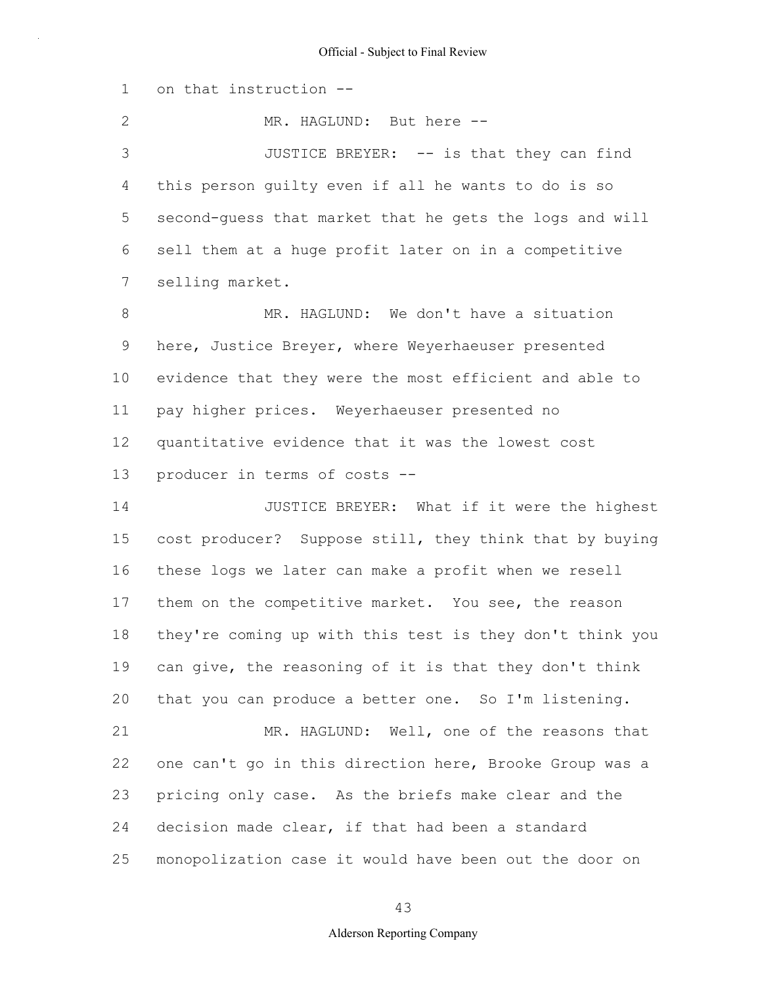1 2 3 4 5 6 7 8 9 10 11 12 13 14 15 16 17 18 19 20 21 22 23 24 25 on that instruction -- MR. HAGLUND: But here --JUSTICE BREYER: -- is that they can find this person guilty even if all he wants to do is so second-guess that market that he gets the logs and will sell them at a huge profit later on in a competitive selling market. MR. HAGLUND: We don't have a situation here, Justice Breyer, where Weyerhaeuser presented evidence that they were the most efficient and able to pay higher prices. Weyerhaeuser presented no quantitative evidence that it was the lowest cost producer in terms of costs -- JUSTICE BREYER: What if it were the highest cost producer? Suppose still, they think that by buying these logs we later can make a profit when we resell them on the competitive market. You see, the reason they're coming up with this test is they don't think you can give, the reasoning of it is that they don't think that you can produce a better one. So I'm listening. MR. HAGLUND: Well, one of the reasons that one can't go in this direction here, Brooke Group was a pricing only case. As the briefs make clear and the decision made clear, if that had been a standard monopolization case it would have been out the door on

43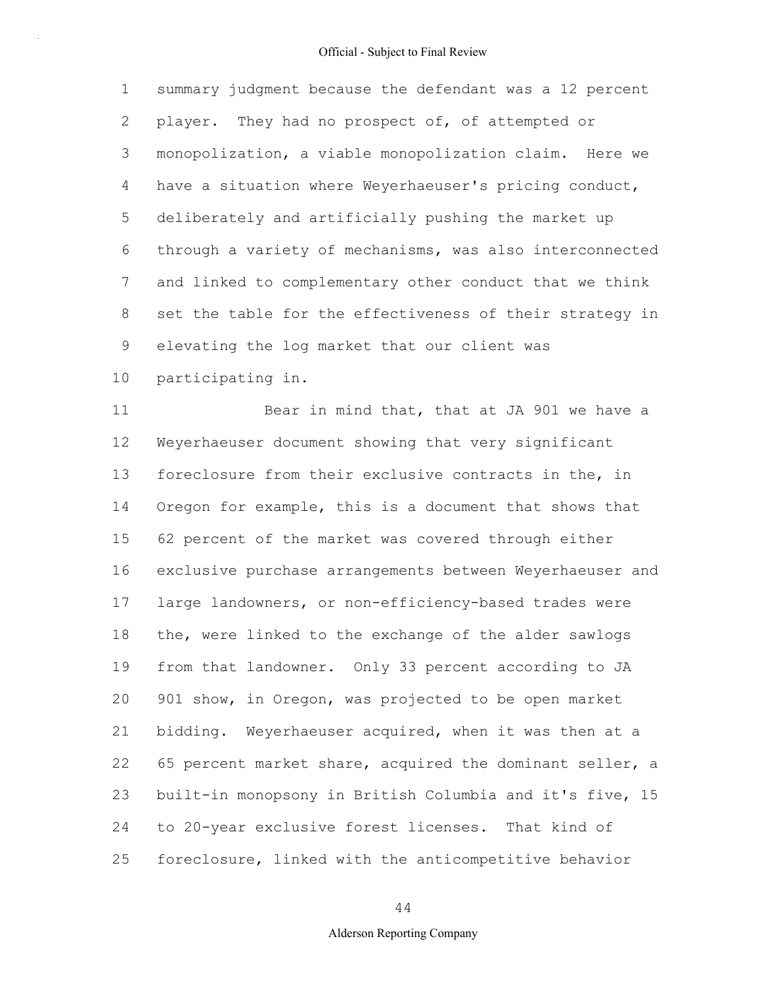1 2 3 4 5 6 7 8 9 10 summary judgment because the defendant was a 12 percent player. They had no prospect of, of attempted or monopolization, a viable monopolization claim. Here we have a situation where Weyerhaeuser's pricing conduct, deliberately and artificially pushing the market up through a variety of mechanisms, was also interconnected and linked to complementary other conduct that we think set the table for the effectiveness of their strategy in elevating the log market that our client was participating in.

11 12 13 14 15 16 17 18 19 20 21 22 23 24 25 Bear in mind that, that at JA 901 we have a Weyerhaeuser document showing that very significant foreclosure from their exclusive contracts in the, in Oregon for example, this is a document that shows that 62 percent of the market was covered through either exclusive purchase arrangements between Weyerhaeuser and large landowners, or non-efficiency-based trades were the, were linked to the exchange of the alder sawlogs from that landowner. Only 33 percent according to JA 901 show, in Oregon, was projected to be open market bidding. Weyerhaeuser acquired, when it was then at a 65 percent market share, acquired the dominant seller, a built-in monopsony in British Columbia and it's five, 15 to 20-year exclusive forest licenses. That kind of foreclosure, linked with the anticompetitive behavior

# 44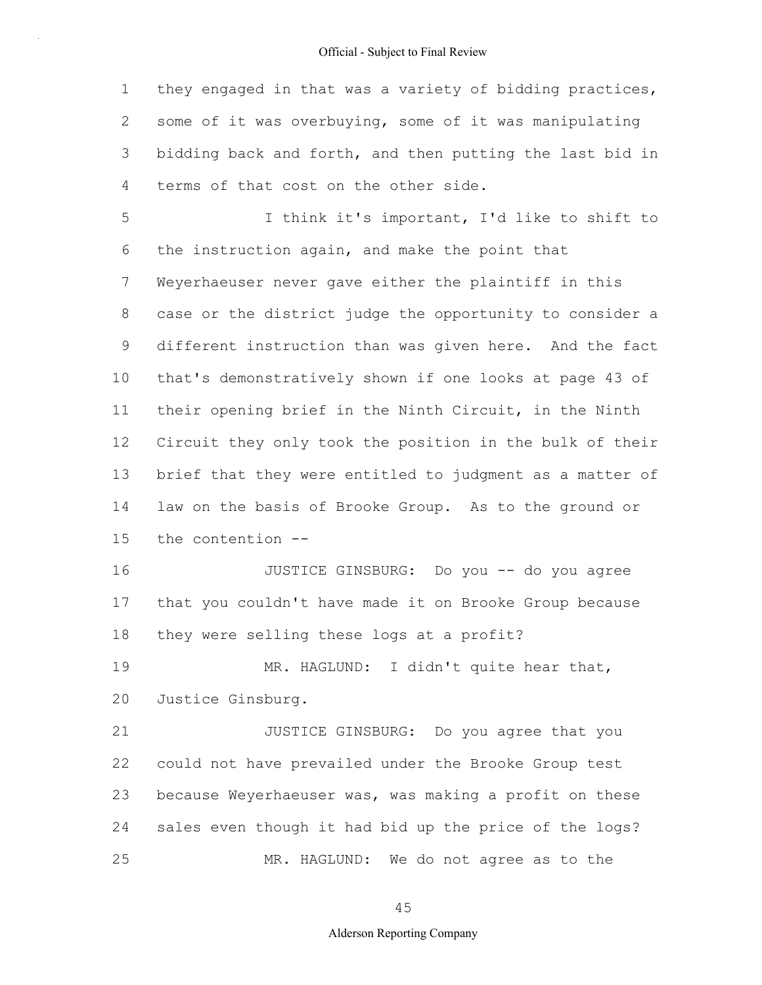1 2 3 4 they engaged in that was a variety of bidding practices, some of it was overbuying, some of it was manipulating bidding back and forth, and then putting the last bid in terms of that cost on the other side.

5 6 7 8 9 10 11 12 13 14 15 I think it's important, I'd like to shift to the instruction again, and make the point that Weyerhaeuser never gave either the plaintiff in this case or the district judge the opportunity to consider a different instruction than was given here. And the fact that's demonstratively shown if one looks at page 43 of their opening brief in the Ninth Circuit, in the Ninth Circuit they only took the position in the bulk of their brief that they were entitled to judgment as a matter of law on the basis of Brooke Group. As to the ground or the contention --

16 17 18 JUSTICE GINSBURG: Do you -- do you agree that you couldn't have made it on Brooke Group because they were selling these logs at a profit?

19 20 MR. HAGLUND: I didn't quite hear that, Justice Ginsburg.

21 22 23 24 25 JUSTICE GINSBURG: Do you agree that you could not have prevailed under the Brooke Group test because Weyerhaeuser was, was making a profit on these sales even though it had bid up the price of the logs? MR. HAGLUND: We do not agree as to the

45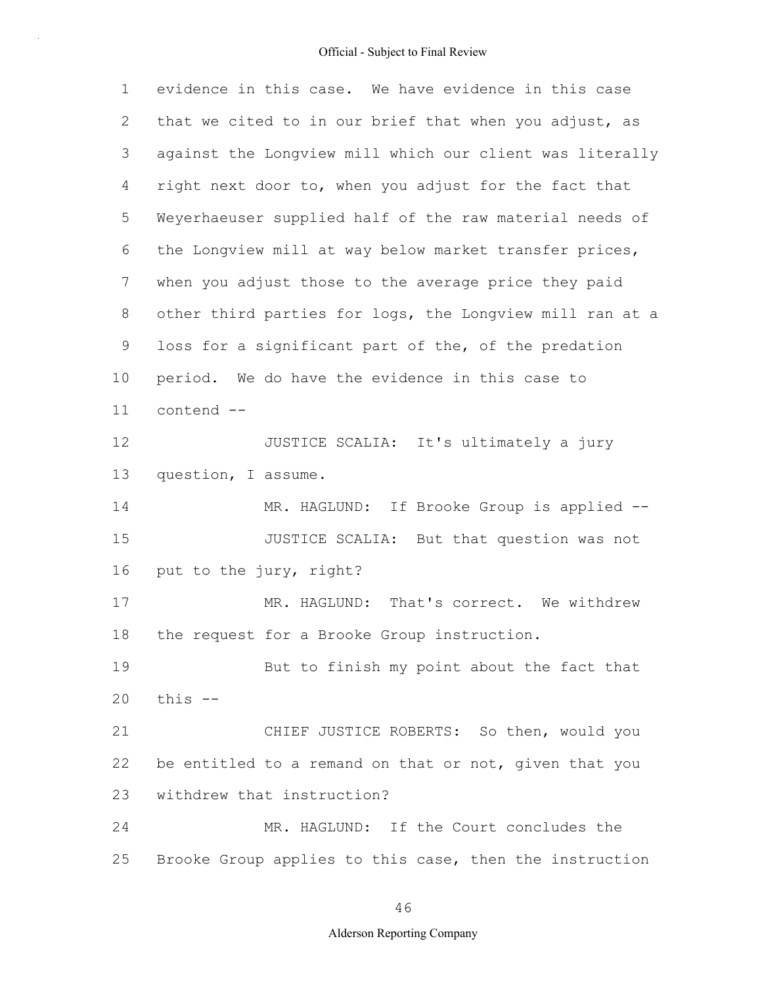1 2 3 4 5 6 7 8 9 10 11 12 13 14 15 16 17 18 19 20 21 22 23 24 25 evidence in this case. We have evidence in this case that we cited to in our brief that when you adjust, as against the Longview mill which our client was literally right next door to, when you adjust for the fact that Weyerhaeuser supplied half of the raw material needs of the Longview mill at way below market transfer prices, when you adjust those to the average price they paid other third parties for logs, the Longview mill ran at a loss for a significant part of the, of the predation period. We do have the evidence in this case to contend -- JUSTICE SCALIA: It's ultimately a jury question, I assume. MR. HAGLUND: If Brooke Group is applied --JUSTICE SCALIA: But that question was not put to the jury, right? MR. HAGLUND: That's correct. We withdrew the request for a Brooke Group instruction. But to finish my point about the fact that this -- CHIEF JUSTICE ROBERTS: So then, would you be entitled to a remand on that or not, given that you withdrew that instruction? MR. HAGLUND: If the Court concludes the Brooke Group applies to this case, then the instruction

46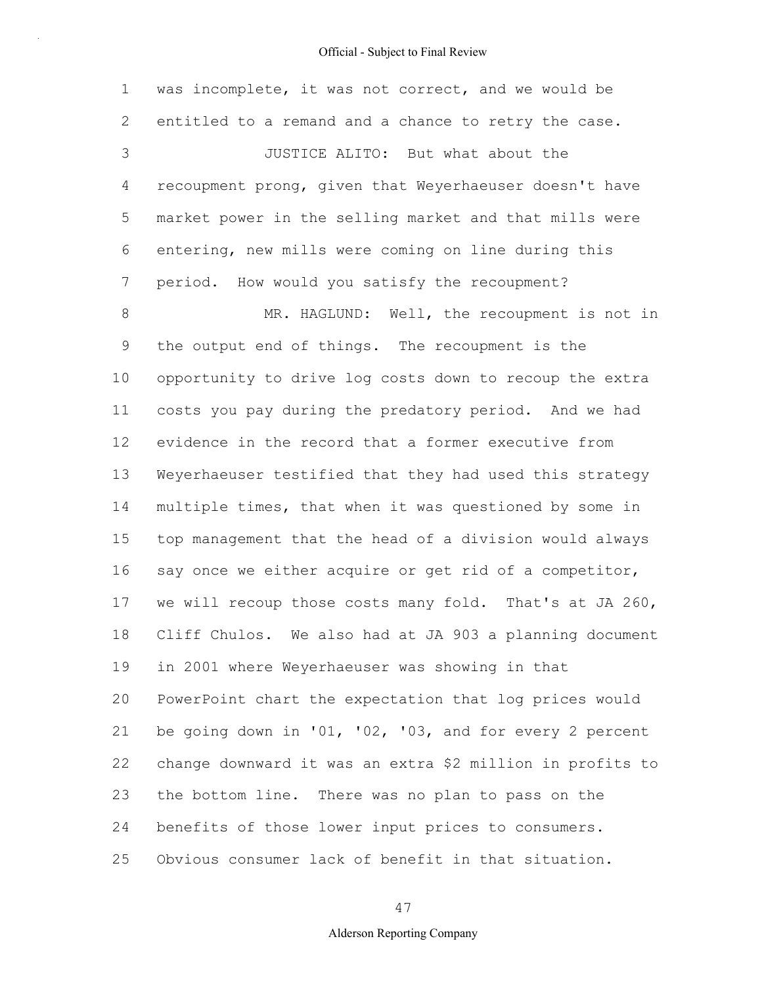1 2 3 4 5 6 7 8 9 10 11 12 13 14 15 16 17 18 19 20 21 22 23 24 25 was incomplete, it was not correct, and we would be entitled to a remand and a chance to retry the case. JUSTICE ALITO: But what about the recoupment prong, given that Weyerhaeuser doesn't have market power in the selling market and that mills were entering, new mills were coming on line during this period. How would you satisfy the recoupment? MR. HAGLUND: Well, the recoupment is not in the output end of things. The recoupment is the opportunity to drive log costs down to recoup the extra costs you pay during the predatory period. And we had evidence in the record that a former executive from Weyerhaeuser testified that they had used this strategy multiple times, that when it was questioned by some in top management that the head of a division would always say once we either acquire or get rid of a competitor, we will recoup those costs many fold. That's at JA 260, Cliff Chulos. We also had at JA 903 a planning document in 2001 where Weyerhaeuser was showing in that PowerPoint chart the expectation that log prices would be going down in '01, '02, '03, and for every 2 percent change downward it was an extra \$2 million in profits to the bottom line. There was no plan to pass on the benefits of those lower input prices to consumers. Obvious consumer lack of benefit in that situation.

47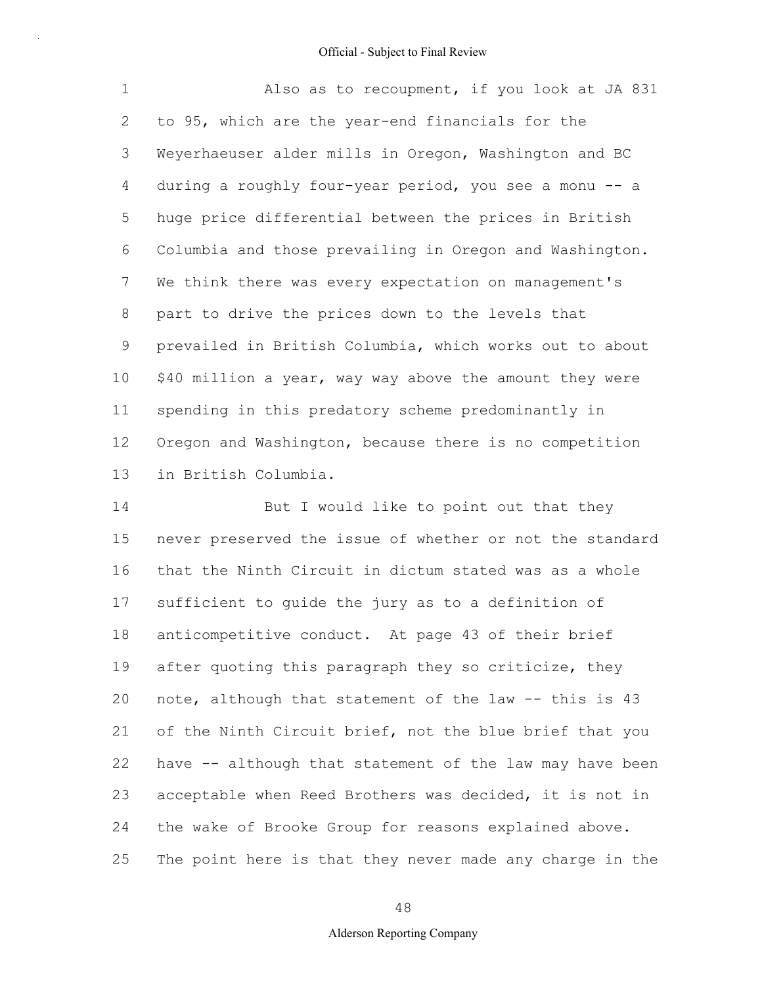1 2 3 4 5 6 7 8 9 10 11 12 13 Also as to recoupment, if you look at JA 831 to 95, which are the year-end financials for the Weyerhaeuser alder mills in Oregon, Washington and BC during a roughly four-year period, you see a monu -- a huge price differential between the prices in British Columbia and those prevailing in Oregon and Washington. We think there was every expectation on management's part to drive the prices down to the levels that prevailed in British Columbia, which works out to about \$40 million a year, way way above the amount they were spending in this predatory scheme predominantly in Oregon and Washington, because there is no competition in British Columbia.

14 15 16 17 18 19 20 21 22 23 24 25 But I would like to point out that they never preserved the issue of whether or not the standard that the Ninth Circuit in dictum stated was as a whole sufficient to guide the jury as to a definition of anticompetitive conduct. At page 43 of their brief after quoting this paragraph they so criticize, they note, although that statement of the law -- this is 43 of the Ninth Circuit brief, not the blue brief that you have -- although that statement of the law may have been acceptable when Reed Brothers was decided, it is not in the wake of Brooke Group for reasons explained above. The point here is that they never made any charge in the

48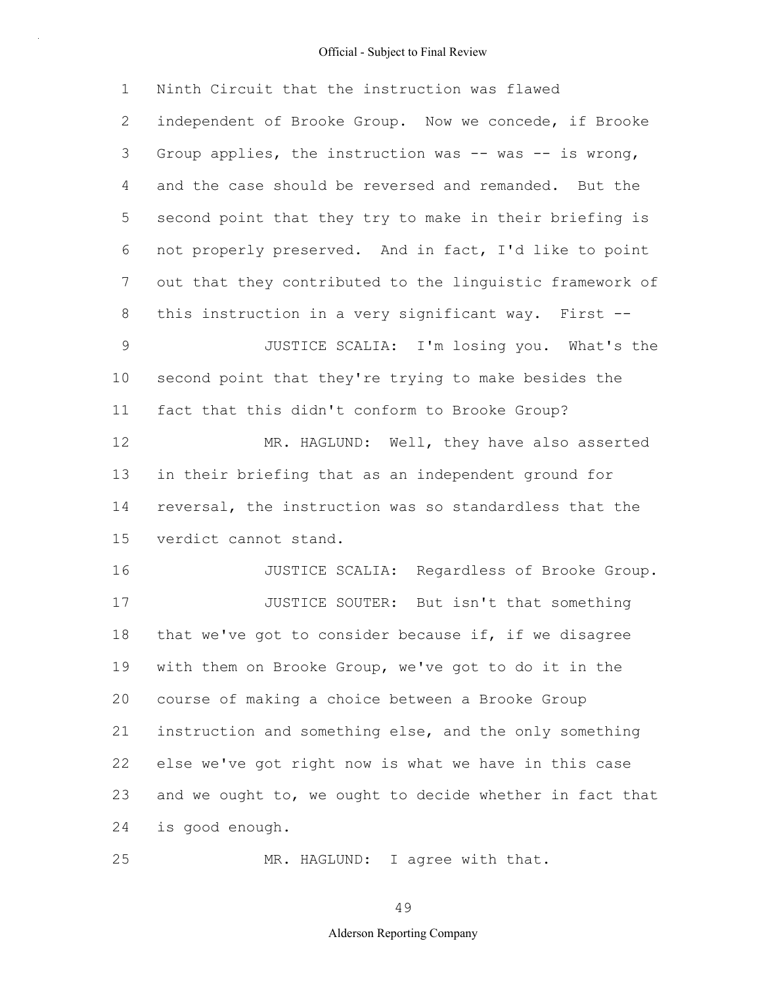1 2 3 4 5 6 7 8 9 10 11 12 13 14 15 16 17 18 19 20 21 22 23 24 25 Ninth Circuit that the instruction was flawed independent of Brooke Group. Now we concede, if Brooke Group applies, the instruction was  $--$  was  $--$  is wrong, and the case should be reversed and remanded. But the second point that they try to make in their briefing is not properly preserved. And in fact, I'd like to point out that they contributed to the linguistic framework of this instruction in a very significant way. First -- JUSTICE SCALIA: I'm losing you. What's the second point that they're trying to make besides the fact that this didn't conform to Brooke Group? MR. HAGLUND: Well, they have also asserted in their briefing that as an independent ground for reversal, the instruction was so standardless that the verdict cannot stand. JUSTICE SCALIA: Regardless of Brooke Group. JUSTICE SOUTER: But isn't that something that we've got to consider because if, if we disagree with them on Brooke Group, we've got to do it in the course of making a choice between a Brooke Group instruction and something else, and the only something else we've got right now is what we have in this case and we ought to, we ought to decide whether in fact that is good enough. MR. HAGLUND: I agree with that.

49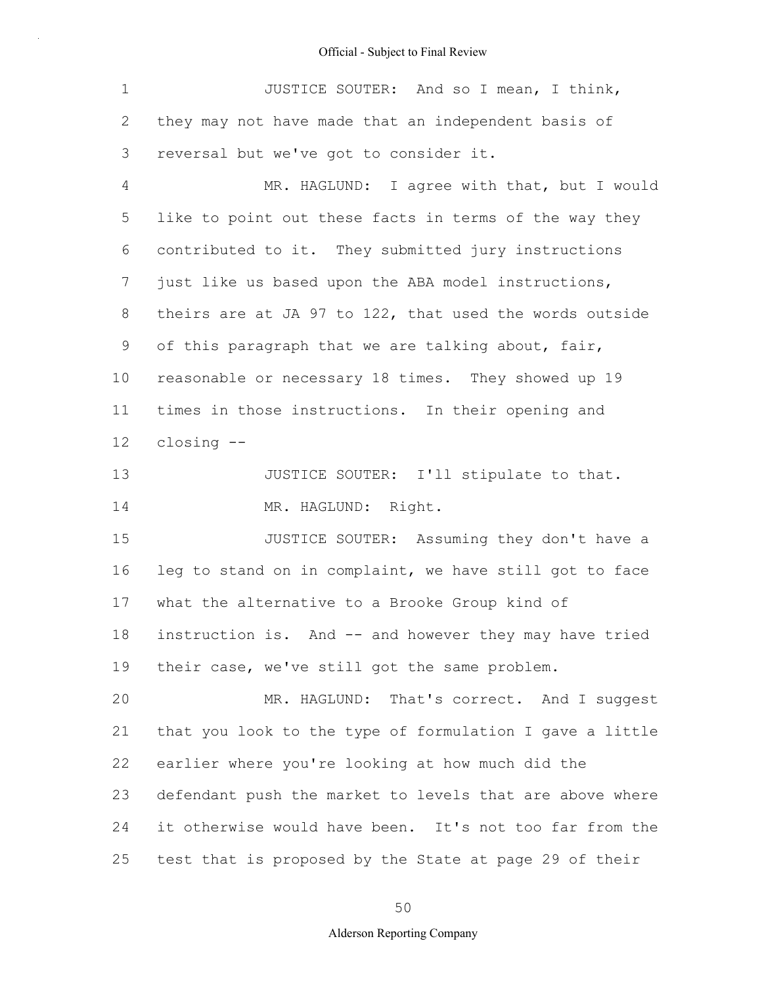| $\mathbf 1$ | JUSTICE SOUTER: And so I mean, I think,                  |
|-------------|----------------------------------------------------------|
| 2           | they may not have made that an independent basis of      |
| 3           | reversal but we've got to consider it.                   |
| 4           | MR. HAGLUND: I agree with that, but I would              |
| 5           | like to point out these facts in terms of the way they   |
| 6           | contributed to it. They submitted jury instructions      |
| 7           | just like us based upon the ABA model instructions,      |
| 8           | theirs are at JA 97 to 122, that used the words outside  |
| 9           | of this paragraph that we are talking about, fair,       |
| 10          | reasonable or necessary 18 times. They showed up 19      |
| 11          | times in those instructions. In their opening and        |
| 12          | closing --                                               |
| 13          | JUSTICE SOUTER: I'll stipulate to that.                  |
| 14          | MR. HAGLUND: Right.                                      |
| 15          | JUSTICE SOUTER: Assuming they don't have a               |
| 16          | leg to stand on in complaint, we have still got to face  |
| 17          | what the alternative to a Brooke Group kind of           |
| 18          | instruction is. And -- and however they may have tried   |
| 19          | their case, we've still got the same problem.            |
| 20          | MR. HAGLUND: That's correct. And I suggest               |
| 21          | that you look to the type of formulation I gave a little |
| 22          | earlier where you're looking at how much did the         |
| 23          | defendant push the market to levels that are above where |
| 24          | it otherwise would have been. It's not too far from the  |
| 25          | test that is proposed by the State at page 29 of their   |

50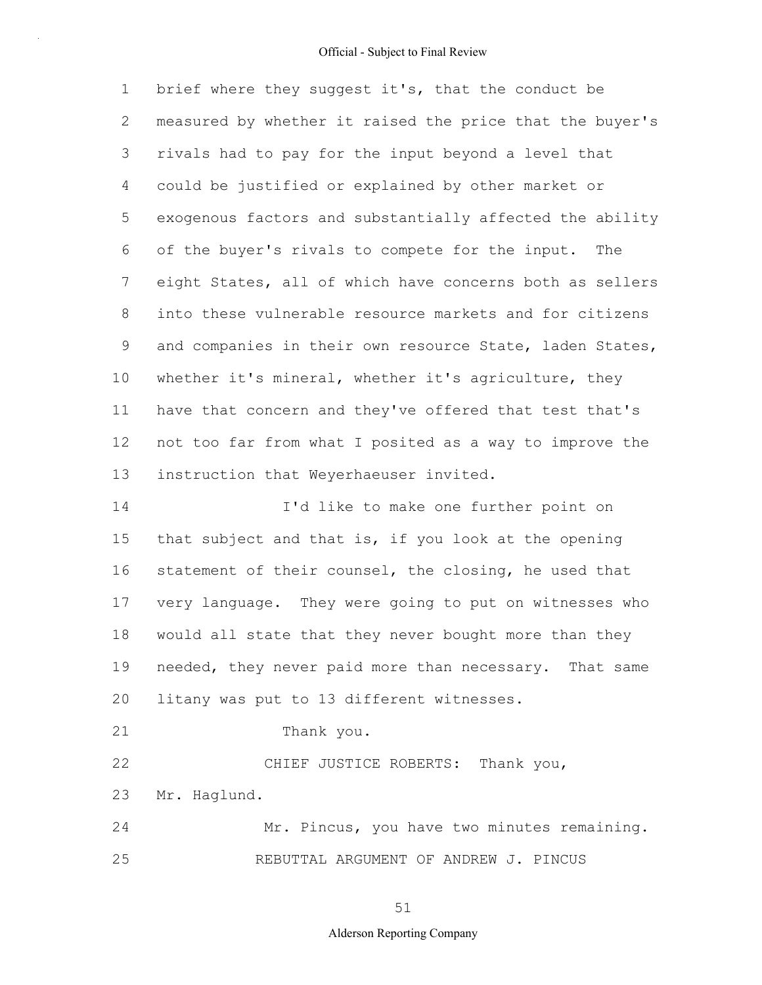1 2 3 4 5 6 7 8 9 10 11 12 13 14 brief where they suggest it's, that the conduct be measured by whether it raised the price that the buyer's rivals had to pay for the input beyond a level that could be justified or explained by other market or exogenous factors and substantially affected the ability of the buyer's rivals to compete for the input. The eight States, all of which have concerns both as sellers into these vulnerable resource markets and for citizens and companies in their own resource State, laden States, whether it's mineral, whether it's agriculture, they have that concern and they've offered that test that's not too far from what I posited as a way to improve the instruction that Weyerhaeuser invited. I'd like to make one further point on

15 16 17 18 19 20 that subject and that is, if you look at the opening statement of their counsel, the closing, he used that very language. They were going to put on witnesses who would all state that they never bought more than they needed, they never paid more than necessary. That same litany was put to 13 different witnesses.

21 Thank you.

22 23 CHIEF JUSTICE ROBERTS: Thank you, Mr. Haglund.

24 25 Mr. Pincus, you have two minutes remaining. REBUTTAL ARGUMENT OF ANDREW J. PINCUS

51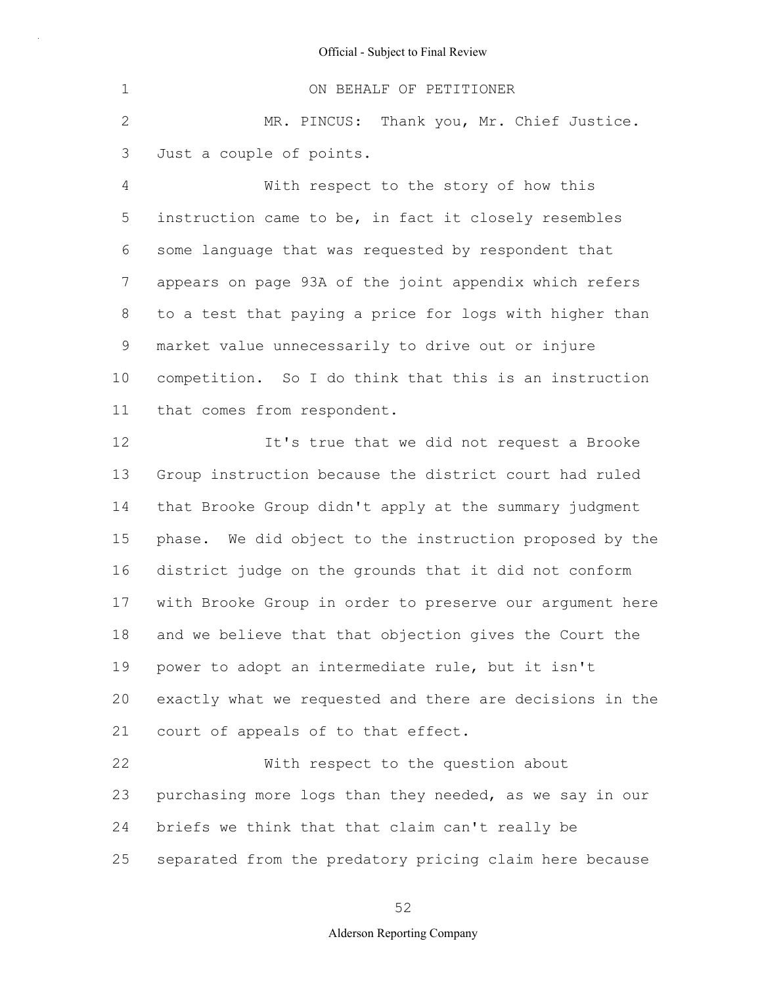1 2 3 4 5 6 7 8 9 10 11 ON BEHALF OF PETITIONER MR. PINCUS: Thank you, Mr. Chief Justice. Just a couple of points. With respect to the story of how this instruction came to be, in fact it closely resembles some language that was requested by respondent that appears on page 93A of the joint appendix which refers to a test that paying a price for logs with higher than market value unnecessarily to drive out or injure competition. So I do think that this is an instruction that comes from respondent.

12 13 14 15 16 17 18 19 20 21 22 It's true that we did not request a Brooke Group instruction because the district court had ruled that Brooke Group didn't apply at the summary judgment phase. We did object to the instruction proposed by the district judge on the grounds that it did not conform with Brooke Group in order to preserve our argument here and we believe that that objection gives the Court the power to adopt an intermediate rule, but it isn't exactly what we requested and there are decisions in the court of appeals of to that effect. With respect to the question about

23 24 25 purchasing more logs than they needed, as we say in our briefs we think that that claim can't really be separated from the predatory pricing claim here because

52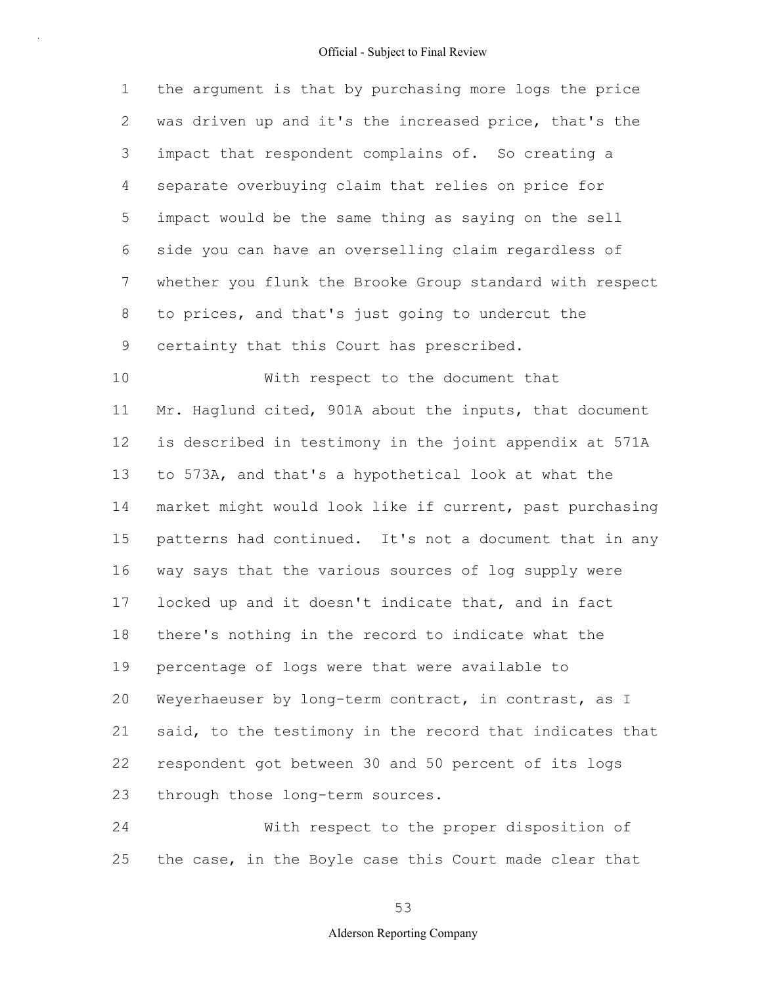1 2 3 4 5 6 7 8 9 10 the argument is that by purchasing more logs the price was driven up and it's the increased price, that's the impact that respondent complains of. So creating a separate overbuying claim that relies on price for impact would be the same thing as saying on the sell side you can have an overselling claim regardless of whether you flunk the Brooke Group standard with respect to prices, and that's just going to undercut the certainty that this Court has prescribed. With respect to the document that

11 12 13 14 15 16 17 18 19 20 21 22 23 Mr. Haglund cited, 901A about the inputs, that document is described in testimony in the joint appendix at 571A to 573A, and that's a hypothetical look at what the market might would look like if current, past purchasing patterns had continued. It's not a document that in any way says that the various sources of log supply were locked up and it doesn't indicate that, and in fact there's nothing in the record to indicate what the percentage of logs were that were available to Weyerhaeuser by long-term contract, in contrast, as I said, to the testimony in the record that indicates that respondent got between 30 and 50 percent of its logs through those long-term sources.

24 25 With respect to the proper disposition of the case, in the Boyle case this Court made clear that

53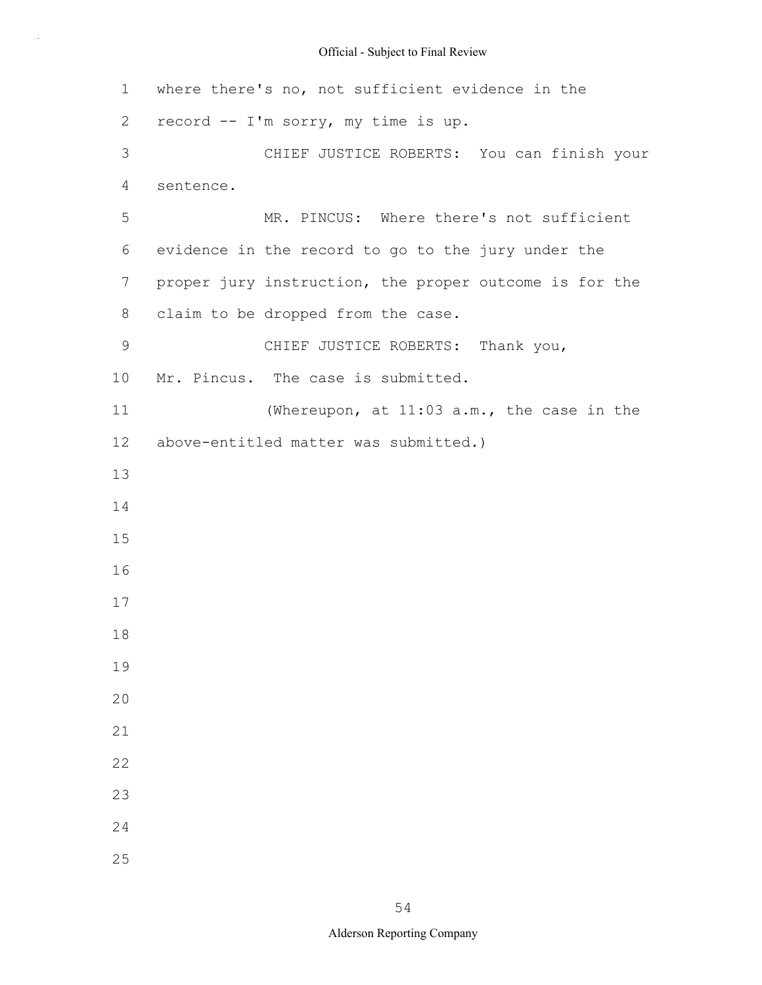| 1  | where there's no, not sufficient evidence in the       |
|----|--------------------------------------------------------|
| 2  | record -- I'm sorry, my time is up.                    |
| 3  | CHIEF JUSTICE ROBERTS: You can finish your             |
| 4  | sentence.                                              |
| 5  | MR. PINCUS: Where there's not sufficient               |
| 6  | evidence in the record to go to the jury under the     |
| 7  | proper jury instruction, the proper outcome is for the |
| 8  | claim to be dropped from the case.                     |
| 9  | CHIEF JUSTICE ROBERTS: Thank you,                      |
| 10 | Mr. Pincus. The case is submitted.                     |
| 11 | (Whereupon, at 11:03 a.m., the case in the             |
| 12 | above-entitled matter was submitted.)                  |
| 13 |                                                        |
| 14 |                                                        |
| 15 |                                                        |
| 16 |                                                        |
| 17 |                                                        |
| 18 |                                                        |
| 19 |                                                        |
| 20 |                                                        |
| 21 |                                                        |
| 22 |                                                        |
| 23 |                                                        |
| 24 |                                                        |
| 25 |                                                        |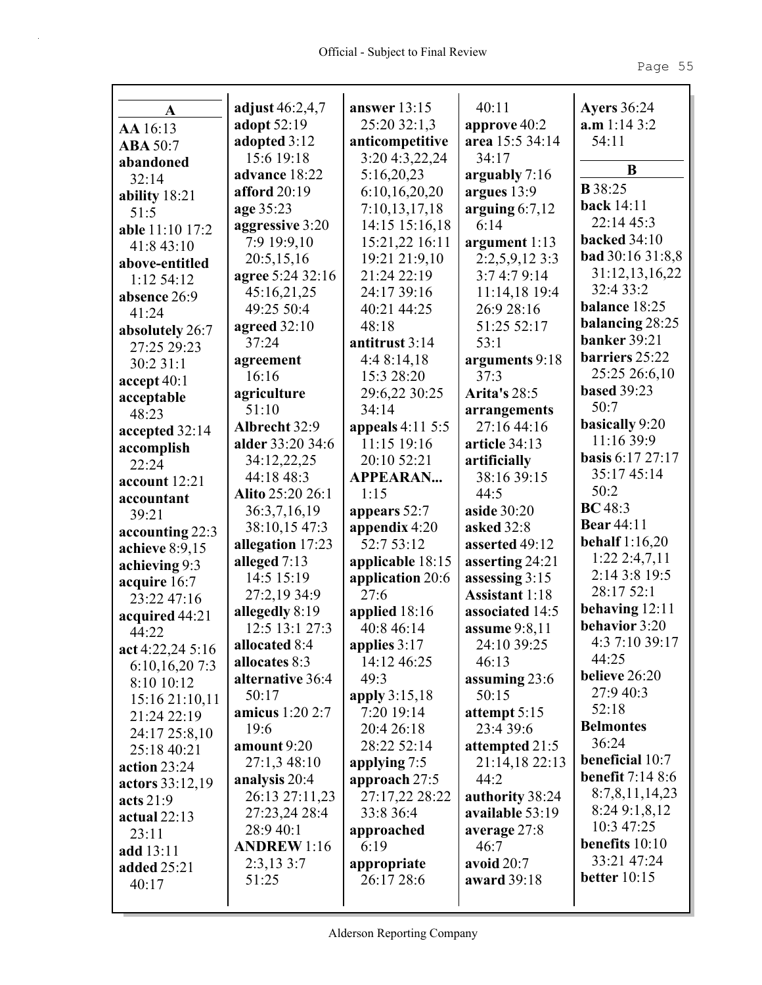| A                           | adjust 46:2,4,7                   | answer $13:15$                  | 40:11                       | <b>Ayers</b> 36:24      |
|-----------------------------|-----------------------------------|---------------------------------|-----------------------------|-------------------------|
| AA 16:13                    | adopt 52:19                       | 25:20 32:1,3                    | approve 40:2                | a.m 1:14 3:2            |
| <b>ABA 50:7</b>             | adopted 3:12                      | anticompetitive                 | area 15:5 34:14             | 54:11                   |
| abandoned                   | 15:6 19:18                        | 3:20 4:3,22,24                  | 34:17                       | B                       |
| 32:14                       | advance 18:22                     | 5:16,20,23                      | arguably 7:16               | <b>B</b> 38:25          |
| ability $18:21$             | afford 20:19                      | 6:10,16,20,20                   | argues $13:9$               | <b>back</b> 14:11       |
| 51:5                        | age 35:23                         | 7:10,13,17,18                   | arguing $6:7,12$            | 22:14 45:3              |
| able 11:10 17:2             | aggressive 3:20                   | 14:15 15:16,18                  | 6:14                        | <b>backed</b> 34:10     |
| 41:8 43:10                  | 7:9 19:9,10                       | 15:21,22 16:11                  | argument 1:13               | <b>bad</b> 30:16 31:8,8 |
| above-entitled              | 20:5,15,16                        | 19:21 21:9,10                   | $2:2,5,9,12\;3:3$           | 31:12,13,16,22          |
| 1:12 54:12                  | agree 5:24 32:16                  | 21:24 22:19                     | 3:74:79:14                  | 32:4 33:2               |
| absence 26:9                | 45:16,21,25                       | 24:17 39:16                     | 11:14,18 19:4               | balance 18:25           |
| 41:24                       | 49:25 50:4                        | 40:21 44:25                     | 26:9 28:16                  | balancing 28:25         |
| absolutely 26:7             | agreed $32:10$                    | 48:18                           | 51:25 52:17                 | <b>banker</b> 39:21     |
| 27:25 29:23                 | 37:24                             | antitrust 3:14                  | 53:1                        | barriers 25:22          |
| 30:2 31:1                   | agreement<br>16:16                | 4:48:14,18                      | arguments 9:18<br>37:3      | 25:25 26:6,10           |
| accept 40:1                 |                                   | 15:3 28:20                      |                             | <b>based 39:23</b>      |
| acceptable                  | agriculture                       | 29:6,22 30:25                   | <b>Arita's 28:5</b>         | 50:7                    |
| 48:23                       | 51:10                             | 34:14                           | arrangements<br>27:16 44:16 | basically 9:20          |
| accepted 32:14              | Albrecht 32:9<br>alder 33:20 34:6 | appeals 4:11 5:5<br>11:15 19:16 | article 34:13               | 11:16 39:9              |
| accomplish                  |                                   | 20:10 52:21                     |                             | basis 6:17 27:17        |
| 22:24                       | 34:12,22,25<br>44:18 48:3         | <b>APPEARAN</b>                 | artificially<br>38:16 39:15 | 35:17 45:14             |
| account 12:21               | Alito 25:20 26:1                  | 1:15                            | 44:5                        | 50:2                    |
| accountant                  | 36:3,7,16,19                      | appears 52:7                    | aside 30:20                 | BC 48:3                 |
| 39:21                       | 38:10,15 47:3                     | appendix 4:20                   | <b>asked</b> 32:8           | <b>Bear 44:11</b>       |
| accounting 22:3             | allegation 17:23                  | 52:7 53:12                      | asserted 49:12              | <b>behalf</b> 1:16,20   |
| achieve 8:9,15              | alleged $7:13$                    | applicable 18:15                | asserting 24:21             | $1:22$ 2:4,7,11         |
| achieving 9:3               | 14:5 15:19                        | application 20:6                | assessing 3:15              | 2:14 3:8 19:5           |
| acquire 16:7                | 27:2,19 34:9                      | 27:6                            | <b>Assistant 1:18</b>       | 28:17 52:1              |
| 23:22 47:16                 | allegedly 8:19                    | applied $18:16$                 | associated 14:5             | behaving 12:11          |
| acquired 44:21              | 12:5 13:1 27:3                    | 40:8 46:14                      | assume $9:8,11$             | behavior 3:20           |
| 44:22                       | allocated 8:4                     | applies 3:17                    | 24:10 39:25                 | 4:3 7:10 39:17          |
| act 4:22,24 5:16            | allocates 8:3                     | 14:12 46:25                     | 46:13                       | 44:25                   |
| 6:10,16,207:3<br>8:10 10:12 | alternative 36:4                  | 49:3                            | assuming 23:6               | believe 26:20           |
| 15:16 21:10,11              | 50:17                             | apply 3:15,18                   | 50:15                       | 27:9 40:3               |
| 21:24 22:19                 | <b>amicus</b> 1:20 2:7            | 7:20 19:14                      | attempt $5:15$              | 52:18                   |
| 24:17 25:8,10               | 19:6                              | 20:4 26:18                      | 23:4 39:6                   | <b>Belmontes</b>        |
| 25:18 40:21                 | amount 9:20                       | 28:22 52:14                     | attempted 21:5              | 36:24                   |
| action $23:24$              | 27:1,3 48:10                      | applying 7:5                    | 21:14,18 22:13              | beneficial 10:7         |
| actors 33:12,19             | analysis 20:4                     | approach 27:5                   | 44:2                        | <b>benefit</b> 7:14 8:6 |
| acts $21:9$                 | 26:13 27:11,23                    | 27:17,22 28:22                  | authority 38:24             | 8:7,8,11,14,23          |
| actual $22:13$              | 27:23,24 28:4                     | 33:8 36:4                       | available 53:19             | 8:249:1,8,12            |
| 23:11                       | 28:9 40:1                         | approached                      | average 27:8                | 10:3 47:25              |
| add 13:11                   | <b>ANDREW</b> 1:16                | 6:19                            | 46:7                        | benefits 10:10          |
| added 25:21                 | $2:3,13\;3:7$                     | appropriate                     | avoid $20:7$                | 33:21 47:24             |
| 40:17                       | 51:25                             | 26:17 28:6                      | award 39:18                 | better $10:15$          |
|                             |                                   |                                 |                             |                         |
|                             |                                   |                                 |                             |                         |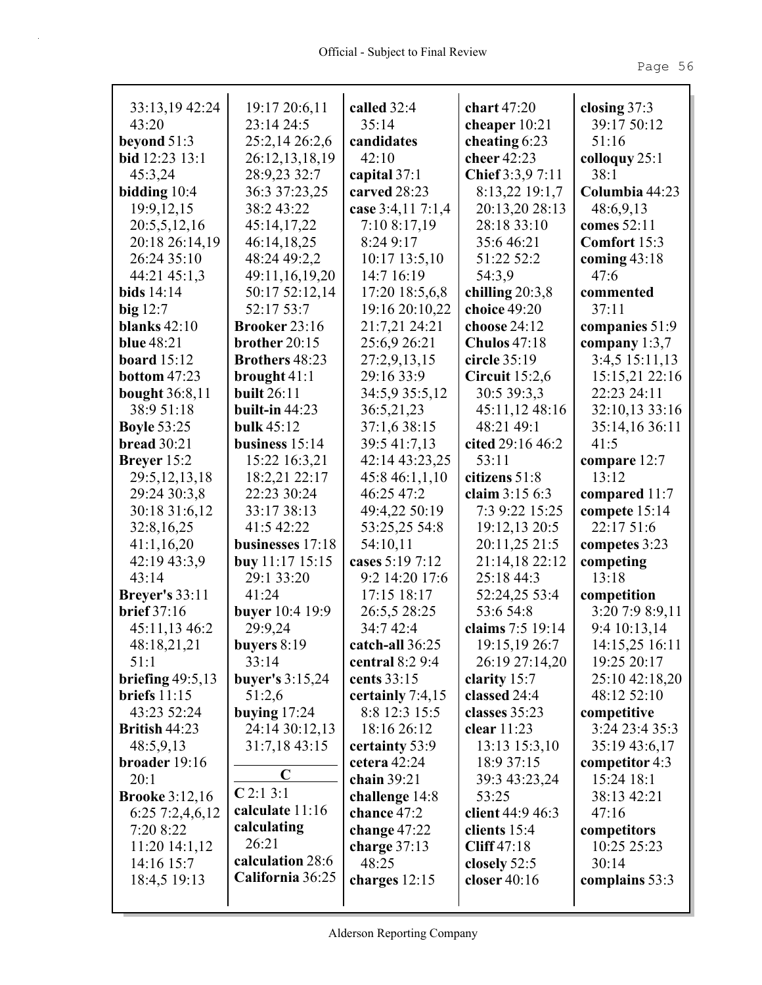| 33:13,19 42:24                 | 19:17 20:6,11               | called 32:4                    | chart $47:20$                 | closing $37:3$             |
|--------------------------------|-----------------------------|--------------------------------|-------------------------------|----------------------------|
| 43:20                          | 23:14 24:5                  | 35:14                          | cheaper $10:21$               | 39:17 50:12                |
| beyond $51:3$                  | 25:2,14 26:2,6              | candidates                     | cheating $6:23$               | 51:16                      |
| bid 12:23 13:1                 | 26:12,13,18,19              | 42:10                          | cheer 42:23                   | colloquy 25:1              |
| 45:3,24                        | 28:9,23 32:7                | capital $37:1$                 | Chief 3:3,9 7:11              | 38:1                       |
| bidding $10:4$                 | 36:3 37:23,25               | carved 28:23                   | 8:13,22 19:1,7                | Columbia 44:23             |
| 19:9, 12, 15                   | 38:2 43:22                  | case 3:4,11 7:1,4              | 20:13,20 28:13<br>28:18 33:10 | 48:6,9,13                  |
| 20:5,5,12,16<br>20:18 26:14,19 | 45:14,17,22                 | 7:10 8:17,19<br>8:24 9:17      | 35:646:21                     | comes 52:11                |
| 26:24 35:10                    | 46:14,18,25<br>48:24 49:2,2 |                                | 51:22 52:2                    | Comfort 15:3               |
| 44:21 45:1,3                   | 49:11,16,19,20              | $10:17$ 13:5,10<br>14:7 16:19  | 54:3,9                        | coming $43:18$<br>47:6     |
| bids $14:14$                   | 50:17 52:12,14              | 17:20 18:5,6,8                 | chilling $20:3,8$             | commented                  |
| big $12:7$                     | 52:17 53:7                  | 19:16 20:10,22                 | choice 49:20                  | 37:11                      |
| blanks $42:10$                 | <b>Brooker 23:16</b>        | 21:7,21 24:21                  | choose $24:12$                | companies 51:9             |
| <b>blue</b> 48:21              | brother $20:15$             | 25:6,9 26:21                   | <b>Chulos</b> 47:18           | company $1:3,7$            |
| board $15:12$                  | <b>Brothers</b> 48:23       | 27:2,9,13,15                   | circle 35:19                  | 3:4,5 15:11,13             |
| <b>bottom</b> $47:23$          | brought $41:1$              | 29:16 33:9                     | Circuit $15:2,6$              | 15:15,21 22:16             |
| <b>bought</b> 36:8,11          | <b>built 26:11</b>          | 34:5,9 35:5,12                 | 30:5 39:3,3                   | 22:23 24:11                |
| 38:9 51:18                     | built-in $44:23$            | 36:5,21,23                     | 45:11,12 48:16                | 32:10,13 33:16             |
| <b>Boyle 53:25</b>             | bulk $45:12$                | 37:1,6 38:15                   | 48:21 49:1                    | 35:14,16 36:11             |
| bread $30:21$                  | business $15:14$            | 39:5 41:7,13                   | cited 29:16 46:2              | 41:5                       |
| Breyer 15:2                    | 15:22 16:3,21               | 42:14 43:23,25                 | 53:11                         | compare 12:7               |
| 29:5, 12, 13, 18               | 18:2,21 22:17               | 45:8 46:1,1,10                 | citizens 51:8                 | 13:12                      |
| 29:24 30:3,8                   | 22:23 30:24                 | 46:25 47:2                     | claim 3:15 6:3                | compared $11:7$            |
| 30:18 31:6,12                  | 33:17 38:13                 | 49:4,22 50:19                  | 7:3 9:22 15:25                | compete 15:14              |
| 32:8,16,25                     | 41:5 42:22                  | 53:25,25 54:8                  | 19:12,13 20:5                 | 22:17 51:6                 |
| 41:1,16,20                     | businesses 17:18            | 54:10,11                       | 20:11,25 21:5                 | competes 3:23              |
| 42:19 43:3,9                   | <b>buy</b> 11:17 15:15      | cases 5:19 7:12                | 21:14,18 22:12                | competing                  |
| 43:14                          | 29:1 33:20                  | 9:2 14:20 17:6                 | 25:18 44:3                    | 13:18                      |
| <b>Breyer's</b> 33:11          | 41:24                       | 17:15 18:17                    | 52:24,25 53:4                 | competition                |
| brief $37:16$                  | <b>buyer</b> 10:4 19:9      | 26:5,5 28:25                   | 53:6 54:8                     | 3:20 7:9 8:9,11            |
| 45:11,13 46:2                  | 29:9,24                     | 34:7 42:4                      | claims 7:5 19:14              | 9:4 10:13,14               |
| 48:18,21,21                    | buyers 8:19                 | catch-all 36:25                | 19:15,19 26:7                 | 14:15,25 16:11             |
| 51:1                           | 33:14                       | central 8:2 9:4                | 26:19 27:14,20                | 19:25 20:17                |
| briefing $49:5,13$             | buyer's $3:15,24$           | cents 33:15                    | clarity 15:7                  | 25:10 42:18,20             |
| briefs $11:15$                 | 51:2,6                      | certainly 7:4,15               | classed 24:4                  | 48:12 52:10                |
| 43:23 52:24                    | buying $17:24$              | 8:8 12:3 15:5                  | classes 35:23                 | competitive                |
| British 44:23                  | 24:14 30:12,13              | 18:16 26:12                    | clear $11:23$                 | 3:24 23:4 35:3             |
| 48:5,9,13                      | 31:7,18 43:15               | certainty 53:9                 | 13:13 15:3,10                 | 35:19 43:6,17              |
| broader 19:16                  | $\mathbf C$                 | cetera $42:24$                 | 18:9 37:15                    | competitor $4:3$           |
| 20:1                           | C2:13:1                     | chain 39:21                    | 39:3 43:23,24                 | 15:24 18:1                 |
| <b>Brooke</b> 3:12,16          | calculate 11:16             | challenge 14:8<br>chance 47:2  | 53:25<br>client 44:9 46:3     | 38:13 42:21<br>47:16       |
| 6:257:2,4,6,12                 | calculating                 |                                |                               |                            |
| 7:20 8:22<br>$11:20$ $14:1,12$ | 26:21                       | change $47:22$<br>charge 37:13 | clients $15:4$<br>Cliff 47:18 | competitors<br>10:25 25:23 |
| 14:16 15:7                     | calculation 28:6            | 48:25                          | closely $52:5$                | 30:14                      |
| 18:4,5 19:13                   | California 36:25            | charges 12:15                  | closer $40:16$                | complains 53:3             |
|                                |                             |                                |                               |                            |
|                                |                             |                                |                               |                            |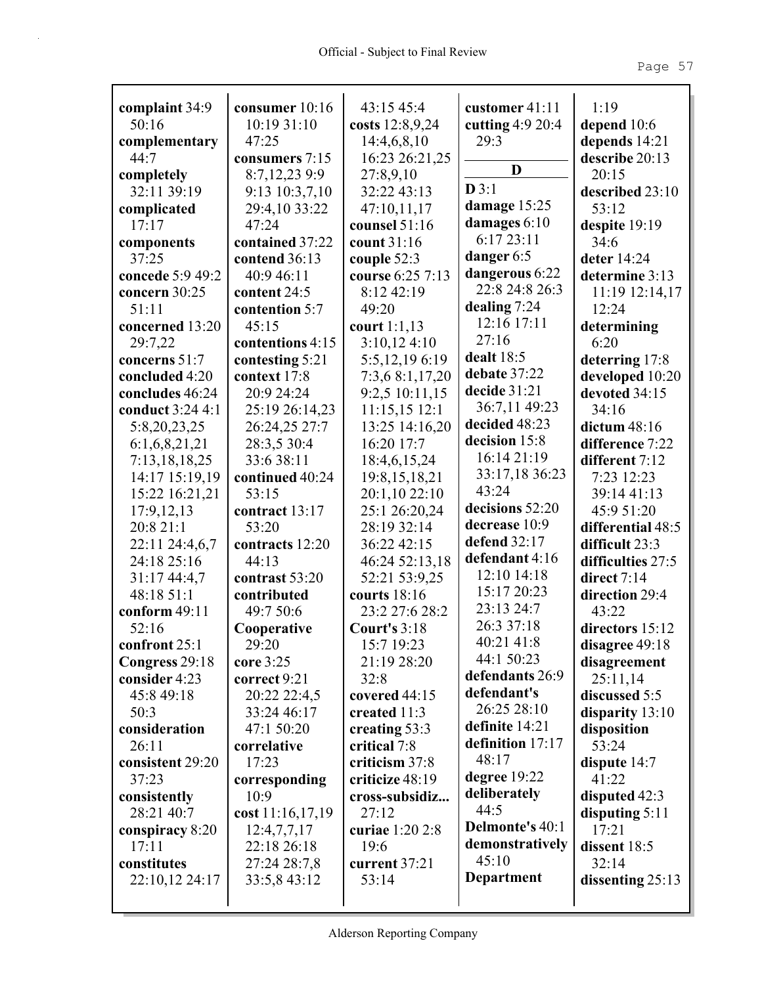| complaint 34:9   | consumer 10:16   | 43:15 45:4          | customer 41:11                   | 1:19               |
|------------------|------------------|---------------------|----------------------------------|--------------------|
| 50:16            | 10:19 31:10      | costs 12:8,9,24     | cutting $4:9$ 20:4               | depend $10:6$      |
| complementary    | 47:25            | 14:4,6,8,10         | 29:3                             | depends 14:21      |
| 44:7             | consumers 7:15   | 16:23 26:21,25      | D                                | describe 20:13     |
| completely       | 8:7,12,23 9:9    | 27:8,9,10           | D3:1                             | 20:15              |
| 32:11 39:19      | 9:13 10:3,7,10   | 32:22 43:13         |                                  | described 23:10    |
| complicated      | 29:4,10 33:22    | 47:10,11,17         | damage 15:25                     | 53:12              |
| 17:17            | 47:24            | counsel 51:16       | damages 6:10<br>6:17 23:11       | despite 19:19      |
| components       | contained 37:22  | count 31:16         |                                  | 34:6               |
| 37:25            | contend 36:13    | couple 52:3         | danger 6:5                       | deter 14:24        |
| concede 5:9 49:2 | 40:9 46:11       | course 6:25 7:13    | dangerous 6:22<br>22:8 24:8 26:3 | determine 3:13     |
| concern 30:25    | content 24:5     | 8:12 42:19          |                                  | 11:19 12:14,17     |
| 51:11            | contention 5:7   | 49:20               | dealing 7:24                     | 12:24              |
| concerned 13:20  | 45:15            | court 1:1,13        | 12:16 17:11                      | determining        |
| 29:7,22          | contentions 4:15 | 3:10,124:10         | 27:16                            | 6:20               |
| concerns 51:7    | contesting 5:21  | 5:5,12,196:19       | dealt 18:5                       | deterring 17:8     |
| concluded 4:20   | context 17:8     | 7:3,6 8:1,17,20     | debate 37:22                     | developed 10:20    |
| concludes 46:24  | 20:9 24:24       | 9:2,5 10:11,15      | decide 31:21                     | devoted 34:15      |
| conduct 3:24 4:1 | 25:19 26:14,23   | 11:15,15 12:1       | 36:7,11 49:23                    | 34:16              |
| 5:8,20,23,25     | 26:24,25 27:7    | 13:25 14:16,20      | decided 48:23                    | dictum $48:16$     |
| 6:1,6,8,21,21    | 28:3,5 30:4      | 16:20 17:7          | decision 15:8                    | difference 7:22    |
| 7:13,18,18,25    | 33:6 38:11       | 18:4,6,15,24        | 16:14 21:19                      | different 7:12     |
| 14:17 15:19,19   | continued 40:24  | 19:8, 15, 18, 21    | 33:17,18 36:23                   | 7:23 12:23         |
| 15:22 16:21,21   | 53:15            | 20:1,10 22:10       | 43:24                            | 39:14 41:13        |
| 17:9, 12, 13     | contract 13:17   | 25:1 26:20,24       | decisions 52:20                  | 45:9 51:20         |
| 20:8 21:1        | 53:20            | 28:19 32:14         | decrease 10:9                    | differential 48:5  |
| 22:11 24:4,6,7   | contracts 12:20  | 36:22 42:15         | defend 32:17                     | difficult 23:3     |
| 24:18 25:16      | 44:13            | 46:24 52:13,18      | defendant 4:16                   | difficulties 27:5  |
| 31:17 44:4,7     | contrast 53:20   | 52:21 53:9,25       | 12:10 14:18                      | direct 7:14        |
| 48:18 51:1       | contributed      | courts 18:16        | 15:17 20:23                      | direction 29:4     |
| conform 49:11    | 49:7 50:6        | 23:2 27:6 28:2      | 23:13 24:7                       | 43:22              |
| 52:16            | Cooperative      | <b>Court's 3:18</b> | 26:3 37:18                       | directors 15:12    |
| confront 25:1    | 29:20            | 15:7 19:23          | 40:21 41:8                       | disagree 49:18     |
| Congress 29:18   | core 3:25        | 21:19 28:20         | 44:1 50:23                       | disagreement       |
| consider 4:23    | correct 9:21     | 32:8                | defendants 26:9                  | 25:11,14           |
| 45:8 49:18       | 20:22 22:4,5     | covered 44:15       | defendant's                      | discussed 5:5      |
| 50:3             | 33:24 46:17      | created 11:3        | 26:25 28:10                      | disparity $13:10$  |
| consideration    | 47:1 50:20       | creating 53:3       | definite 14:21                   | disposition        |
| 26:11            | correlative      | critical 7:8        | definition 17:17                 | 53:24              |
| consistent 29:20 | 17:23            | criticism 37:8      | 48:17                            | dispute 14:7       |
| 37:23            | corresponding    | criticize 48:19     | degree $19:22$                   | 41:22              |
| consistently     | 10:9             | cross-subsidiz      | deliberately                     | disputed 42:3      |
| 28:21 40:7       | cost 11:16,17,19 | 27:12               | 44:5                             | disputing $5:11$   |
| conspiracy 8:20  | 12:4,7,7,17      | curiae 1:20 2:8     | Delmonte's 40:1                  | 17:21              |
| 17:11            | 22:18 26:18      | 19:6                | demonstratively                  | dissent 18:5       |
| constitutes      | 27:24 28:7,8     | current 37:21       | 45:10                            | 32:14              |
| 22:10,12 24:17   | 33:5,8 43:12     | 53:14               | <b>Department</b>                | dissenting $25:13$ |
|                  |                  |                     |                                  |                    |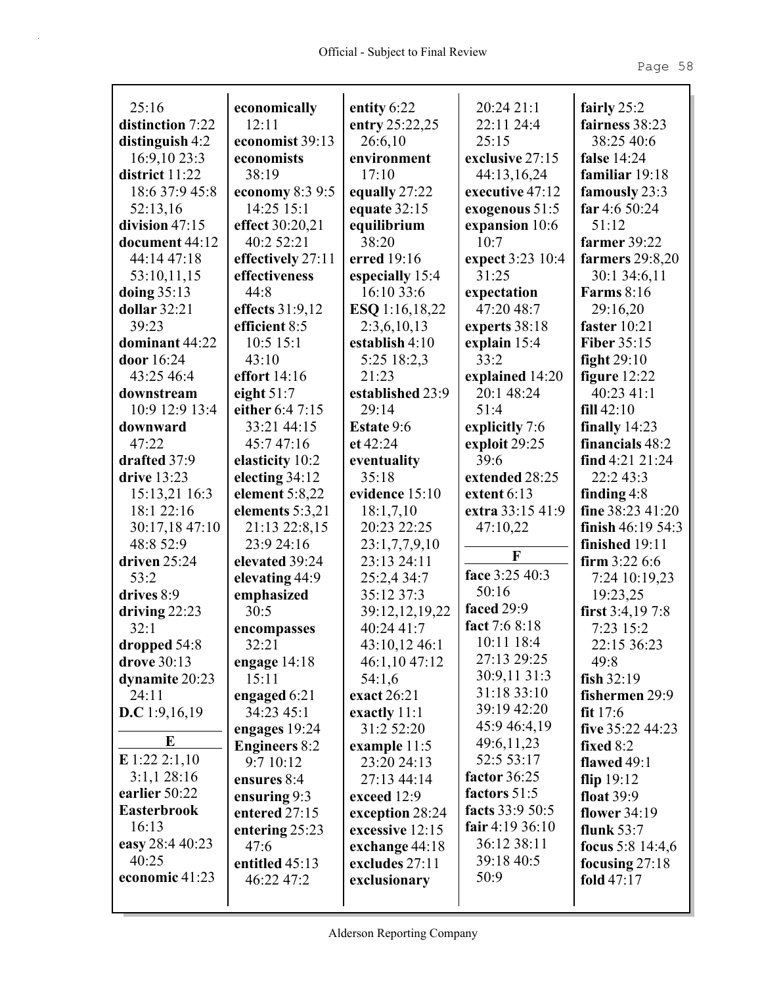| 25:16              | economically         | entity 6:22       | 20:24 21:1        | fairly $25:2$       |
|--------------------|----------------------|-------------------|-------------------|---------------------|
| distinction 7:22   | 12:11                | entry 25:22,25    | 22:11 24:4        | fairness 38:23      |
| distinguish 4:2    | economist 39:13      | 26:6,10           | 25:15             | 38:25 40:6          |
| 16:9,10 23:3       | economists           | environment       | exclusive 27:15   | <b>false</b> 14:24  |
| district 11:22     | 38:19                | 17:10             | 44:13,16,24       | familiar 19:18      |
| 18:6 37:9 45:8     | economy 8:3 9:5      | equally 27:22     | executive 47:12   | famously 23:3       |
| 52:13,16           | 14:25 15:1           | equate $32:15$    | exogenous 51:5    | far 4:6 50:24       |
| division 47:15     | effect 30:20,21      | equilibrium       | expansion 10:6    | 51:12               |
| document 44:12     | 40:2 52:21           | 38:20             | 10:7              | farmer 39:22        |
| 44:14 47:18        | effectively 27:11    | erred 19:16       | expect 3:23 10:4  | farmers $29:8,20$   |
| 53:10,11,15        | effectiveness        | especially 15:4   | 31:25             | 30:1 34:6,11        |
| doing $35:13$      | 44:8                 | 16:10 33:6        | expectation       | <b>Farms</b> 8:16   |
| dollar $32:21$     | effects 31:9,12      | ESQ 1:16,18,22    | 47:20 48:7        | 29:16,20            |
| 39:23              | efficient 8:5        | 2:3,6,10,13       | experts 38:18     | faster $10:21$      |
| dominant 44:22     | $10:5$ 15:1          | establish 4:10    | explain 15:4      | <b>Fiber 35:15</b>  |
| door 16:24         | 43:10                | 5:25 18:2,3       | 33:2              | fight $29:10$       |
| 43:25 46:4         | effort 14:16         | 21:23             | explained 14:20   | figure $12:22$      |
| downstream         | eight $51:7$         | established 23:9  | 20:1 48:24        | 40:23 41:1          |
| 10:9 12:9 13:4     | either 6:4 7:15      | 29:14             | 51:4              | fill 42:10          |
| downward           | 33:21 44:15          | <b>Estate 9:6</b> | explicitly 7:6    | finally $14:23$     |
| 47:22              | 45:747:16            | et 42:24          | exploit 29:25     | financials 48:2     |
| drafted 37:9       | elasticity 10:2      | eventuality       | 39:6              | find $4:21$ $21:24$ |
| drive 13:23        | electing 34:12       | 35:18             | extended 28:25    | 22:243:3            |
| 15:13,21 16:3      | element 5:8,22       | evidence 15:10    | extent 6:13       | finding $4:8$       |
| 18:1 22:16         | elements 5:3,21      | 18:1,7,10         | extra 33:15 41:9  | fine 38:23 41:20    |
| 30:17,18 47:10     | 21:13 22:8,15        | 20:23 22:25       | 47:10,22          | finish $46:1954:3$  |
| 48:8 52:9          | 23:9 24:16           | 23:1,7,7,9,10     |                   | finished 19:11      |
| driven 25:24       | elevated 39:24       | 23:13 24:11       | $\mathbf F$       | firm $3:226:6$      |
| 53:2               | elevating 44:9       | 25:2,4 34:7       | face 3:25 40:3    | 7:24 10:19,23       |
| drives 8:9         | emphasized           | 35:12 37:3        | 50:16             | 19:23,25            |
| driving $22:23$    | 30:5                 | 39:12,12,19,22    | faced 29:9        | first $3:4,197:8$   |
| 32:1               | encompasses          | 40:24 41:7        | fact 7:6 8:18     | 7:23 15:2           |
| dropped 54:8       | 32:21                | 43:10,12 46:1     | 10:11 18:4        | 22:15 36:23         |
| drove 30:13        | engage 14:18         | 46:1,10 47:12     | 27:13 29:25       | 49:8                |
| dynamite 20:23     | 15:11                | 54:1,6            | 30:9,11 31:3      | fish $32:19$        |
| 24:11              | engaged 6:21         | exact 26:21       | 31:18 33:10       | fishermen 29:9      |
| D.C 1:9,16,19      | 34:23 45:1           | exactly 11:1      | 39:19 42:20       | fit $17:6$          |
|                    | engages 19:24        | 31:2 52:20        | 45:9 46:4,19      | five 35:22 44:23    |
| E                  | <b>Engineers 8:2</b> | example 11:5      | 49:6,11,23        | fixed $8:2$         |
| E 1:22 2:1,10      | 9:710:12             | 23:20 24:13       | 52:5 53:17        | flawed $49:1$       |
| $3:1,1$ 28:16      | ensures 8:4          | 27:13 44:14       | factor 36:25      | flip $19:12$        |
| earlier 50:22      | ensuring 9:3         | exceed 12:9       | factors 51:5      | float $39:9$        |
| <b>Easterbrook</b> | entered 27:15        | exception 28:24   | facts 33:9 50:5   | flower 34:19        |
| 16:13              | entering $25:23$     | excessive 12:15   | fair 4:19 $36:10$ | flunk $53:7$        |
| easy 28:4 40:23    | 47:6                 | exchange 44:18    | 36:12 38:11       | focus 5:8 $14:4,6$  |
| 40:25              | entitled 45:13       | excludes 27:11    | 39:18 40:5        | focusing $27:18$    |
| economic 41:23     | 46:22 47:2           | exclusionary      | 50:9              | fold $47:17$        |
|                    |                      |                   |                   |                     |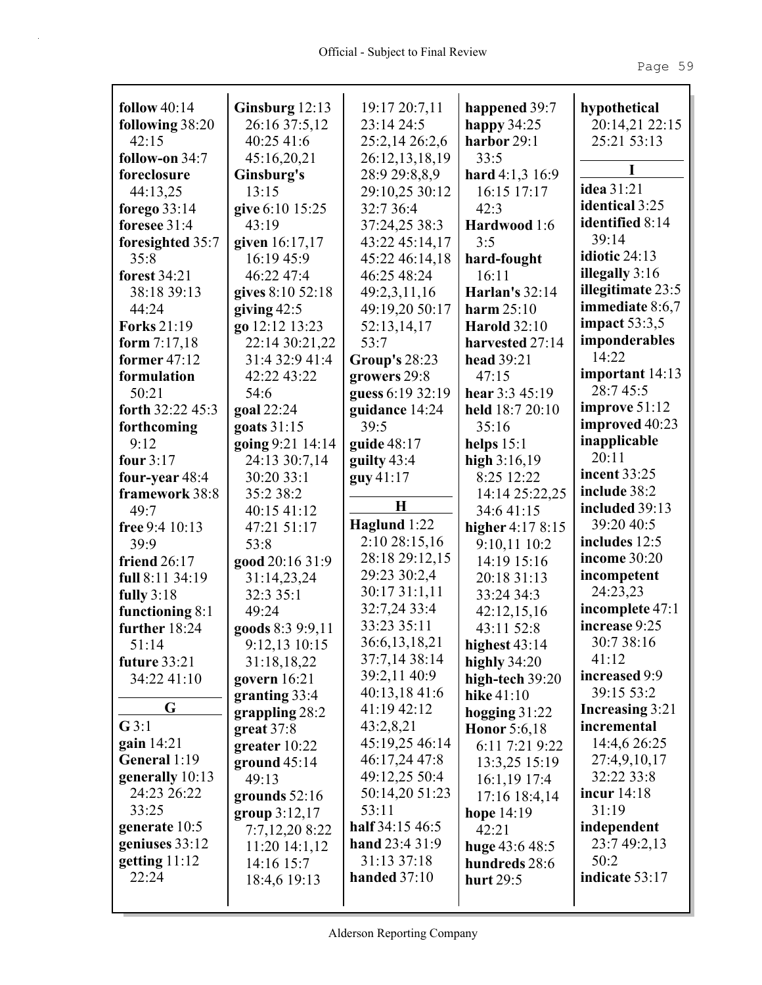| follow $40:14$      | Ginsburg 12:13<br>26:16 37:5,12 | 19:17 20:7,11<br>23:14 24:5 | happened 39:7         | hypothetical           |
|---------------------|---------------------------------|-----------------------------|-----------------------|------------------------|
| following 38:20     |                                 |                             | happy $34:25$         | 20:14,21 22:15         |
| 42:15               | 40:25 41:6                      | 25:2,14 26:2,6              | harbor 29:1<br>33:5   | 25:21 53:13            |
| follow-on 34:7      | 45:16,20,21                     | 26:12,13,18,19              |                       |                        |
| foreclosure         | Ginsburg's                      | 28:9 29:8,8,9               | hard 4:1,3 16:9       | idea 31:21             |
| 44:13,25            | 13:15                           | 29:10,25 30:12              | 16:15 17:17           | identical 3:25         |
| forego $33:14$      | give 6:10 15:25                 | 32:7 36:4                   | 42:3                  | identified 8:14        |
| foresee $31:4$      | 43:19                           | 37:24,25 38:3               | Hardwood 1:6          | 39:14                  |
| foresighted 35:7    | given 16:17,17                  | 43:22 45:14,17              | 3:5                   | idiotic 24:13          |
| 35:8                | 16:19 45:9                      | 45:22 46:14,18              | hard-fought           | illegally $3:16$       |
| forest 34:21        | 46:22 47:4                      | 46:25 48:24                 | 16:11                 | illegitimate 23:5      |
| 38:18 39:13         | gives 8:10 52:18                | 49:2,3,11,16                | <b>Harlan's 32:14</b> |                        |
| 44:24               | giving $42:5$                   | 49:19,20 50:17              | harm $25:10$          | <b>immediate</b> 8:6,7 |
| <b>Forks</b> 21:19  | go 12:12 13:23                  | 52:13,14,17                 | <b>Harold</b> 32:10   | impact $53:3,5$        |
| form $7:17,18$      | 22:14 30:21,22                  | 53:7                        | harvested 27:14       | imponderables<br>14:22 |
| former $47:12$      | 31:4 32:9 41:4                  | <b>Group's 28:23</b>        | <b>head</b> 39:21     |                        |
| formulation         | 42:22 43:22                     | growers 29:8                | 47:15                 | important 14:13        |
| 50:21               | 54:6                            | guess 6:19 32:19            | hear $3:345:19$       | 28:745:5               |
| forth 32:22 45:3    | goal 22:24                      | guidance 14:24              | held 18:7 20:10       | improve $51:12$        |
| forthcoming         | goats 31:15                     | 39:5                        | 35:16                 | improved 40:23         |
| 9:12                | going 9:21 14:14                | guide 48:17                 | helps $15:1$          | inapplicable           |
| four $3:17$         | 24:13 30:7,14                   | guilty $43:4$               | high $3:16,19$        | 20:11                  |
| four-year 48:4      | 30:20 33:1                      | guy 41:17                   | 8:25 12:22            | <b>incent 33:25</b>    |
| framework 38:8      | 35:2 38:2                       |                             | 14:14 25:22,25        | include 38:2           |
| 49:7                | 40:15 41:12                     | $\mathbf H$                 | 34:641:15             | included 39:13         |
| free 9:4 10:13      | 47:21 51:17                     | Haglund 1:22                | higher $4:178:15$     | 39:20 40:5             |
| 39:9                | 53:8                            | 2:10 28:15,16               | 9:10,11 10:2          | includes 12:5          |
| <b>friend 26:17</b> | good 20:16 31:9                 | 28:18 29:12,15              | 14:19 15:16           | income 30:20           |
| full 8:11 34:19     |                                 | 29:23 30:2,4                |                       |                        |
|                     | 31:14,23,24                     |                             | 20:18 31:13           | incompetent            |
| fully $3:18$        | 32:3 35:1                       | 30:17 31:1,11               | 33:24 34:3            | 24:23,23               |
| functioning 8:1     | 49:24                           | 32:7,24 33:4                | 42:12,15,16           | incomplete 47:1        |
| further $18:24$     | goods 8:3 9:9,11                | 33:23 35:11                 | 43:11 52:8            | increase 9:25          |
| 51:14               | 9:12,13 10:15                   | 36:6,13,18,21               | highest $43:14$       | 30:7 38:16             |
| future 33:21        | 31:18,18,22                     | 37:7,14 38:14               | highly $34:20$        | 41:12                  |
| 34:22 41:10         | govern $16:21$                  | 39:2,11 40:9                | high-tech 39:20       | increased 9:9          |
|                     | granting $33:4$                 | 40:13,18 41:6               | hike $41:10$          | 39:15 53:2             |
| G                   | grappling $28:2$                | 41:19 42:12                 | hogging $31:22$       | <b>Increasing 3:21</b> |
| G3:1                | $great 37:8$                    | 43:2,8,21                   | Honor $5:6,18$        | incremental            |
| gain 14:21          | greater 10:22                   | 45:19,25 46:14              | 6:11 7:21 9:22        | 14:4,6 26:25           |
| General 1:19        | ground $45:14$                  | 46:17,24 47:8               | 13:3,25 15:19         | 27:4,9,10,17           |
| generally 10:13     | 49:13                           | 49:12,25 50:4               | $16:1,19$ 17:4        | 32:22 33:8             |
| 24:23 26:22         | grounds $52:16$                 | 50:14,20 51:23              | 17:16 18:4,14         | incur $14:18$          |
| 33:25               | group $3:12,17$                 | 53:11                       | hope 14:19            | 31:19                  |
| generate 10:5       | 7:7,12,20 8:22                  | half 34:15 46:5             | 42:21                 | independent            |
| geniuses 33:12      | 11:20 14:1,12                   | hand 23:4 31:9              | huge $43:648:5$       | 23:7 49:2,13           |
| getting $11:12$     | 14:16 15:7                      | 31:13 37:18                 | hundreds 28:6         | 50:2                   |
| 22:24               | 18:4,6 19:13                    | handed $37:10$              | hurt 29:5             | indicate 53:17         |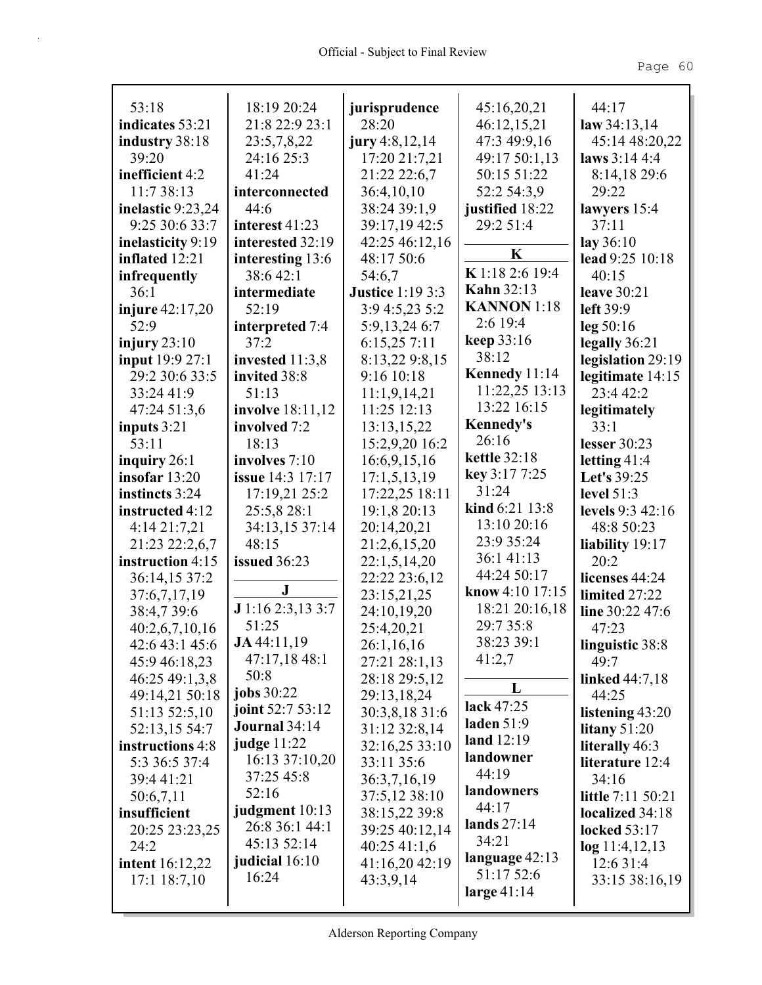| 53:18                    | 18:19 20:24             | jurisprudence           | 45:16,20,21         | 44:17                    |
|--------------------------|-------------------------|-------------------------|---------------------|--------------------------|
| indicates 53:21          | 21:8 22:9 23:1          | 28:20                   | 46:12,15,21         | law $34:13,14$           |
| industry 38:18           | 23:5,7,8,22             | jury $4:8,12,14$        | 47:3 49:9,16        | 45:14 48:20,22           |
| 39:20                    | 24:16 25:3              | 17:20 21:7,21           | 49:17 50:1,13       | laws $3:144:4$           |
| inefficient 4:2          | 41:24                   | 21:22 22:6,7            | 50:15 51:22         | 8:14,18 29:6             |
| 11:7 38:13               | interconnected          | 36:4,10,10              | 52:2 54:3,9         | 29:22                    |
| inelastic 9:23,24        | 44:6                    | 38:24 39:1,9            | justified 18:22     | lawyers 15:4             |
| 9:25 30:6 33:7           | interest 41:23          | 39:17,19 42:5           | 29:2 51:4           | 37:11                    |
| inelasticity 9:19        | interested 32:19        | 42:25 46:12,16          | K                   | lay $36:10$              |
| inflated 12:21           | interesting 13:6        | 48:17 50:6              |                     | lead 9:25 10:18          |
| infrequently             | 38:6 42:1               | 54:6,7                  | K 1:18 2:6 19:4     | 40:15                    |
| 36:1                     | intermediate            | <b>Justice 1:19 3:3</b> | <b>Kahn</b> 32:13   | leave $30:21$            |
| <b>injure</b> $42:17,20$ | 52:19                   | 3:9 4:5,23 5:2          | <b>KANNON</b> 1:18  | left 39:9                |
| 52:9                     | interpreted 7:4         | 5:9,13,24 6:7           | $2:6$ 19:4          | leg 50:16                |
| injury $23:10$           | 37:2                    | 6:15,25 7:11            | keep $33:16$        | legally 36:21            |
| input 19:9 27:1          | invested 11:3,8         | 8:13,22 9:8,15          | 38:12               | legislation 29:19        |
| 29:2 30:6 33:5           | invited 38:8            | 9:16 10:18              | Kennedy 11:14       | legitimate 14:15         |
| 33:24 41:9               | 51:13                   | 11:1,9,14,21            | 11:22,25 13:13      | 23:4 42:2                |
| 47:24 51:3,6             | involve 18:11,12        | 11:25 12:13             | 13:22 16:15         | legitimately             |
| inputs 3:21              | involved 7:2            | 13:13,15,22             | <b>Kennedy's</b>    | 33:1                     |
| 53:11                    | 18:13                   | 15:2,9,20 16:2          | 26:16               | lesser $30:23$           |
| inquiry $26:1$           | involves 7:10           | 16:6,9,15,16            | <b>kettle 32:18</b> | letting $41:4$           |
| insofar 13:20            | <b>issue</b> 14:3 17:17 | 17:1,5,13,19            | key 3:17 7:25       | Let's 39:25              |
| instincts 3:24           | 17:19,21 25:2           | 17:22,25 18:11          | 31:24               | level $51:3$             |
| instructed 4:12          | 25:5,8 28:1             | 19:1,8 20:13            | kind 6:21 13:8      | levels 9:3 42:16         |
| 4:14 21:7,21             | 34:13,15 37:14          | 20:14,20,21             | 13:10 20:16         | 48:8 50:23               |
| 21:23 22:2,6,7           | 48:15                   | 21:2,6,15,20            | 23:9 35:24          | liability 19:17          |
| instruction 4:15         | issued $36:23$          | 22:1,5,14,20            | 36:141:13           | 20:2                     |
| 36:14,15 37:2            |                         | 22:22 23:6,12           | 44:24 50:17         | licenses 44:24           |
| 37:6,7,17,19             | $\bf J$                 | 23:15,21,25             | know 4:10 17:15     | limited 27:22            |
| 38:4,739:6               | J 1:16 2:3,13 3:7       | 24:10,19,20             | 18:21 20:16,18      | line 30:22 47:6          |
| 40:2,6,7,10,16           | 51:25                   | 25:4,20,21              | 29:7 35:8           | 47:23                    |
| 42:6 43:1 45:6           | JA 44:11,19             | 26:1,16,16              | 38:23 39:1          | linguistic 38:8          |
| 45:9 46:18,23            | 47:17,18 48:1           | 27:21 28:1,13           | 41:2,7              | 49:7                     |
| 46:25 49:1,3,8           | 50:8                    | 28:18 29:5,12           | L                   | <b>linked</b> 44:7,18    |
| 49:14,21 50:18           | jobs 30:22              | 29:13,18,24             |                     | 44:25                    |
| 51:13 52:5,10            | joint 52:7 53:12        | 30:3,8,18 31:6          | lack 47:25          | listening 43:20          |
| 52:13,15 54:7            | <b>Journal</b> 34:14    | 31:12 32:8,14           | laden $51:9$        | litany $51:20$           |
| instructions 4:8         | judge $11:22$           | 32:16,25 33:10          | land $12:19$        | literally 46:3           |
| 5:3 36:5 37:4            | 16:13 37:10,20          | 33:11 35:6              | landowner           | literature 12:4          |
| 39:4 41:21               | 37:25 45:8              | 36:3,7,16,19            | 44:19               | 34:16                    |
| 50:6,7,11                | 52:16                   | 37:5,12 38:10           | landowners          | <b>little</b> 7:11 50:21 |
| insufficient             | judgment 10:13          | 38:15,22 39:8           | 44:17               | localized 34:18          |
| 20:25 23:23,25           | 26:8 36:1 44:1          | 39:25 40:12,14          | lands 27:14         | <b>locked</b> 53:17      |
| 24:2                     | 45:13 52:14             | 40:2541:1,6             | 34:21               | log 11:4,12,13           |
| <b>intent</b> 16:12,22   | judicial $16:10$        | 41:16,20 42:19          | language 42:13      | 12:6 31:4                |
| $17:1$ $18:7,10$         | 16:24                   | 43:3,9,14               | 51:17 52:6          | 33:15 38:16,19           |
|                          |                         |                         | large $41:14$       |                          |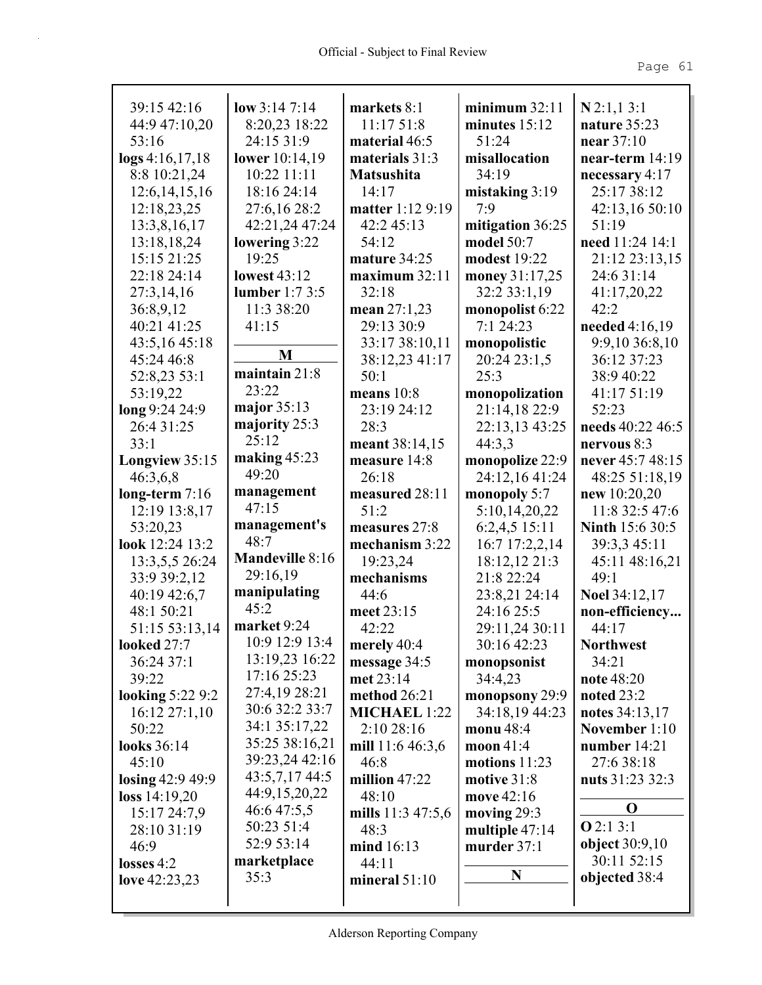| 39:15 42:16             | low $3:147:14$         | markets 8:1         | minimum 32:11    | N2:1,13:1              |
|-------------------------|------------------------|---------------------|------------------|------------------------|
| 44:9 47:10,20           | 8:20,23 18:22          | 11:1751:8           | minutes $15:12$  | nature 35:23           |
| 53:16                   | 24:15 31:9             | material 46:5       | 51:24            | near $37:10$           |
| $\log s$ 4:16,17,18     | lower 10:14,19         | materials 31:3      | misallocation    | near-term $14:19$      |
| 8:8 10:21,24            | 10:22 11:11            | <b>Matsushita</b>   | 34:19            | necessary 4:17         |
| 12:6,14,15,16           | 18:16 24:14            | 14:17               | mistaking $3:19$ | 25:17 38:12            |
| 12:18,23,25             | 27:6,16 28:2           | matter 1:12 9:19    | 7:9              | 42:13,16 50:10         |
| 13:3,8,16,17            | 42:21,24 47:24         | 42:2 45:13          | mitigation 36:25 | 51:19                  |
| 13:18,18,24             | lowering 3:22          | 54:12               | model 50:7       | need 11:24 14:1        |
| 15:15 21:25             | 19:25                  | mature 34:25        | modest 19:22     | 21:12 23:13,15         |
| 22:18 24:14             | <b>lowest 43:12</b>    | maximum 32:11       | money 31:17,25   | 24:6 31:14             |
| 27:3,14,16              | lumber $1:73:5$        | 32:18               | 32:2 33:1,19     | 41:17,20,22            |
| 36:8,9,12               | 11:3 38:20             | mean 27:1,23        | monopolist 6:22  | 42:2                   |
| 40:21 41:25             | 41:15                  | 29:13 30:9          | 7:124:23         | needed $4:16,19$       |
| 43:5,16 45:18           | M                      | 33:17 38:10,11      | monopolistic     | 9:9,10 36:8,10         |
| 45:24 46:8              |                        | 38:12,23 41:17      | 20:24 23:1,5     | 36:12 37:23            |
| 52:8,23 53:1            | maintain 21:8          | 50:1                | 25:3             | 38:9 40:22             |
| 53:19,22                | 23:22                  | means $10:8$        | monopolization   | 41:17 51:19            |
| long 9:24 24:9          | major 35:13            | 23:19 24:12         | 21:14,18 22:9    | 52:23                  |
| 26:4 31:25              | majority 25:3          | 28:3                | 22:13,13 43:25   | needs 40:22 46:5       |
| 33:1                    | 25:12                  | meant 38:14,15      | 44:3,3           | nervous 8:3            |
| Longview 35:15          | making $45:23$         | measure 14:8        | monopolize 22:9  | never 45:7 48:15       |
| 46:3,6,8                | 49:20                  | 26:18               | 24:12,16 41:24   | 48:25 51:18,19         |
| long-term $7:16$        | management             | measured 28:11      | monopoly 5:7     | new $10:20,20$         |
| 12:19 13:8,17           | 47:15                  | 51:2                | 5:10,14,20,22    | 11:8 32:5 47:6         |
| 53:20,23                | management's           | measures 27:8       | 6:2,4,5 15:11    | <b>Ninth 15:6 30:5</b> |
| look 12:24 13:2         | 48:7                   | mechanism 3:22      | 16:7 17:2,2,14   | 39:3,3 45:11           |
| 13:3,5,5 26:24          | <b>Mandeville 8:16</b> | 19:23,24            | 18:12,12 21:3    | 45:11 48:16,21         |
| 33:9 39:2,12            | 29:16,19               | mechanisms          | 21:8 22:24       | 49:1                   |
| 40:19 42:6,7            | manipulating           | 44:6                | 23:8,21 24:14    | <b>Noel 34:12,17</b>   |
| 48:1 50:21              | 45:2                   | meet 23:15          | 24:16 25:5       | non-efficiency         |
| 51:15 53:13,14          | market 9:24            | 42:22               | 29:11,24 30:11   | 44:17                  |
| looked 27:7             | 10:9 12:9 13:4         | merely 40:4         | 30:16 42:23      | <b>Northwest</b>       |
| 36:24 37:1              | 13:19,23 16:22         | message 34:5        | monopsonist      | 34:21                  |
| 39:22                   | 17:16 25:23            | met 23:14           | 34:4,23          | note 48:20             |
| <b>looking 5:22 9:2</b> | 27:4,19 28:21          | method 26:21        | monopsony 29:9   | noted $23:2$           |
| $16:12\,27:1,10$        | 30:6 32:2 33:7         | <b>MICHAEL 1:22</b> | 34:18,19 44:23   | notes $34:13,17$       |
| 50:22                   | 34:1 35:17,22          | 2:10 28:16          | monu 48:4        | November 1:10          |
| looks 36:14             | 35:25 38:16,21         | mill 11:6 46:3,6    | moon $41:4$      | number $14:21$         |
| 45:10                   | 39:23,24 42:16         | 46:8                | motions $11:23$  | 27:6 38:18             |
| losing 42:9 49:9        | 43:5,7,17 44:5         | million $47:22$     | motive 31:8      | nuts 31:23 32:3        |
| loss 14:19,20           | 44:9,15,20,22          | 48:10               | move 42:16       |                        |
| 15:17 24:7,9            | 46:6 47:5,5            | mills $11:347:5,6$  | moving $29:3$    | O                      |
| 28:10 31:19             | 50:23 51:4             | 48:3                | multiple 47:14   | O2:13:1                |
| 46:9                    | 52:9 53:14             | mind 16:13          | murder $37:1$    | <b>object</b> 30:9,10  |
| losses $4:2$            | marketplace            | 44:11               |                  | 30:11 52:15            |
| love $42:23,23$         | 35:3                   | mineral $51:10$     | N                | objected 38:4          |
|                         |                        |                     |                  |                        |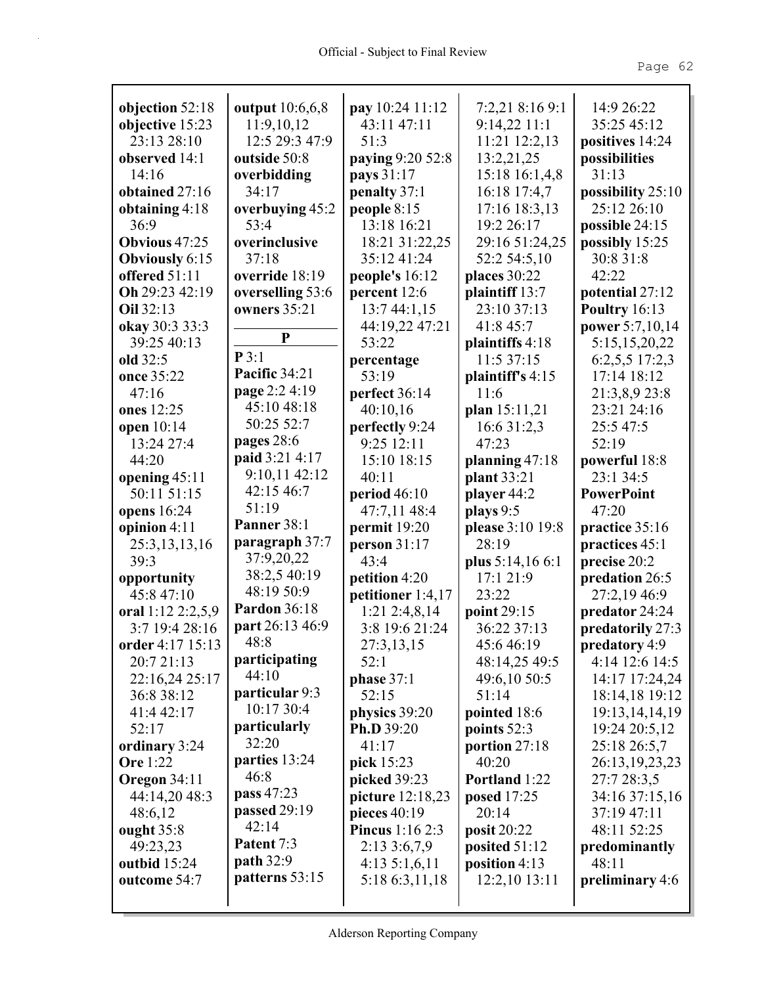| objection 52:18       | output 10:6,6,8     | pay 10:24 11:12         | 7:2,21 8:16 9:1               | 14:9 26:22                     |
|-----------------------|---------------------|-------------------------|-------------------------------|--------------------------------|
| objective 15:23       | 11:9,10,12          | 43:11 47:11             | 9:14,22 11:1                  | 35:25 45:12                    |
| 23:13 28:10           | 12:5 29:3 47:9      | 51:3                    | 11:21 12:2,13                 | positives 14:24                |
| observed 14:1         | outside 50:8        | paying 9:20 52:8        | 13:2,21,25                    | possibilities                  |
| 14:16                 | overbidding         | pays 31:17              | 15:18 16:1,4,8                | 31:13                          |
| obtained 27:16        | 34:17               | penalty 37:1            | 16:18 17:4,7                  | possibility 25:10              |
| obtaining $4:18$      | overbuying 45:2     | people $8:15$           | 17:16 18:3,13                 | 25:12 26:10                    |
| 36:9                  | 53:4                | 13:18 16:21             | 19:2 26:17                    | possible 24:15                 |
| <b>Obvious</b> 47:25  | overinclusive       | 18:21 31:22,25          | 29:16 51:24,25                | possibly 15:25                 |
| <b>Obviously 6:15</b> | 37:18               | 35:12 41:24             | 52:2 54:5,10                  | 30:8 31:8                      |
| offered 51:11         | override 18:19      | people's 16:12          | places 30:22                  | 42:22                          |
| Oh 29:23 42:19        | overselling 53:6    | percent 12:6            | plaintiff 13:7                | potential 27:12                |
| Oil 32:13             | owners 35:21        | 13:744:1,15             | 23:10 37:13                   | <b>Poultry</b> 16:13           |
| okay 30:3 33:3        | ${\bf P}$           | 44:19,22 47:21          | 41:8 45:7                     | power 5:7,10,14                |
| 39:25 40:13           | P3:1                | 53:22                   | plaintiffs 4:18               | 5:15,15,20,22                  |
| old 32:5              | Pacific 34:21       | percentage              | 11:5 37:15                    | 6:2,5,5 17:2,3                 |
| once 35:22            | page 2:2 4:19       | 53:19                   | plaintiff's $4:15$            | 17:14 18:12                    |
| 47:16                 | 45:10 48:18         | perfect 36:14           | 11:6                          | 21:3,8,9 23:8                  |
| ones 12:25            | 50:25 52:7          | 40:10,16                | plan 15:11,21                 | 23:21 24:16                    |
| open 10:14            | pages 28:6          | perfectly 9:24          | 16:6 31:2,3                   | 25:5 47:5                      |
| 13:24 27:4            | paid 3:21 4:17      | 9:25 12:11              | 47:23                         | 52:19                          |
| 44:20                 | 9:10,11 42:12       | 15:10 18:15             | planning 47:18                | powerful 18:8                  |
| opening $45:11$       | 42:15 46:7          | 40:11                   | plant 33:21                   | 23:1 34:5                      |
| 50:11 51:15           | 51:19               | period $46:10$          | player 44:2                   | <b>PowerPoint</b>              |
| opens 16:24           | Panner 38:1         | 47:7,11 48:4            | plays 9:5                     | 47:20                          |
| opinion $4:11$        | paragraph 37:7      | permit 19:20            | please 3:10 19:8              | practice 35:16                 |
| 25:3,13,13,16<br>39:3 | 37:9,20,22          | person 31:17<br>43:4    | 28:19                         | practices 45:1                 |
| opportunity           | 38:2,5 40:19        | petition 4:20           | plus 5:14,16 6:1<br>17:1 21:9 | precise 20:2<br>predation 26:5 |
| 45:8 47:10            | 48:19 50:9          | petitioner 1:4,17       | 23:22                         | 27:2,19 46:9                   |
| oral 1:12 2:2,5,9     | <b>Pardon</b> 36:18 | $1:21$ 2:4,8,14         | point 29:15                   | predator 24:24                 |
| 3:7 19:4 28:16        | part 26:13 46:9     | 3:8 19:6 21:24          | 36:22 37:13                   | predatorily 27:3               |
| order 4:17 15:13      | 48:8                | 27:3,13,15              | 45:646:19                     | predatory 4:9                  |
| 20:7 21:13            | participating       | 52:1                    | 48:14,25 49:5                 | 4:14 12:6 14:5                 |
| 22:16,24 25:17        | 44:10               | phase 37:1              | 49:6,10 50:5                  | 14:17 17:24,24                 |
| 36:8 38:12            | particular 9:3      | 52:15                   | 51:14                         | 18:14,18 19:12                 |
| 41:4 42:17            | 10:17 30:4          | physics 39:20           | pointed 18:6                  | 19:13, 14, 14, 19              |
| 52:17                 | particularly        | Ph.D 39:20              | points $52:3$                 | 19:24 20:5,12                  |
| ordinary 3:24         | 32:20               | 41:17                   | portion 27:18                 | 25:18 26:5,7                   |
| Ore 1:22              | parties 13:24       | pick 15:23              | 40:20                         | 26:13,19,23,23                 |
| Oregon 34:11          | 46:8                | picked 39:23            | Portland 1:22                 | 27:7 28:3,5                    |
| 44:14,20 48:3         | pass 47:23          | picture 12:18,23        | posed 17:25                   | 34:16 37:15,16                 |
| 48:6,12               | passed 29:19        | pieces $40:19$          | 20:14                         | 37:19 47:11                    |
| ought $35:8$          | 42:14               | <b>Pincus</b> $1:162:3$ | posit 20:22                   | 48:11 52:25                    |
| 49:23,23              | Patent 7:3          | 2:133:6,7,9             | posited $51:12$               | predominantly                  |
| outbid 15:24          | <b>path</b> 32:9    | $4:13\;5:1,6,11$        | position $4:13$               | 48:11                          |
| outcome 54:7          | patterns 53:15      | 5:18 6:3,11,18          | 12:2,10 13:11                 | preliminary 4:6                |
|                       |                     |                         |                               |                                |
|                       |                     |                         |                               |                                |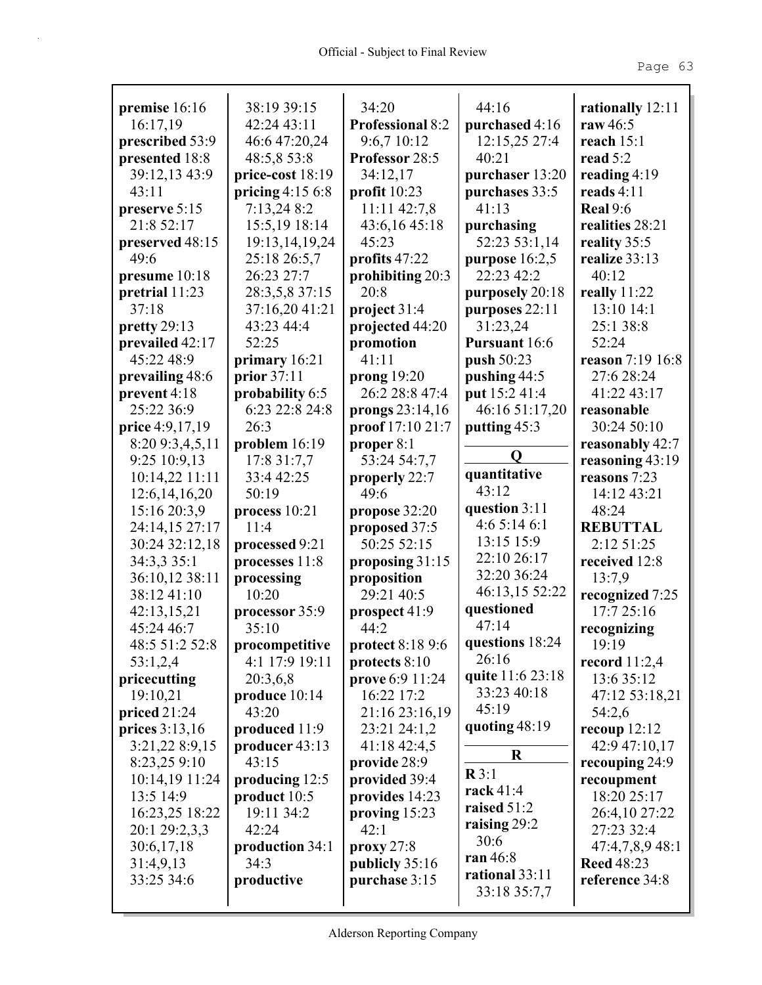| premise 16:16    | 38:19 39:15       | 34:20                   | 44:16            | rationally 12:11  |
|------------------|-------------------|-------------------------|------------------|-------------------|
| 16:17,19         | 42:24 43:11       | <b>Professional 8:2</b> | purchased 4:16   | raw 46:5          |
| prescribed 53:9  | 46:6 47:20,24     | 9:6,7 10:12             | 12:15,25 27:4    | reach $15:1$      |
| presented 18:8   | 48:5,8 53:8       | Professor 28:5          | 40:21            | read 5:2          |
|                  |                   |                         |                  |                   |
| 39:12,13 43:9    | price-cost 18:19  | 34:12,17                | purchaser 13:20  | reading $4:19$    |
| 43:11            | pricing $4:156:8$ | profit $10:23$          | purchases 33:5   | reads $4:11$      |
| preserve 5:15    | 7:13,248:2        | 11:11 42:7,8            | 41:13            | <b>Real 9:6</b>   |
| 21:8 52:17       | 15:5,19 18:14     | 43:6,16 45:18           | purchasing       | realities 28:21   |
| preserved 48:15  | 19:13,14,19,24    | 45:23                   | 52:23 53:1,14    | reality 35:5      |
| 49:6             | 25:18 26:5,7      | profits 47:22           | purpose $16:2,5$ | realize 33:13     |
| presume $10:18$  | 26:23 27:7        | prohibiting 20:3        | 22:23 42:2       | 40:12             |
| pretrial 11:23   | 28:3,5,8 37:15    | 20:8                    | purposely 20:18  | really $11:22$    |
| 37:18            | 37:16,20 41:21    | project $31:4$          | purposes 22:11   | 13:10 14:1        |
| pretty $29:13$   | 43:23 44:4        | projected 44:20         | 31:23,24         | 25:1 38:8         |
| prevailed 42:17  | 52:25             | promotion               | Pursuant 16:6    | 52:24             |
| 45:22 48:9       | primary 16:21     | 41:11                   | push 50:23       | reason 7:19 16:8  |
| prevailing 48:6  | prior 37:11       | prong $19:20$           | pushing 44:5     | 27:6 28:24        |
| prevent 4:18     | probability 6:5   | 26:2 28:8 47:4          | put 15:2 41:4    | 41:22 43:17       |
| 25:22 36:9       | 6:23 22:8 24:8    | prongs 23:14,16         | 46:16 51:17,20   | reasonable        |
| price 4:9,17,19  | 26:3              | proof 17:10 21:7        | putting 45:3     | 30:24 50:10       |
| 8:20 9:3,4,5,11  | problem 16:19     | proper 8:1              |                  | reasonably 42:7   |
| 9:25 10:9,13     | 17:8 31:7,7       | 53:24 54:7,7            | Q                | reasoning 43:19   |
| 10:14,22 11:11   | 33:4 42:25        | properly 22:7           | quantitative     | reasons 7:23      |
| 12:6, 14, 16, 20 | 50:19             | 49:6                    | 43:12            | 14:12 43:21       |
| 15:16 20:3,9     | process $10:21$   | propose 32:20           | question 3:11    | 48:24             |
| 24:14,15 27:17   | 11:4              | proposed 37:5           | 4:65:146:1       | <b>REBUTTAL</b>   |
| 30:24 32:12,18   | processed 9:21    | 50:25 52:15             | 13:15 15:9       | 2:12 51:25        |
| 34:3,3 35:1      | processes 11:8    | proposing 31:15         | 22:10 26:17      | received 12:8     |
| 36:10,12 38:11   | processing        | proposition             | 32:20 36:24      | 13:7,9            |
| 38:12 41:10      | 10:20             | 29:21 40:5              | 46:13,15 52:22   | recognized 7:25   |
| 42:13,15,21      | processor 35:9    | prospect 41:9           | questioned       | 17:725:16         |
| 45:24 46:7       | 35:10             | 44:2                    | 47:14            | recognizing       |
| 48:5 51:2 52:8   | procompetitive    | <b>protect 8:18 9:6</b> | questions 18:24  | 19:19             |
| 53:1,2,4         | 4:1 17:9 19:11    | protects 8:10           | 26:16            | record $11:2,4$   |
| pricecutting     | 20:3,6,8          | prove 6:9 11:24         | quite 11:6 23:18 | 13:6 35:12        |
| 19:10,21         | produce 10:14     | 16:22 17:2              | 33:23 40:18      | 47:12 53:18,21    |
| priced $21:24$   | 43:20             | 21:16 23:16,19          | 45:19            | 54:2,6            |
| prices 3:13,16   | produced 11:9     | 23:21 24:1,2            | quoting 48:19    | recoup $12:12$    |
| 3:21,22 8:9,15   | producer 43:13    | 41:18 42:4,5            |                  | 42:9 47:10,17     |
| 8:23,25 9:10     | 43:15             | provide 28:9            | $\bf R$          | recouping 24:9    |
| 10:14,19 11:24   | producing 12:5    | provided 39:4           | R3:1             | recoupment        |
| 13:5 14:9        | product $10:5$    | provides 14:23          | rack 41:4        | 18:20 25:17       |
| 16:23,25 18:22   | 19:11 34:2        | proving $15:23$         | raised $51:2$    | 26:4,10 27:22     |
| 20:1 29:2,3,3    | 42:24             | 42:1                    | raising $29:2$   | 27:23 32:4        |
| 30:6,17,18       | production 34:1   | proxy 27:8              | 30:6             | 47:4,7,8,9 48:1   |
| 31:4,9,13        | 34:3              | publicly 35:16          | ran 46:8         | <b>Reed 48:23</b> |
| 33:25 34:6       | productive        | purchase 3:15           | rational 33:11   | reference 34:8    |
|                  |                   |                         | 33:18 35:7,7     |                   |
|                  |                   |                         |                  |                   |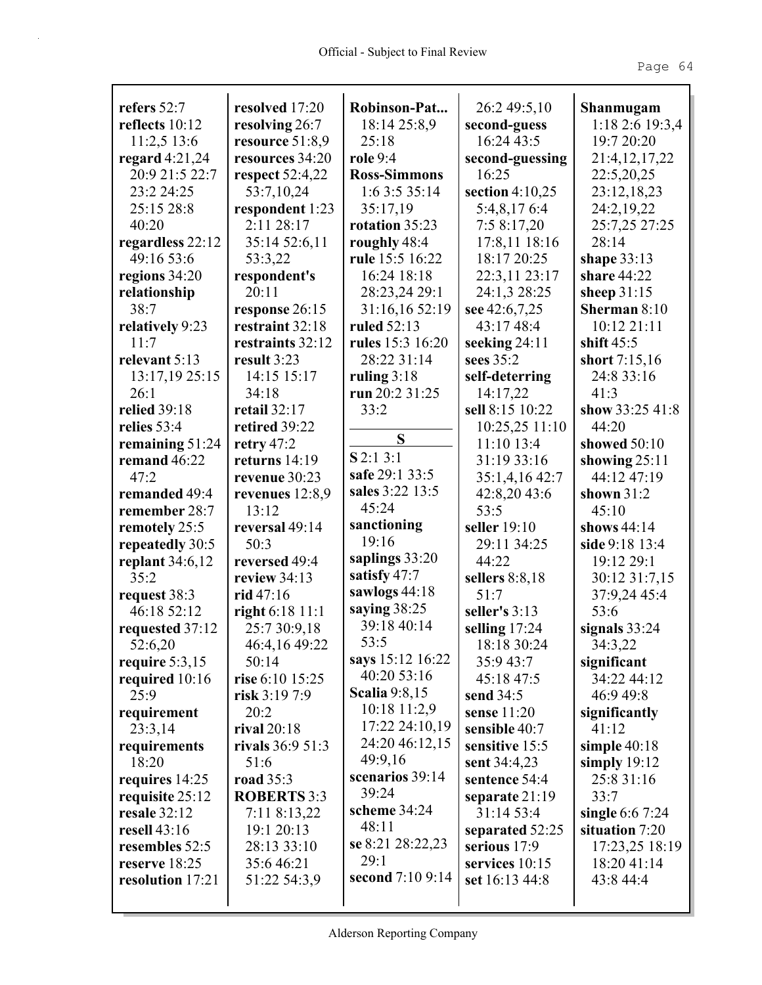| refers 52:7       | resolved 17:20         | Robinson-Pat             | 26:2 49:5,10      | Shanmugam        |
|-------------------|------------------------|--------------------------|-------------------|------------------|
| reflects $10:12$  | resolving 26:7         | 18:14 25:8,9             | second-guess      | 1:18 2:6 19:3,4  |
| 11:2,5 13:6       | resource 51:8,9        | 25:18                    | 16:24 43:5        | 19:7 20:20       |
| regard $4:21,24$  | resources 34:20        | role 9:4                 | second-guessing   | 21:4, 12, 17, 22 |
| 20:9 21:5 22:7    | <b>respect</b> 52:4,22 | <b>Ross-Simmons</b>      | 16:25             | 22:5,20,25       |
| 23:2 24:25        | 53:7,10,24             | 1:6 3:5 35:14            | section $4:10,25$ | 23:12,18,23      |
| 25:15 28:8        | respondent 1:23        | 35:17,19                 | 5:4,8,176:4       | 24:2,19,22       |
| 40:20             | 2:11 28:17             | rotation 35:23           | 7:58:17,20        | 25:7,25 27:25    |
| regardless 22:12  | 35:14 52:6,11          | roughly 48:4             | 17:8,11 18:16     | 28:14            |
| 49:16 53:6        | 53:3,22                | rule 15:5 16:22          | 18:17 20:25       | shape $33:13$    |
| regions 34:20     | respondent's           | 16:24 18:18              | 22:3,11 23:17     | share 44:22      |
| relationship      | 20:11                  | 28:23,24 29:1            | 24:1,3 28:25      | sheep $31:15$    |
| 38:7              | response 26:15         | 31:16,16 52:19           | see 42:6,7,25     | Sherman 8:10     |
| relatively 9:23   | restraint 32:18        | ruled 52:13              | 43:17 48:4        | 10:12 21:11      |
| 11:7              | restraints 32:12       | rules 15:3 16:20         | seeking 24:11     | shift $45:5$     |
| relevant 5:13     | result 3:23            | 28:22 31:14              | sees 35:2         | short 7:15,16    |
| 13:17,19 25:15    | 14:15 15:17            | ruling $3:18$            | self-deterring    | 24:8 33:16       |
| 26:1              | 34:18                  | run 20:2 31:25           | 14:17,22          | 41:3             |
| relied 39:18      | retail $32:17$         | 33:2                     | sell 8:15 10:22   | show 33:25 41:8  |
| relies 53:4       | retired 39:22          |                          | 10:25,25 11:10    | 44:20            |
| remaining $51:24$ | retry 47:2             | S                        | $11:10$ 13:4      | showed 50:10     |
| remand $46:22$    | returns $14:19$        | $S$ 2:1 3:1              | 31:19 33:16       | showing $25:11$  |
| 47:2              | revenue 30:23          | safe 29:1 33:5           | 35:1,4,16 42:7    | 44:12 47:19      |
| remanded 49:4     | revenues $12:8,9$      | sales 3:22 13:5          | 42:8,20 43:6      | shown $31:2$     |
| remember 28:7     | 13:12                  | 45:24                    | 53:5              | 45:10            |
| remotely 25:5     | reversal 49:14         | sanctioning              | seller 19:10      | shows 44:14      |
| repeatedly 30:5   | 50:3                   | 19:16                    | 29:11 34:25       | side 9:18 13:4   |
| replant $34:6,12$ | reversed 49:4          | saplings 33:20           | 44:22             | 19:12 29:1       |
| 35:2              | review $34:13$         | satisfy 47:7             | sellers $8:8,18$  | 30:12 31:7,15    |
| request 38:3      | rid 47:16              | sawlogs 44:18            | 51:7              | 37:9,24 45:4     |
| 46:18 52:12       | right 6:18 11:1        | saying 38:25             | seller's 3:13     | 53:6             |
| requested 37:12   | 25:7 30:9,18           | 39:18 40:14              | selling 17:24     | signals $33:24$  |
| 52:6,20           | 46:4,16 49:22          | 53:5                     | 18:18 30:24       | 34:3,22          |
| require $5:3,15$  | 50:14                  | says 15:12 16:22         | 35:9 43:7         | significant      |
| required 10:16    | rise 6:10 15:25        | 40:20 53:16              | 45:18 47:5        | 34:22 44:12      |
| 25:9              | risk $3:197:9$         | <b>Scalia</b> 9:8,15     | send $34:5$       | 46:9 49:8        |
| requirement       | 20:2                   | 10:18 11:2,9             | sense 11:20       | significantly    |
| 23:3,14           | rival $20:18$          | 17:22 24:10,19           | sensible 40:7     | 41:12            |
| requirements      | rivals $36:951:3$      | 24:20 46:12,15           | sensitive 15:5    | simple $40:18$   |
| 18:20             | 51:6                   | 49:9,16                  | sent 34:4,23      | simply $19:12$   |
| requires 14:25    | <b>road</b> 35:3       | scenarios 39:14          | sentence 54:4     | 25:8 31:16       |
| requisite 25:12   | <b>ROBERTS 3:3</b>     | 39:24                    | separate $21:19$  | 33:7             |
| resale 32:12      | 7:11 8:13,22           | scheme 34:24             | 31:14 53:4        | single $6:67:24$ |
| resell 43:16      | 19:1 20:13             | 48:11                    | separated 52:25   | situation 7:20   |
| resembles 52:5    | 28:13 33:10            | se 8:21 28:22,23<br>29:1 | serious 17:9      | 17:23,25 18:19   |
| reserve 18:25     | 35:646:21              | second 7:10 9:14         | services 10:15    | 18:20 41:14      |
| resolution 17:21  | 51:22 54:3,9           |                          | set 16:13 44:8    | 43:8 44:4        |
|                   |                        |                          |                   |                  |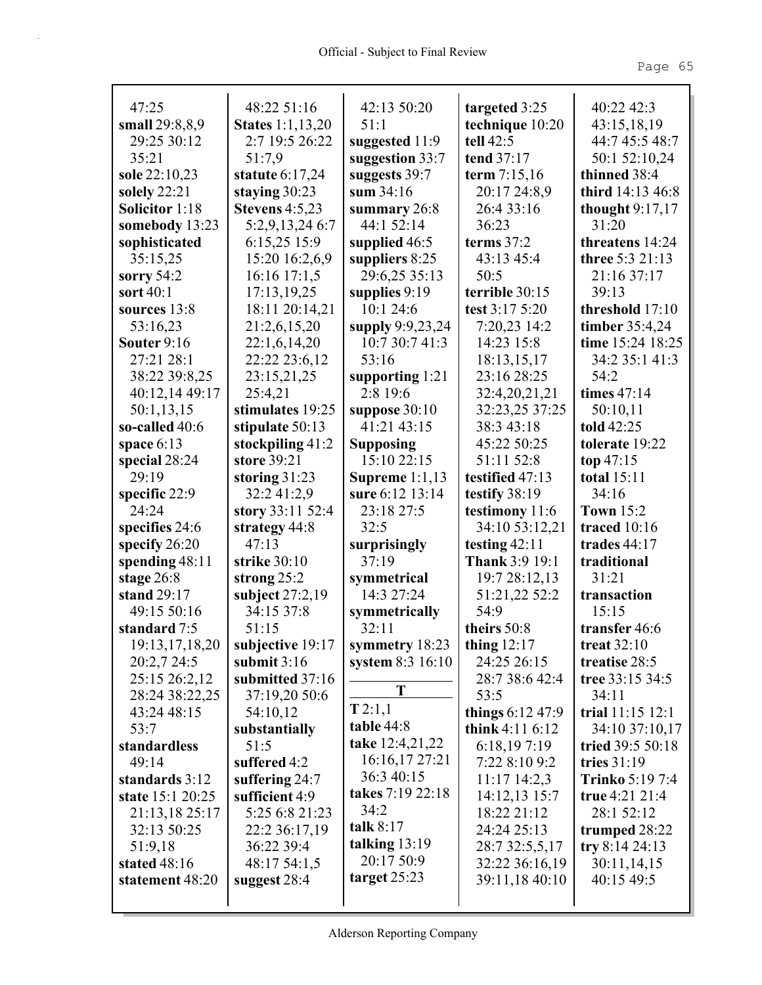| 47:25                       | 48:22 51:16                      | 42:13 50:20               | targeted 3:25                  | 40:22 42:3             |
|-----------------------------|----------------------------------|---------------------------|--------------------------------|------------------------|
| small 29:8,8,9              | <b>States</b> 1:1,13,20          | 51:1                      | technique 10:20                | 43:15,18,19            |
| 29:25 30:12                 | 2:7 19:5 26:22                   | suggested 11:9            | tell $42:5$                    | 44:7 45:5 48:7         |
| 35:21                       | 51:7,9                           | suggestion 33:7           | tend 37:17                     | 50:1 52:10,24          |
| sole 22:10,23               | statute $6:17,24$                | suggests 39:7             | term 7:15,16                   | thinned 38:4           |
| solely $22:21$              | staying $30:23$                  | sum $34:16$               | 20:17 24:8,9                   | third 14:13 46:8       |
| Solicitor 1:18              | <b>Stevens</b> 4:5,23            | summary $26:8$            | 26:4 33:16                     | thought $9:17,17$      |
| somebody $13:23$            | 5:2,9,13,24 6:7                  | 44:1 52:14                | 36:23                          | 31:20                  |
| sophisticated               | 6:15,25 15:9                     | supplied $46:5$           | terms $37:2$                   | threatens 14:24        |
| 35:15,25                    | 15:20 16:2,6,9                   | suppliers 8:25            | 43:13 45:4                     | three 5:3 21:13        |
| sorry $54:2$                | $16:16$ 17:1,5                   | 29:6,25 35:13             | 50:5                           | 21:16 37:17            |
| sort 40:1                   | 17:13,19,25                      | supplies $9:19$           | terrible 30:15                 | 39:13                  |
| sources $13:8$              | 18:11 20:14,21                   | 10:1 24:6                 | test 3:17 5:20                 | threshold 17:10        |
| 53:16,23                    | 21:2,6,15,20                     | supply 9:9,23,24          | 7:20,23 14:2                   | timber 35:4,24         |
| Souter $9:16$               | 22:1,6,14,20                     | 10:730:741:3              | 14:23 15:8                     | time 15:24 18:25       |
| 27:21 28:1                  | 22:22 23:6,12                    | 53:16                     | 18:13,15,17                    | 34:2 35:1 41:3         |
| 38:22 39:8,25               | 23:15,21,25                      | supporting $1:21$         | 23:16 28:25                    | 54:2                   |
| 40:12,14 49:17              | 25:4,21                          | 2:8 19:6                  | 32:4,20,21,21                  | times 47:14            |
| 50:1,13,15                  | stimulates 19:25                 | suppose $30:10$           | 32:23,25 37:25                 | 50:10,11               |
| so-called 40:6              | stipulate 50:13                  | 41:21 43:15               | 38:3 43:18                     | told 42:25             |
| space $6:13$                | stockpiling 41:2                 | <b>Supposing</b>          | 45:22 50:25                    | tolerate 19:22         |
| special 28:24               | store 39:21                      | 15:10 22:15               | 51:11 52:8                     | top $47:15$            |
| 29:19                       | storing $31:23$                  | Supreme $1:1,13$          | testified 47:13                | total 15:11            |
| specific 22:9               | 32:241:2,9                       | sure 6:12 13:14           | testify 38:19                  | 34:16                  |
| 24:24                       | story 33:11 52:4                 | 23:18 27:5                | testimony 11:6                 | <b>Town</b> 15:2       |
| specifies 24:6              | strategy 44:8                    | 32:5                      | 34:10 53:12,21                 | traced $10:16$         |
| specify 26:20               | 47:13<br>strike 30:10            | surprisingly<br>37:19     | testing $42:11$                | trades $44:17$         |
| spending 48:11              |                                  |                           | Thank 3:9 19:1                 | traditional<br>31:21   |
| stage $26:8$<br>stand 29:17 | strong $25:2$<br>subject 27:2,19 | symmetrical<br>14:3 27:24 | 19:7 28:12,13<br>51:21,22 52:2 | transaction            |
| 49:15 50:16                 | 34:15 37:8                       | symmetrically             | 54:9                           | 15:15                  |
| standard 7:5                | 51:15                            | 32:11                     | theirs 50:8                    | transfer 46:6          |
| 19:13,17,18,20              | subjective 19:17                 | symmetry 18:23            | thing $12:17$                  | treat 32:10            |
| 20:2,7 24:5                 | submit 3:16                      | system 8:3 16:10          | 24:25 26:15                    | treatise 28:5          |
| 25:15 26:2,12               | submitted 37:16                  |                           | 28:7 38:6 42:4                 | tree 33:15 34:5        |
| 28:24 38:22,25              | 37:19,20 50:6                    | T                         | 53:5                           | 34:11                  |
| 43:24 48:15                 | 54:10,12                         | T2:1,1                    | things 6:12 47:9               | trial 11:15 12:1       |
| 53:7                        | substantially                    | table 44:8                | think $4:116:12$               | 34:10 37:10,17         |
| standardless                | 51:5                             | take 12:4,21,22           | 6:18,197:19                    | tried 39:5 50:18       |
| 49:14                       | suffered 4:2                     | 16:16,17 27:21            | 7:22 8:10 9:2                  | tries 31:19            |
| standards 3:12              | suffering $24:7$                 | 36:3 40:15                | $11:17$ $14:2,3$               | <b>Trinko</b> 5:19 7:4 |
| state 15:1 20:25            | sufficient 4:9                   | takes 7:19 22:18          | 14:12,13 15:7                  | true 4:21 21:4         |
| 21:13,18 25:17              | 5:25 6:8 21:23                   | 34:2                      | 18:22 21:12                    | 28:1 52:12             |
| 32:13 50:25                 | 22:2 36:17,19                    | talk $8:17$               | 24:24 25:13                    | trumped 28:22          |
| 51:9,18                     | 36:22 39:4                       | talking $13:19$           | 28:7 32:5,5,17                 | try $8:14\,24:13$      |
| stated 48:16                | 48:17 54:1,5                     | 20:17 50:9                | 32:22 36:16,19                 | 30:11,14,15            |
| statement 48:20             | suggest $28:4$                   | target $25:23$            | 39:11,18 40:10                 | 40:15 49:5             |
|                             |                                  |                           |                                |                        |
|                             |                                  |                           |                                |                        |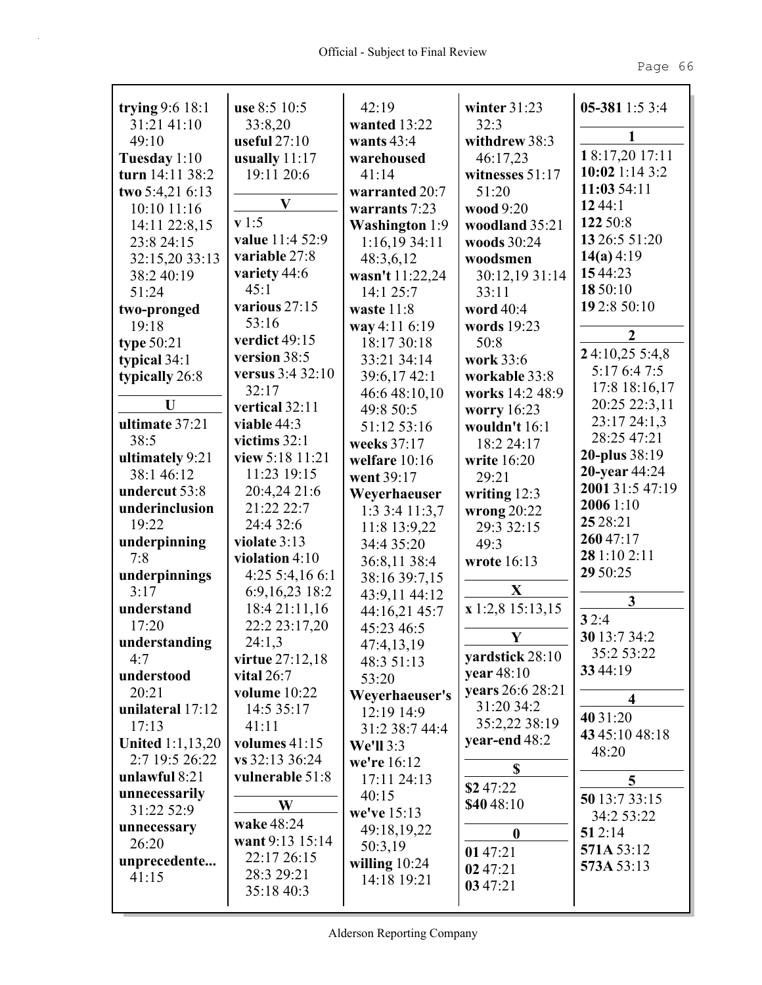| trying 9:6 18:1              | use 8:5 10:5     | 42:19                     | winter $31:23$                 | 05-381 1:5 3:4          |
|------------------------------|------------------|---------------------------|--------------------------------|-------------------------|
| 31:21 41:10                  | 33:8,20          | wanted 13:22              | 32:3                           |                         |
| 49:10                        | useful $27:10$   | wants $43:4$              | withdrew 38:3                  | 1                       |
| Tuesday 1:10                 | usually $11:17$  | warehoused                | 46:17,23                       | 18:17,20 17:11          |
| turn 14:11 38:2              | 19:11 20:6       | 41:14                     | witnesses 51:17                | 10:02 1:14 3:2          |
| two 5:4,21 6:13              |                  | warranted 20:7            | 51:20                          | 11:03 54:11             |
| 10:10 11:16                  | $\mathbf{V}$     | warrants 7:23             | wood 9:20                      | 1244:1                  |
| 14:11 22:8,15                | v1:5             |                           | woodland 35:21                 | 122 50:8                |
| 23:8 24:15                   | value 11:4 52:9  | <b>Washington</b> 1:9     | woods 30:24                    | 13 26:5 51:20           |
|                              | variable 27:8    | 1:16,1934:11<br>48:3,6,12 | woodsmen                       | 14(a) 4:19              |
| 32:15,20 33:13<br>38:2 40:19 | variety 44:6     |                           |                                | 1544:23                 |
|                              | 45:1             | wasn't 11:22,24           | 30:12,19 31:14                 | 18 50:10                |
| 51:24                        | various 27:15    | 14:1 25:7                 | 33:11                          | 19 2:8 50:10            |
| two-pronged                  | 53:16            | waste 11:8                | word 40:4                      |                         |
| 19:18                        | verdict 49:15    | way 4:11 6:19             | words 19:23                    | $\boldsymbol{2}$        |
| type $50:21$                 | version 38:5     | 18:17 30:18               | 50:8                           | 24:10,25 5:4,8          |
| typical $34:1$               | versus 3:4 32:10 | 33:21 34:14               | work 33:6                      | 5:17 6:4 7:5            |
| typically 26:8               | 32:17            | 39:6,17 42:1              | workable 33:8                  | 17:8 18:16,17           |
| U                            | vertical 32:11   | 46:6 48:10,10             | works 14:2 48:9                | 20:25 22:3,11           |
| ultimate 37:21               | viable 44:3      | 49:8 50:5                 | worry 16:23                    | 23:17 24:1,3            |
| 38:5                         | victims $32:1$   | 51:12 53:16               | wouldn't 16:1                  | 28:25 47:21             |
|                              |                  | weeks 37:17               | 18:2 24:17                     | 20-plus 38:19           |
| ultimately 9:21              | view 5:18 11:21  | welfare 10:16             | write 16:20                    | 20-year 44:24           |
| 38:1 46:12                   | 11:23 19:15      | went 39:17                | 29:21                          | 2001 31:5 47:19         |
| undercut 53:8                | 20:4,24 21:6     | Weyerhaeuser              | writing $12:3$                 | 2006 1:10               |
| underinclusion               | 21:22 22:7       | 1:33:411:3,7              | wrong $20:22$                  | 25 28:21                |
| 19:22                        | 24:4 32:6        | 11:8 13:9,22              | 29:3 32:15                     | 26047:17                |
| underpinning                 | violate 3:13     | 34:4 35:20                | 49:3                           | 28 1:10 2:11            |
| 7:8                          | violation 4:10   | 36:8,11 38:4              | wrote 16:13                    | 29 50:25                |
| underpinnings                | 4:25 5:4,16 6:1  | 38:16 39:7,15             | X                              |                         |
| 3:17                         | 6:9,16,23 18:2   | 43:9,11 44:12             |                                | 3                       |
| understand                   | 18:4 21:11,16    | 44:16,21 45:7             | x 1:2,8 15:13,15               | 32:4                    |
| 17:20                        | 22:2 23:17,20    | 45:23 46:5                | Y                              | 30 13:7 34:2            |
| understanding                | 24:1,3           | 47:4,13,19                |                                | 35:2 53:22              |
| 4:7                          | virtue 27:12,18  | 48:3 51:13                | yardstick 28:10                | 33 44:19                |
| understood                   | vital $26:7$     | 53:20                     | year 48:10                     |                         |
| 20:21                        | volume 10:22     | Weyerhaeuser's            | years 26:6 28:21<br>31:20 34:2 | $\overline{\mathbf{4}}$ |
| unilateral 17:12             | 14:5 35:17       | 12:19 14:9                |                                | 40 31:20                |
| 17:13                        | 41:11            | 31:2 38:7 44:4            | 35:2,22 38:19                  | 43 45:10 48:18          |
| <b>United 1:1,13,20</b>      | volumes 41:15    | <b>We'll 3:3</b>          | year-end 48:2                  | 48:20                   |
| 2:7 19:5 26:22               | vs 32:13 36:24   | we're 16:12               | \$                             |                         |
| unlawful 8:21                | vulnerable 51:8  | 17:11 24:13               | \$247:22                       | 5                       |
| unnecessarily                | W                | 40:15                     | \$40 48:10                     | 50 13:7 33:15           |
| 31:22 52:9                   |                  | we've 15:13               |                                | 34:2 53:22              |
| unnecessary                  | wake 48:24       | 49:18,19,22               | $\boldsymbol{0}$               | 512:14                  |
| 26:20                        | want 9:13 15:14  | 50:3,19                   | 01 47:21                       | 571A 53:12              |
| unprecedente                 | 22:17 26:15      | willing $10:24$           | 02 47:21                       | 573A 53:13              |
| 41:15                        | 28:3 29:21       | 14:18 19:21               | 03 47:21                       |                         |
|                              | 35:18 40:3       |                           |                                |                         |